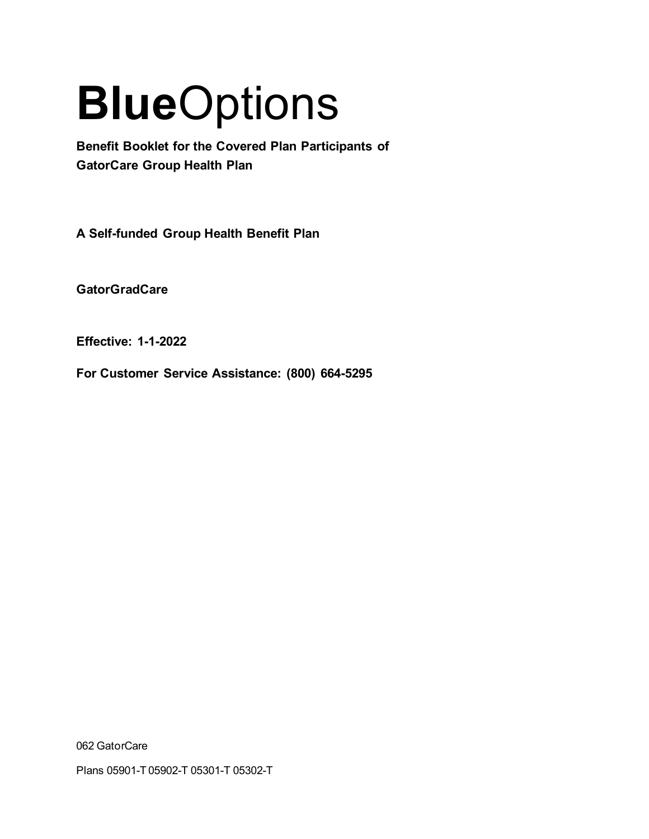# **Blue**Options

**Benefit Booklet for the Covered Plan Participants of GatorCare Group Health Plan** 

**A Self-funded Group Health Benefit Plan**

**GatorGradCare**

**Effective: 1-1-2022**

**For Customer Service Assistance: (800) 664-5295**

062 GatorCare

Plans 05901-T 05902-T 05301-T 05302-T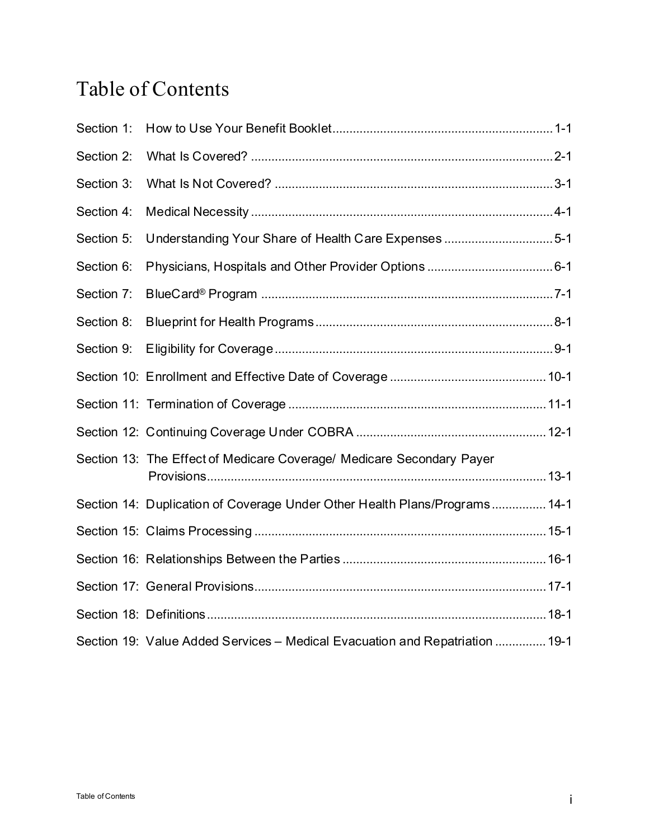# Table of Contents

| Section 1: |                                                                              |  |
|------------|------------------------------------------------------------------------------|--|
| Section 2: |                                                                              |  |
| Section 3: |                                                                              |  |
| Section 4: |                                                                              |  |
| Section 5: | Understanding Your Share of Health Care Expenses 5-1                         |  |
| Section 6: |                                                                              |  |
| Section 7: |                                                                              |  |
| Section 8: |                                                                              |  |
| Section 9: |                                                                              |  |
|            |                                                                              |  |
|            |                                                                              |  |
|            |                                                                              |  |
|            | Section 13: The Effect of Medicare Coverage/ Medicare Secondary Payer        |  |
|            | Section 14: Duplication of Coverage Under Other Health Plans/Programs 14-1   |  |
|            |                                                                              |  |
|            |                                                                              |  |
|            |                                                                              |  |
|            |                                                                              |  |
|            | Section 19: Value Added Services - Medical Evacuation and Repatriation  19-1 |  |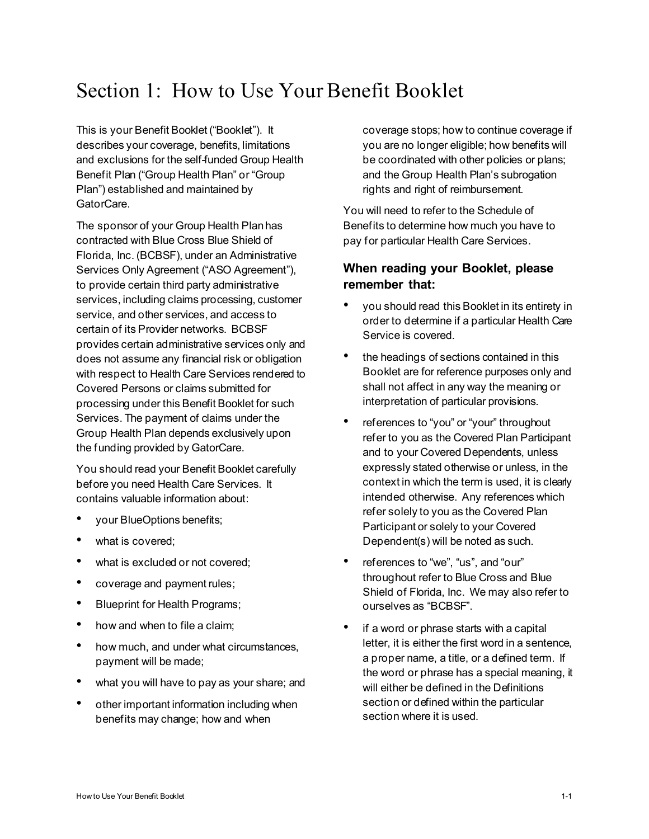# Section 1: How to Use Your Benefit Booklet

This is your Benefit Booklet ("Booklet"). It describes your coverage, benefits, limitations and exclusions for the self-funded Group Health Benefit Plan ("Group Health Plan" or "Group Plan") established and maintained by GatorCare.

The sponsor of your Group Health Plan has contracted with Blue Cross Blue Shield of Florida, Inc. (BCBSF), under an Administrative Services Only Agreement ("ASO Agreement"), to provide certain third party administrative services, including claims processing, customer service, and other services, and access to certain of its Provider networks. BCBSF provides certain administrative services only and does not assume any financial risk or obligation with respect to Health Care Services rendered to Covered Persons or claims submitted for processing under this Benefit Booklet for such Services. The payment of claims under the Group Health Plan depends exclusively upon the funding provided by GatorCare.

You should read your Benefit Booklet carefully before you need Health Care Services. It contains valuable information about:

- your BlueOptions benefits;
- what is covered;
- what is excluded or not covered;
- coverage and payment rules;
- Blueprint for Health Programs;
- how and when to file a claim;
- how much, and under what circumstances, payment will be made;
- what you will have to pay as your share; and
- other important information including when benefits may change; how and when

coverage stops; how to continue coverage if you are no longer eligible; how benefits will be coordinated with other policies or plans; and the Group Health Plan's subrogation rights and right of reimbursement.

You will need to refer to the Schedule of Benefits to determine how much you have to pay for particular Health Care Services.

# **When reading your Booklet, please remember that:**

- you should read this Booklet in its entirety in order to determine if a particular Health Care Service is covered.
- the headings of sections contained in this Booklet are for reference purposes only and shall not affect in any way the meaning or interpretation of particular provisions.
- references to "you" or "your" throughout refer to you as the Covered Plan Participant and to your Covered Dependents, unless expressly stated otherwise or unless, in the context in which the term is used, it is clearly intended otherwise. Any references which refer solely to you as the Covered Plan Participant or solely to your Covered Dependent(s) will be noted as such.
- references to "we", "us", and "our" throughout refer to Blue Cross and Blue Shield of Florida, Inc. We may also refer to ourselves as "BCBSF".
- if a word or phrase starts with a capital letter, it is either the first word in a sentence, a proper name, a title, or a defined term. If the word or phrase has a special meaning, it will either be defined in the Definitions section or defined within the particular section where it is used.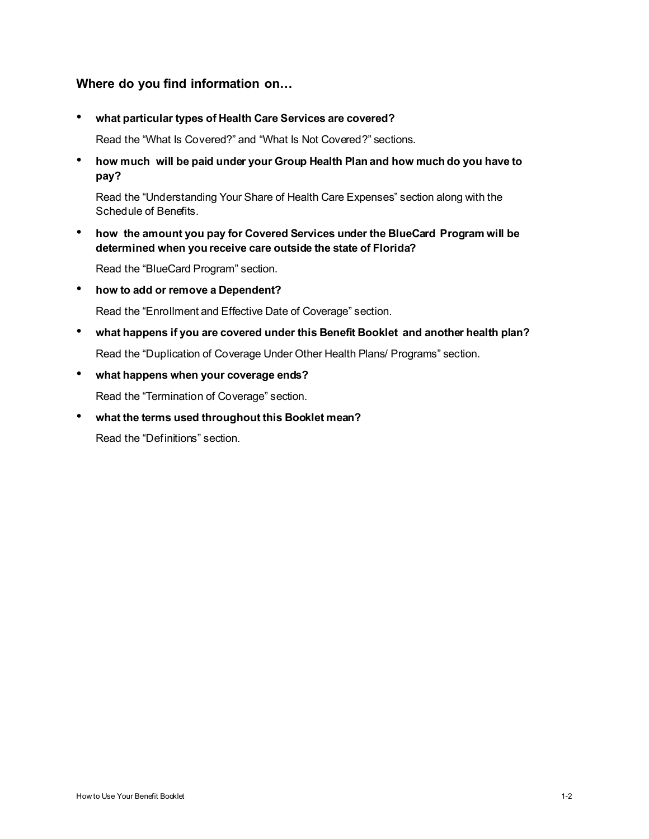# **Where do you find information on…**

• **what particular types of Health Care Services are covered?** 

Read the "What Is Covered?" and "What Is Not Covered?" sections.

• **how much will be paid under your Group Health Plan and how much do you have to pay?**

Read the "Understanding Your Share of Health Care Expenses" section along with the Schedule of Benefits.

• **how the amount you pay for Covered Services under the BlueCard Program will be determined when you receive care outside the state of Florida?**

Read the "BlueCard Program" section.

• **how to add or remove a Dependent?**

Read the "Enrollment and Effective Date of Coverage" section.

- **what happens if you are covered under this Benefit Booklet and another health plan?** Read the "Duplication of Coverage Under Other Health Plans/ Programs" section.
- **what happens when your coverage ends?**

Read the "Termination of Coverage" section.

• **what the terms used throughout this Booklet mean?** 

Read the "Definitions" section.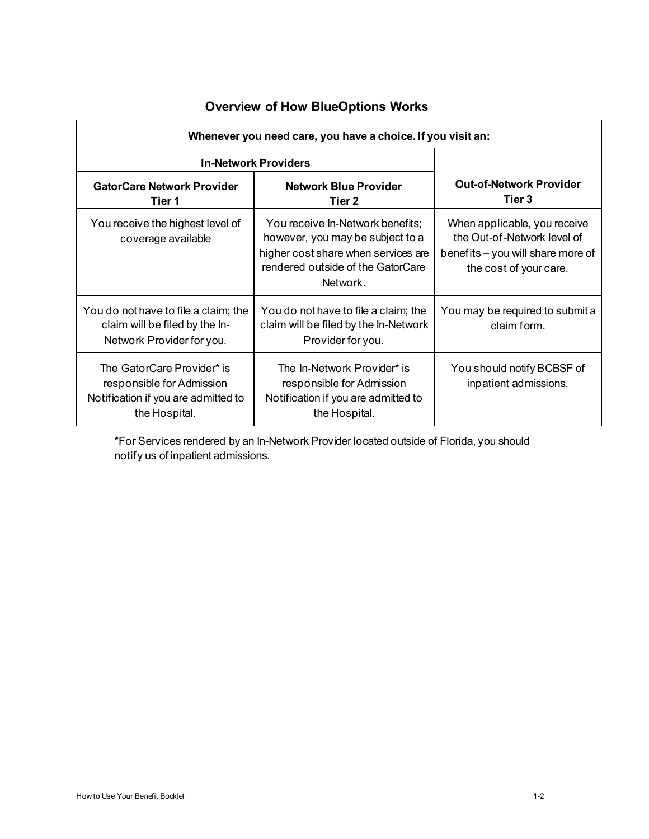| Whenever you need care, you have a choice. If you visit an:                                                     |                                                                                                                                                              |                                                                                                                            |  |  |
|-----------------------------------------------------------------------------------------------------------------|--------------------------------------------------------------------------------------------------------------------------------------------------------------|----------------------------------------------------------------------------------------------------------------------------|--|--|
| <b>In-Network Providers</b>                                                                                     |                                                                                                                                                              |                                                                                                                            |  |  |
| <b>GatorCare Network Provider</b><br>Tier 1                                                                     | <b>Network Blue Provider</b><br>Tier 2                                                                                                                       | <b>Out-of-Network Provider</b><br>Tier 3                                                                                   |  |  |
| You receive the highest level of<br>coverage available                                                          | You receive In-Network benefits;<br>however, you may be subject to a<br>higher cost share when services are<br>rendered outside of the GatorCare<br>Network. | When applicable, you receive<br>the Out-of-Network level of<br>benefits - you will share more of<br>the cost of your care. |  |  |
| You do not have to file a claim; the<br>claim will be filed by the In-<br>Network Provider for you.             | You do not have to file a claim; the<br>claim will be filed by the In-Network<br>Provider for you.                                                           | You may be required to submit a<br>claim form.                                                                             |  |  |
| The GatorCare Provider* is<br>responsible for Admission<br>Notification if you are admitted to<br>the Hospital. | The In-Network Provider* is<br>responsible for Admission<br>Notification if you are admitted to<br>the Hospital.                                             | You should notify BCBSF of<br>inpatient admissions.                                                                        |  |  |

# **Overview of How BlueOptions Works**

\*For Services rendered by an In-Network Provider located outside of Florida, you should notify us of inpatient admissions.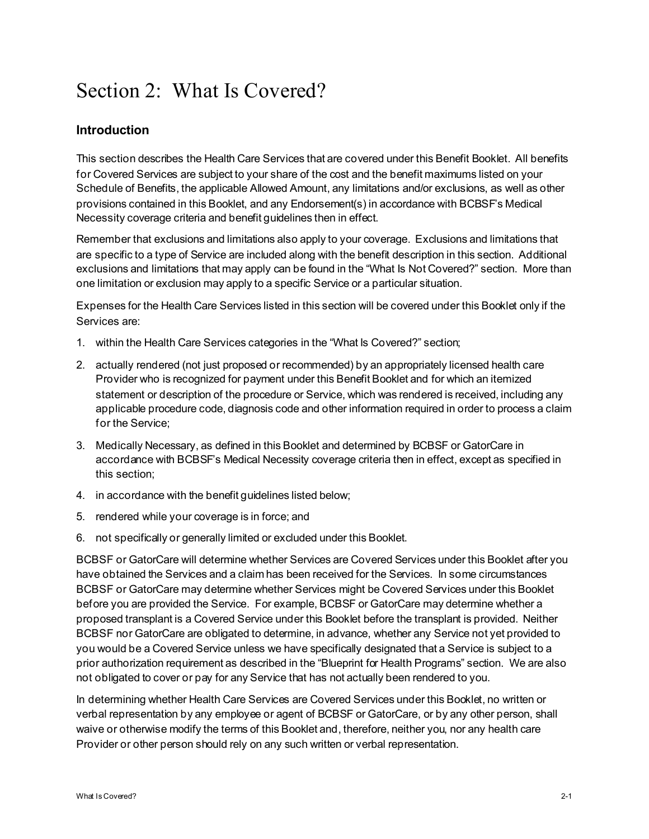# Section 2: What Is Covered?

# **Introduction**

This section describes the Health Care Services that are covered under this Benefit Booklet. All benefits for Covered Services are subject to your share of the cost and the benefit maximums listed on your Schedule of Benefits, the applicable Allowed Amount, any limitations and/or exclusions, as well as other provisions contained in this Booklet, and any Endorsement(s) in accordance with BCBSF's Medical Necessity coverage criteria and benefit guidelines then in effect.

Remember that exclusions and limitations also apply to your coverage. Exclusions and limitations that are specific to a type of Service are included along with the benefit description in this section. Additional exclusions and limitations that may apply can be found in the "What Is Not Covered?" section. More than one limitation or exclusion may apply to a specific Service or a particular situation.

Expenses for the Health Care Services listed in this section will be covered under this Booklet only if the Services are:

- 1. within the Health Care Services categories in the "What Is Covered?" section;
- 2. actually rendered (not just proposed or recommended) by an appropriately licensed health care Provider who is recognized for payment under this Benefit Booklet and for which an itemized statement or description of the procedure or Service, which was rendered is received, including any applicable procedure code, diagnosis code and other information required in order to process a claim for the Service;
- 3. Medically Necessary, as defined in this Booklet and determined by BCBSF or GatorCare in accordance with BCBSF's Medical Necessity coverage criteria then in effect, except as specified in this section;
- 4. in accordance with the benefit guidelines listed below;
- 5. rendered while your coverage is in force; and
- 6. not specifically or generally limited or excluded under this Booklet.

BCBSF or GatorCare will determine whether Services are Covered Services under this Booklet after you have obtained the Services and a claim has been received for the Services. In some circumstances BCBSF or GatorCare may determine whether Services might be Covered Services under this Booklet before you are provided the Service. For example, BCBSF or GatorCare may determine whether a proposed transplant is a Covered Service under this Booklet before the transplant is provided. Neither BCBSF nor GatorCare are obligated to determine, in advance, whether any Service not yet provided to you would be a Covered Service unless we have specifically designated that a Service is subject to a prior authorization requirement as described in the "Blueprint for Health Programs" section. We are also not obligated to cover or pay for any Service that has not actually been rendered to you.

In determining whether Health Care Services are Covered Services under this Booklet, no written or verbal representation by any employee or agent of BCBSF or GatorCare, or by any other person, shall waive or otherwise modify the terms of this Booklet and, therefore, neither you, nor any health care Provider or other person should rely on any such written or verbal representation.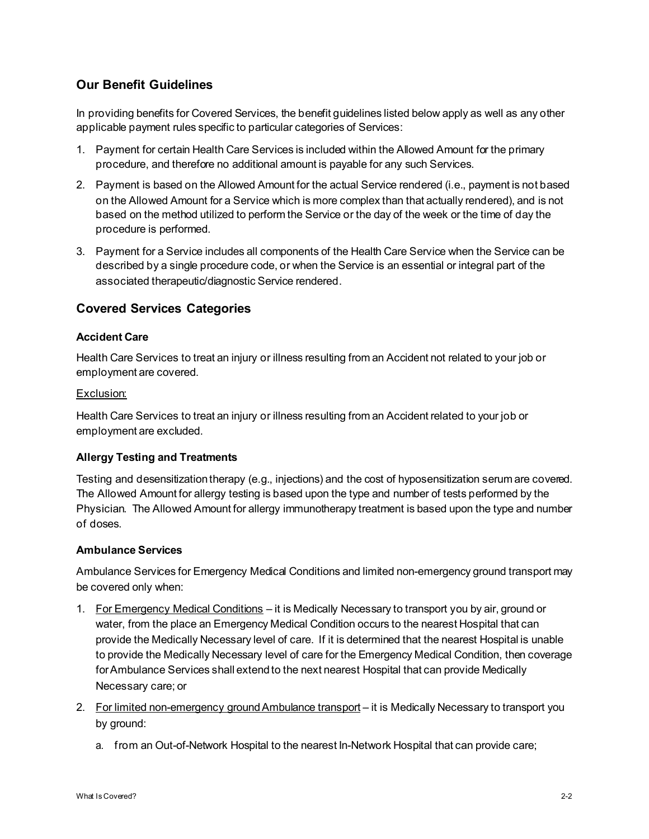# **Our Benefit Guidelines**

In providing benefits for Covered Services, the benefit guidelines listed below apply as well as any other applicable payment rules specific to particular categories of Services:

- 1. Payment for certain Health Care Services is included within the Allowed Amount for the primary procedure, and therefore no additional amount is payable for any such Services.
- 2. Payment is based on the Allowed Amount for the actual Service rendered (i.e., payment is not based on the Allowed Amount for a Service which is more complex than that actually rendered), and is not based on the method utilized to perform the Service or the day of the week or the time of day the procedure is performed.
- 3. Payment for a Service includes all components of the Health Care Service when the Service can be described by a single procedure code, or when the Service is an essential or integral part of the associated therapeutic/diagnostic Service rendered.

# **Covered Services Categories**

# **Accident Care**

Health Care Services to treat an injury or illness resulting from an Accident not related to your job or employment are covered.

# Exclusion:

Health Care Services to treat an injury or illness resulting from an Accident related to your job or employment are excluded.

# **Allergy Testing and Treatments**

Testing and desensitization therapy (e.g., injections) and the cost of hyposensitization serum are covered. The Allowed Amount for allergy testing is based upon the type and number of tests performed by the Physician. The Allowed Amount for allergy immunotherapy treatment is based upon the type and number of doses.

# **Ambulance Services**

Ambulance Services for Emergency Medical Conditions and limited non-emergency ground transport may be covered only when:

- 1. For Emergency Medical Conditions it is Medically Necessary to transport you by air, ground or water, from the place an Emergency Medical Condition occurs to the nearest Hospital that can provide the Medically Necessary level of care. If it is determined that the nearest Hospital is unable to provide the Medically Necessary level of care for the Emergency Medical Condition, then coverage for Ambulance Services shall extend to the next nearest Hospital that can provide Medically Necessary care; or
- 2. For limited non-emergency ground Ambulance transport it is Medically Necessary to transport you by ground:
	- a. from an Out-of-Network Hospital to the nearest In-Network Hospital that can provide care;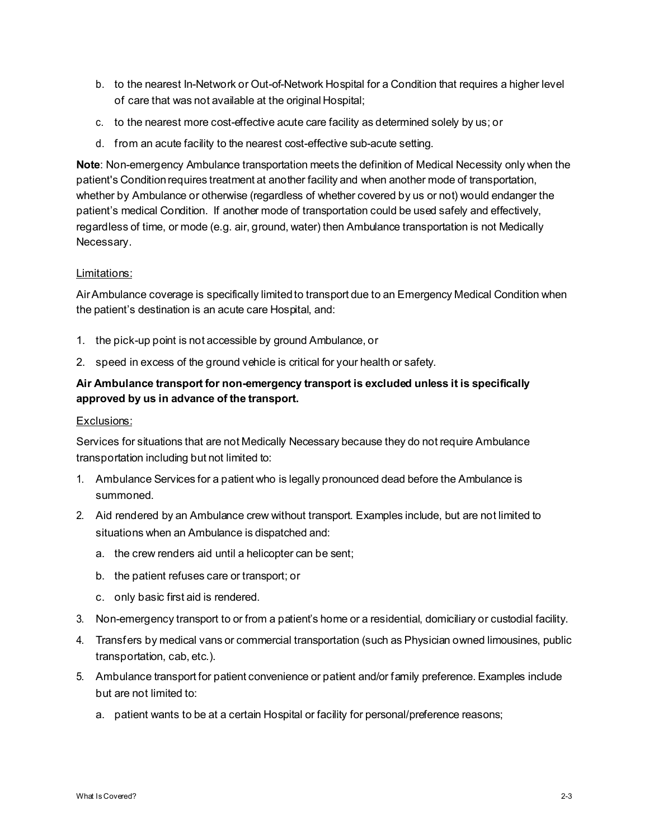- b. to the nearest In-Network or Out-of-Network Hospital for a Condition that requires a higher level of care that was not available at the original Hospital;
- c. to the nearest more cost-effective acute care facility as determined solely by us; or
- d. from an acute facility to the nearest cost-effective sub-acute setting.

**Note**: Non-emergency Ambulance transportation meets the definition of Medical Necessity only when the patient's Condition requires treatment at another facility and when another mode of transportation, whether by Ambulance or otherwise (regardless of whether covered by us or not) would endanger the patient's medical Condition. If another mode of transportation could be used safely and effectively, regardless of time, or mode (e.g. air, ground, water) then Ambulance transportation is not Medically Necessary.

#### Limitations:

Air Ambulance coverage is specifically limited to transport due to an Emergency Medical Condition when the patient's destination is an acute care Hospital, and:

- 1. the pick-up point is not accessible by ground Ambulance, or
- 2. speed in excess of the ground vehicle is critical for your health or safety.

# **Air Ambulance transport for non-emergency transport is excluded unless it is specifically approved by us in advance of the transport.**

#### Exclusions:

Services for situations that are not Medically Necessary because they do not require Ambulance transportation including but not limited to:

- 1. Ambulance Services for a patient who is legally pronounced dead before the Ambulance is summoned.
- 2. Aid rendered by an Ambulance crew without transport. Examples include, but are not limited to situations when an Ambulance is dispatched and:
	- a. the crew renders aid until a helicopter can be sent;
	- b. the patient refuses care or transport; or
	- c. only basic first aid is rendered.
- 3. Non-emergency transport to or from a patient's home or a residential, domiciliary or custodial facility.
- 4. Transfers by medical vans or commercial transportation (such as Physician owned limousines, public transportation, cab, etc.).
- 5. Ambulance transport for patient convenience or patient and/or family preference. Examples include but are not limited to:
	- a. patient wants to be at a certain Hospital or facility for personal/preference reasons;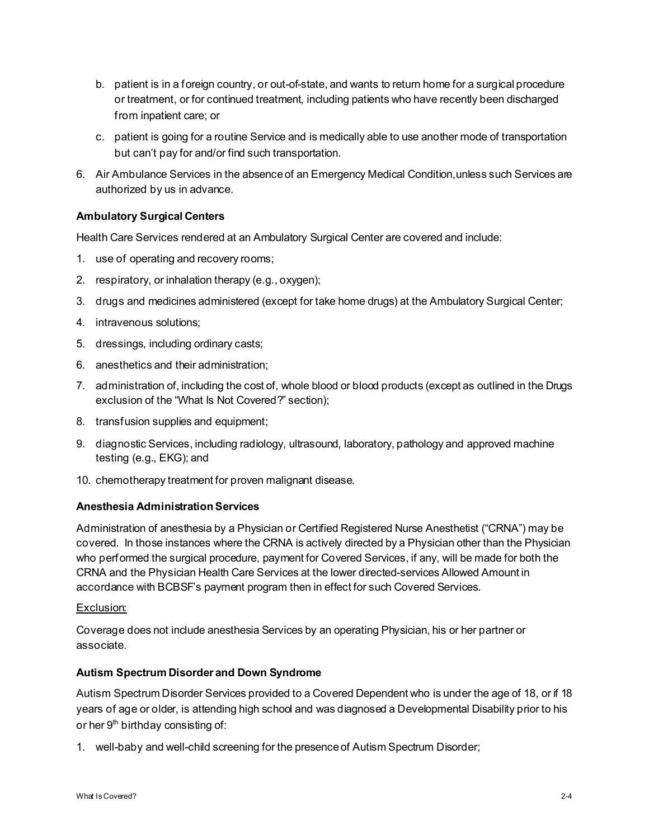- b. patient is in a foreign country, or out-of-state, and wants to return home for a surgical procedure or treatment, or for continued treatment, including patients who have recently been discharged from inpatient care; or
- c. patient is going for a routine Service and is medically able to use another mode of transportation but can't pay for and/or find such transportation.
- 6. Air Ambulance Services in the absence of an Emergency Medical Condition,unless such Services are authorized by us in advance.

# **Ambulatory Surgical Centers**

Health Care Services rendered at an Ambulatory Surgical Center are covered and include:

- 1. use of operating and recovery rooms;
- 2. respiratory, or inhalation therapy (e.g., oxygen);
- 3. drugs and medicines administered (except for take home drugs) at the Ambulatory Surgical Center;
- 4. intravenous solutions;
- 5. dressings, including ordinary casts;
- 6. anesthetics and their administration;
- 7. administration of, including the cost of, whole blood or blood products (except as outlined in the Drugs exclusion of the "What Is Not Covered?" section);
- 8. transfusion supplies and equipment;
- 9. diagnostic Services, including radiology, ultrasound, laboratory, pathology and approved machine testing (e.g., EKG); and
- 10. chemotherapy treatment for proven malignant disease.

# **Anesthesia Administration Services**

Administration of anesthesia by a Physician or Certified Registered Nurse Anesthetist ("CRNA") may be covered. In those instances where the CRNA is actively directed by a Physician other than the Physician who performed the surgical procedure, payment for Covered Services, if any, will be made for both the CRNA and the Physician Health Care Services at the lower directed-services Allowed Amount in accordance with BCBSF's payment program then in effect for such Covered Services.

#### Exclusion:

Coverage does not include anesthesia Services by an operating Physician, his or her partner or associate.

# **Autism Spectrum Disorder and Down Syndrome**

Autism Spectrum Disorder Services provided to a Covered Dependent who is under the age of 18, or if 18 years of age or older, is attending high school and was diagnosed a Developmental Disability prior to his or her  $9<sup>th</sup>$  birthday consisting of:

1. well-baby and well-child screening for the presence of Autism Spectrum Disorder;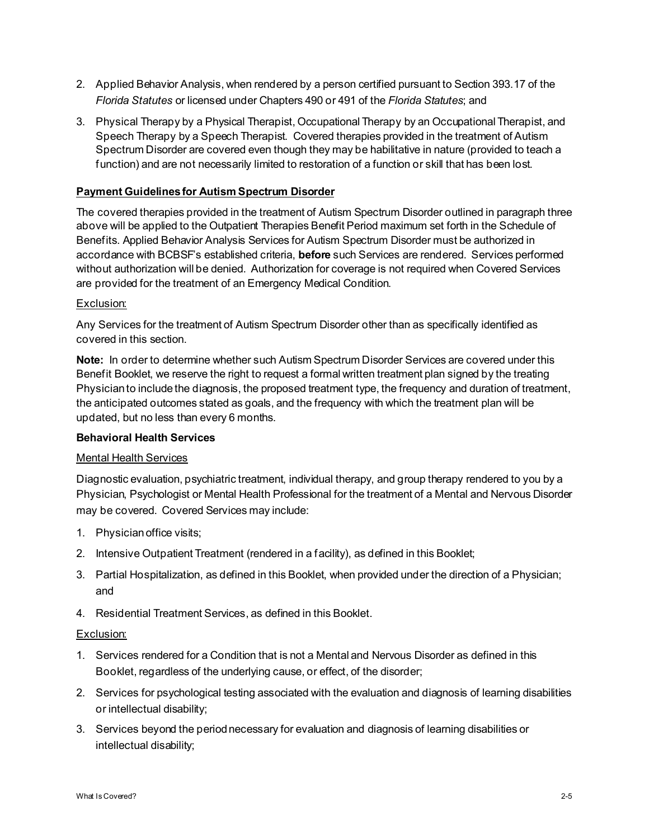- 2. Applied Behavior Analysis, when rendered by a person certified pursuant to Section 393.17 of the *Florida Statutes* or licensed under Chapters 490 or 491 of the *Florida Statutes*; and
- 3. Physical Therapy by a Physical Therapist, Occupational Therapy by an Occupational Therapist, and Speech Therapy by a Speech Therapist. Covered therapies provided in the treatment of Autism Spectrum Disorder are covered even though they may be habilitative in nature (provided to teach a function) and are not necessarily limited to restoration of a function or skill that has been lost.

# **Payment Guidelines for Autism Spectrum Disorder**

The covered therapies provided in the treatment of Autism Spectrum Disorder outlined in paragraph three above will be applied to the Outpatient Therapies Benefit Period maximum set forth in the Schedule of Benefits. Applied Behavior Analysis Services for Autism Spectrum Disorder must be authorized in accordance with BCBSF's established criteria, **before** such Services are rendered. Services performed without authorization will be denied. Authorization for coverage is not required when Covered Services are provided for the treatment of an Emergency Medical Condition.

# Exclusion:

Any Services for the treatment of Autism Spectrum Disorder other than as specifically identified as covered in this section.

**Note:** In order to determine whether such Autism Spectrum Disorder Services are covered under this Benefit Booklet, we reserve the right to request a formal written treatment plan signed by the treating Physician to include the diagnosis, the proposed treatment type, the frequency and duration of treatment, the anticipated outcomes stated as goals, and the frequency with which the treatment plan will be updated, but no less than every 6 months.

#### **Behavioral Health Services**

# Mental Health Services

Diagnostic evaluation, psychiatric treatment, individual therapy, and group therapy rendered to you by a Physician, Psychologist or Mental Health Professional for the treatment of a Mental and Nervous Disorder may be covered. Covered Services may include:

- 1. Physician office visits;
- 2. Intensive Outpatient Treatment (rendered in a facility), as defined in this Booklet;
- 3. Partial Hospitalization, as defined in this Booklet, when provided under the direction of a Physician; and
- 4. Residential Treatment Services, as defined in this Booklet.

#### Exclusion:

- 1. Services rendered for a Condition that is not a Mental and Nervous Disorder as defined in this Booklet, regardless of the underlying cause, or effect, of the disorder;
- 2. Services for psychological testing associated with the evaluation and diagnosis of learning disabilities or intellectual disability;
- 3. Services beyond the period necessary for evaluation and diagnosis of learning disabilities or intellectual disability;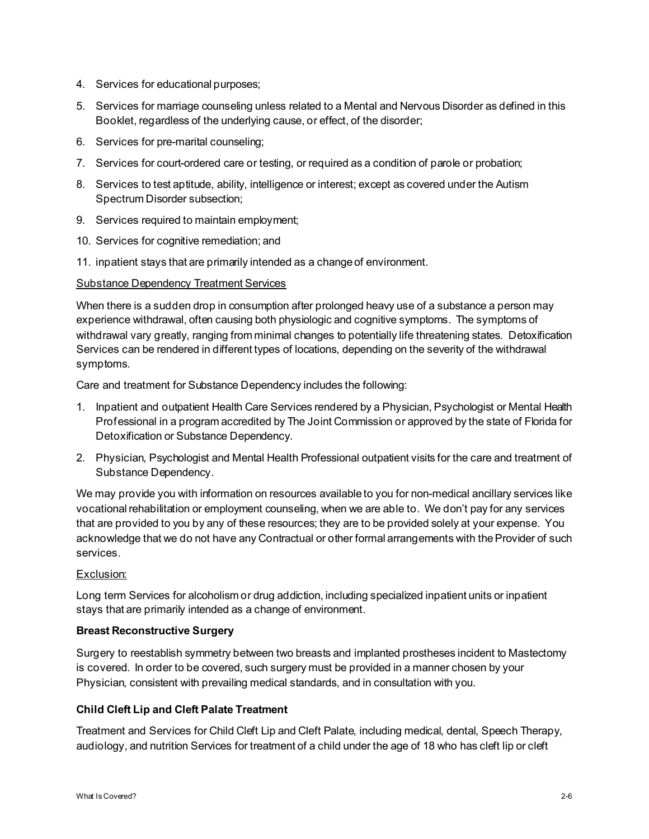- 4. Services for educational purposes;
- 5. Services for marriage counseling unless related to a Mental and Nervous Disorder as defined in this Booklet, regardless of the underlying cause, or effect, of the disorder;
- 6. Services for pre-marital counseling;
- 7. Services for court-ordered care or testing, or required as a condition of parole or probation;
- 8. Services to test aptitude, ability, intelligence or interest; except as covered under the Autism Spectrum Disorder subsection;
- 9. Services required to maintain employment;
- 10. Services for cognitive remediation; and
- 11. inpatient stays that are primarily intended as a change of environment.

# Substance Dependency Treatment Services

When there is a sudden drop in consumption after prolonged heavy use of a substance a person may experience withdrawal, often causing both physiologic and cognitive symptoms. The symptoms of withdrawal vary greatly, ranging from minimal changes to potentially life threatening states. Detoxification Services can be rendered in different types of locations, depending on the severity of the withdrawal symptoms.

Care and treatment for Substance Dependency includes the following:

- 1. Inpatient and outpatient Health Care Services rendered by a Physician, Psychologist or Mental Health Professional in a program accredited by The Joint Commission or approved by the state of Florida for Detoxification or Substance Dependency.
- 2. Physician, Psychologist and Mental Health Professional outpatient visits for the care and treatment of Substance Dependency.

We may provide you with information on resources available to you for non-medical ancillary services like vocational rehabilitation or employment counseling, when we are able to. We don't pay for any services that are provided to you by any of these resources; they are to be provided solely at your expense. You acknowledge that we do not have any Contractual or other formal arrangements with the Provider of such services.

# Exclusion:

Long term Services for alcoholism or drug addiction, including specialized inpatient units or inpatient stays that are primarily intended as a change of environment.

# **Breast Reconstructive Surgery**

Surgery to reestablish symmetry between two breasts and implanted prostheses incident to Mastectomy is covered. In order to be covered, such surgery must be provided in a manner chosen by your Physician, consistent with prevailing medical standards, and in consultation with you.

# **Child Cleft Lip and Cleft Palate Treatment**

Treatment and Services for Child Cleft Lip and Cleft Palate, including medical, dental, Speech Therapy, audiology, and nutrition Services for treatment of a child under the age of 18 who has cleft lip or cleft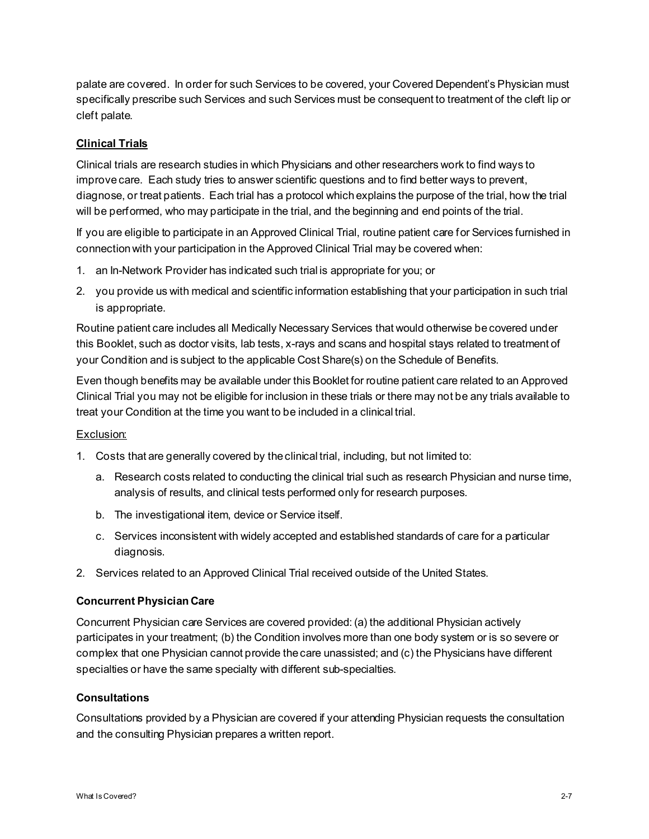palate are covered. In order for such Services to be covered, your Covered Dependent's Physician must specifically prescribe such Services and such Services must be consequent to treatment of the cleft lip or cleft palate.

# **Clinical Trials**

Clinical trials are research studies in which Physicians and other researchers work to find ways to improve care. Each study tries to answer scientific questions and to find better ways to prevent, diagnose, or treat patients. Each trial has a protocol which explains the purpose of the trial, how the trial will be performed, who may participate in the trial, and the beginning and end points of the trial.

If you are eligible to participate in an Approved Clinical Trial, routine patient care for Services furnished in connection with your participation in the Approved Clinical Trial may be covered when:

- 1. an In-Network Provider has indicated such trial is appropriate for you; or
- 2. you provide us with medical and scientific information establishing that your participation in such trial is appropriate.

Routine patient care includes all Medically Necessary Services that would otherwise be covered under this Booklet, such as doctor visits, lab tests, x-rays and scans and hospital stays related to treatment of your Condition and is subject to the applicable Cost Share(s) on the Schedule of Benefits.

Even though benefits may be available under this Booklet for routine patient care related to an Approved Clinical Trial you may not be eligible for inclusion in these trials or there may not be any trials available to treat your Condition at the time you want to be included in a clinical trial.

# Exclusion:

- 1. Costs that are generally covered by the clinical trial, including, but not limited to:
	- a. Research costs related to conducting the clinical trial such as research Physician and nurse time, analysis of results, and clinical tests performed only for research purposes.
	- b. The investigational item, device or Service itself.
	- c. Services inconsistent with widely accepted and established standards of care for a particular diagnosis.
- 2. Services related to an Approved Clinical Trial received outside of the United States.

# **Concurrent Physician Care**

Concurrent Physician care Services are covered provided: (a) the additional Physician actively participates in your treatment; (b) the Condition involves more than one body system or is so severe or complex that one Physician cannot provide the care unassisted; and (c) the Physicians have different specialties or have the same specialty with different sub-specialties.

#### **Consultations**

Consultations provided by a Physician are covered if your attending Physician requests the consultation and the consulting Physician prepares a written report.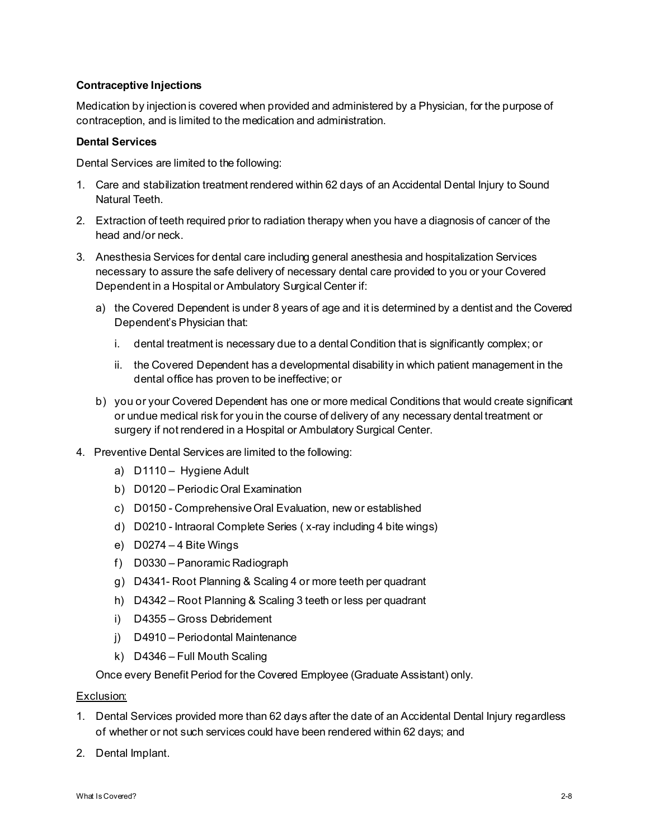# **Contraceptive Injections**

Medication by injection is covered when provided and administered by a Physician, for the purpose of contraception, and is limited to the medication and administration.

#### **Dental Services**

Dental Services are limited to the following:

- 1. Care and stabilization treatment rendered within 62 days of an Accidental Dental Injury to Sound Natural Teeth.
- 2. Extraction of teeth required prior to radiation therapy when you have a diagnosis of cancer of the head and/or neck.
- 3. Anesthesia Services for dental care including general anesthesia and hospitalization Services necessary to assure the safe delivery of necessary dental care provided to you or your Covered Dependent in a Hospital or Ambulatory Surgical Center if:
	- a) the Covered Dependent is under 8 years of age and it is determined by a dentist and the Covered Dependent's Physician that:
		- i. dental treatment is necessary due to a dental Condition that is significantly complex; or
		- ii. the Covered Dependent has a developmental disability in which patient management in the dental office has proven to be ineffective; or
	- b) you or your Covered Dependent has one or more medical Conditions that would create significant or undue medical risk for you in the course of delivery of any necessary dental treatment or surgery if not rendered in a Hospital or Ambulatory Surgical Center.
- 4. Preventive Dental Services are limited to the following:
	- a) D1110 Hygiene Adult
	- b) D0120 Periodic Oral Examination
	- c) D0150 Comprehensive Oral Evaluation, new or established
	- d) D0210 Intraoral Complete Series ( x-ray including 4 bite wings)
	- e) D0274 4 Bite Wings
	- f) D0330 Panoramic Radiograph
	- g) D4341- Root Planning & Scaling 4 or more teeth per quadrant
	- h) D4342 Root Planning & Scaling 3 teeth or less per quadrant
	- i) D4355 Gross Debridement
	- j) D4910 Periodontal Maintenance
	- k) D4346 Full Mouth Scaling

Once every Benefit Period for the Covered Employee (Graduate Assistant) only.

#### Exclusion:

- 1. Dental Services provided more than 62 days after the date of an Accidental Dental Injury regardless of whether or not such services could have been rendered within 62 days; and
- 2. Dental Implant.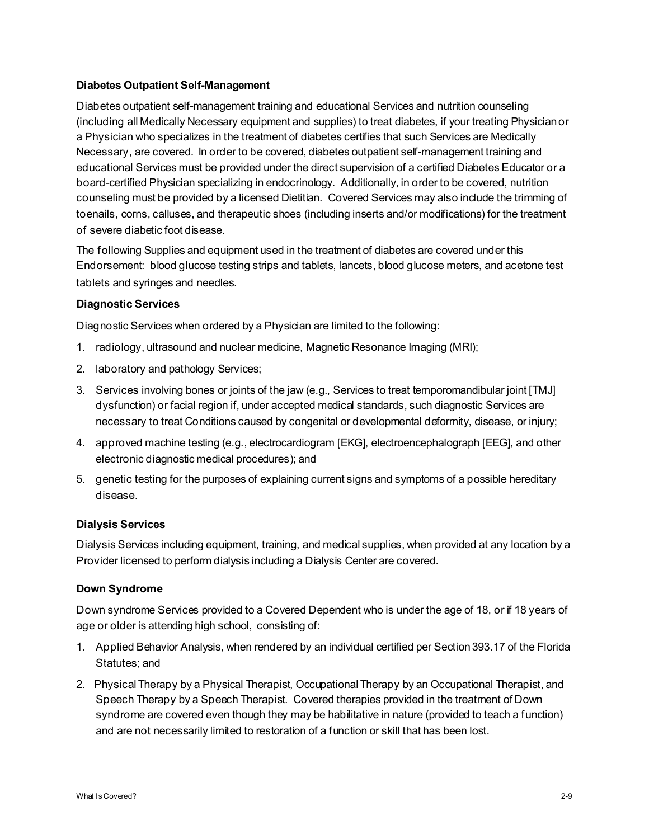# **Diabetes Outpatient Self-Management**

Diabetes outpatient self-management training and educational Services and nutrition counseling (including all Medically Necessary equipment and supplies) to treat diabetes, if your treating Physician or a Physician who specializes in the treatment of diabetes certifies that such Services are Medically Necessary, are covered. In order to be covered, diabetes outpatient self-management training and educational Services must be provided under the direct supervision of a certified Diabetes Educator or a board-certified Physician specializing in endocrinology. Additionally, in order to be covered, nutrition counseling must be provided by a licensed Dietitian. Covered Services may also include the trimming of toenails, corns, calluses, and therapeutic shoes (including inserts and/or modifications) for the treatment of severe diabetic foot disease.

The following Supplies and equipment used in the treatment of diabetes are covered under this Endorsement: blood glucose testing strips and tablets, lancets, blood glucose meters, and acetone test tablets and syringes and needles.

# **Diagnostic Services**

Diagnostic Services when ordered by a Physician are limited to the following:

- 1. radiology, ultrasound and nuclear medicine, Magnetic Resonance Imaging (MRI);
- 2. laboratory and pathology Services;
- 3. Services involving bones or joints of the jaw (e.g., Services to treat temporomandibular joint [TMJ] dysfunction) or facial region if, under accepted medical standards, such diagnostic Services are necessary to treat Conditions caused by congenital or developmental deformity, disease, or injury;
- 4. approved machine testing (e.g., electrocardiogram [EKG], electroencephalograph [EEG], and other electronic diagnostic medical procedures); and
- 5. genetic testing for the purposes of explaining current signs and symptoms of a possible hereditary disease.

# **Dialysis Services**

Dialysis Services including equipment, training, and medical supplies, when provided at any location by a Provider licensed to perform dialysis including a Dialysis Center are covered.

# **Down Syndrome**

Down syndrome Services provided to a Covered Dependent who is under the age of 18, or if 18 years of age or older is attending high school, consisting of:

- 1. Applied Behavior Analysis, when rendered by an individual certified per Section 393.17 of the Florida Statutes; and
- 2. Physical Therapy by a Physical Therapist, Occupational Therapy by an Occupational Therapist, and Speech Therapy by a Speech Therapist. Covered therapies provided in the treatment of Down syndrome are covered even though they may be habilitative in nature (provided to teach a function) and are not necessarily limited to restoration of a function or skill that has been lost.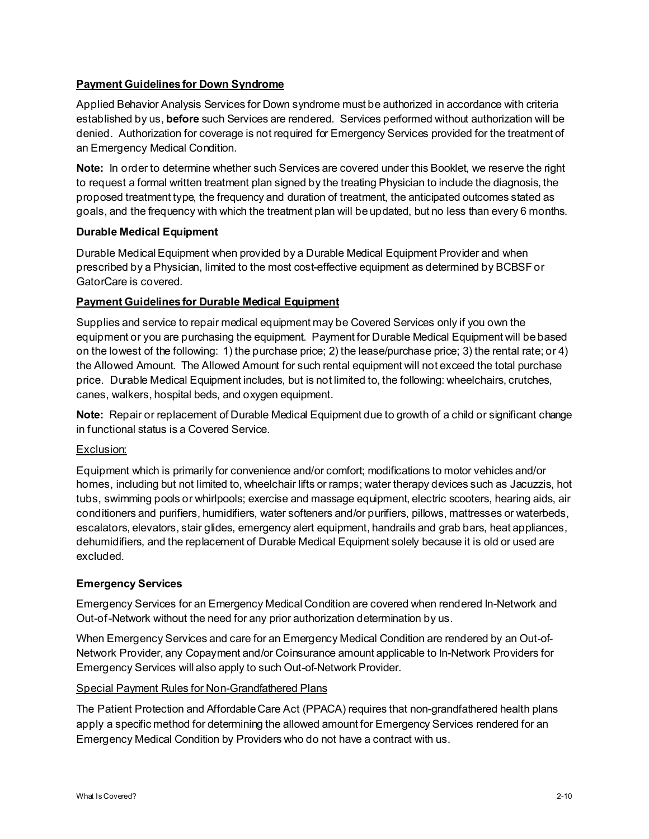# **Payment Guidelines for Down Syndrome**

Applied Behavior Analysis Services for Down syndrome must be authorized in accordance with criteria established by us, **before** such Services are rendered. Services performed without authorization will be denied. Authorization for coverage is not required for Emergency Services provided for the treatment of an Emergency Medical Condition.

**Note:** In order to determine whether such Services are covered under this Booklet, we reserve the right to request a formal written treatment plan signed by the treating Physician to include the diagnosis, the proposed treatment type, the frequency and duration of treatment, the anticipated outcomes stated as goals, and the frequency with which the treatment plan will be updated, but no less than every 6 months.

# **Durable Medical Equipment**

Durable Medical Equipment when provided by a Durable Medical Equipment Provider and when prescribed by a Physician, limited to the most cost-effective equipment as determined by BCBSF or GatorCare is covered.

# **Payment Guidelines for Durable Medical Equipment**

Supplies and service to repair medical equipment may be Covered Services only if you own the equipment or you are purchasing the equipment. Payment for Durable Medical Equipment will be based on the lowest of the following: 1) the purchase price; 2) the lease/purchase price; 3) the rental rate; or 4) the Allowed Amount. The Allowed Amount for such rental equipment will not exceed the total purchase price. Durable Medical Equipment includes, but is not limited to, the following: wheelchairs, crutches, canes, walkers, hospital beds, and oxygen equipment.

**Note:** Repair or replacement of Durable Medical Equipment due to growth of a child or significant change in functional status is a Covered Service.

# Exclusion:

Equipment which is primarily for convenience and/or comfort; modifications to motor vehicles and/or homes, including but not limited to, wheelchair lifts or ramps; water therapy devices such as Jacuzzis, hot tubs, swimming pools or whirlpools; exercise and massage equipment, electric scooters, hearing aids, air conditioners and purifiers, humidifiers, water softeners and/or purifiers, pillows, mattresses or waterbeds, escalators, elevators, stair glides, emergency alert equipment, handrails and grab bars, heat appliances, dehumidifiers, and the replacement of Durable Medical Equipment solely because it is old or used are excluded.

# **Emergency Services**

Emergency Services for an Emergency Medical Condition are covered when rendered In-Network and Out-of-Network without the need for any prior authorization determination by us.

When Emergency Services and care for an Emergency Medical Condition are rendered by an Out-of-Network Provider, any Copayment and/or Coinsurance amount applicable to In-Network Providers for Emergency Services will also apply to such Out-of-Network Provider.

# Special Payment Rules for Non-Grandfathered Plans

The Patient Protection and Affordable Care Act (PPACA) requires that non-grandfathered health plans apply a specific method for determining the allowed amount for Emergency Services rendered for an Emergency Medical Condition by Providers who do not have a contract with us.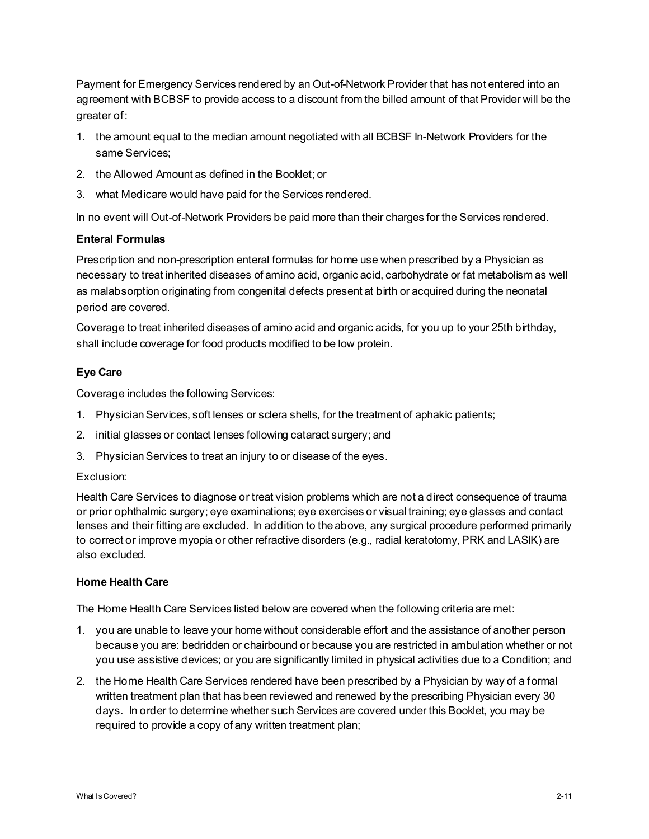Payment for Emergency Services rendered by an Out-of-Network Provider that has not entered into an agreement with BCBSF to provide access to a discount from the billed amount of that Provider will be the greater of:

- 1. the amount equal to the median amount negotiated with all BCBSF In-Network Providers for the same Services;
- 2. the Allowed Amount as defined in the Booklet; or
- 3. what Medicare would have paid for the Services rendered.

In no event will Out-of-Network Providers be paid more than their charges for the Services rendered.

# **Enteral Formulas**

Prescription and non-prescription enteral formulas for home use when prescribed by a Physician as necessary to treat inherited diseases of amino acid, organic acid, carbohydrate or fat metabolism as well as malabsorption originating from congenital defects present at birth or acquired during the neonatal period are covered.

Coverage to treat inherited diseases of amino acid and organic acids, for you up to your 25th birthday, shall include coverage for food products modified to be low protein.

# **Eye Care**

Coverage includes the following Services:

- 1. Physician Services, soft lenses or sclera shells, for the treatment of aphakic patients;
- 2. initial glasses or contact lenses following cataract surgery; and
- 3. Physician Services to treat an injury to or disease of the eyes.

# Exclusion:

Health Care Services to diagnose or treat vision problems which are not a direct consequence of trauma or prior ophthalmic surgery; eye examinations; eye exercises or visual training; eye glasses and contact lenses and their fitting are excluded. In addition to the above, any surgical procedure performed primarily to correct or improve myopia or other refractive disorders (e.g., radial keratotomy, PRK and LASIK) are also excluded.

# **Home Health Care**

The Home Health Care Services listed below are covered when the following criteria are met:

- 1. you are unable to leave your home without considerable effort and the assistance of another person because you are: bedridden or chairbound or because you are restricted in ambulation whether or not you use assistive devices; or you are significantly limited in physical activities due to a Condition; and
- 2. the Home Health Care Services rendered have been prescribed by a Physician by way of a formal written treatment plan that has been reviewed and renewed by the prescribing Physician every 30 days. In order to determine whether such Services are covered under this Booklet, you may be required to provide a copy of any written treatment plan;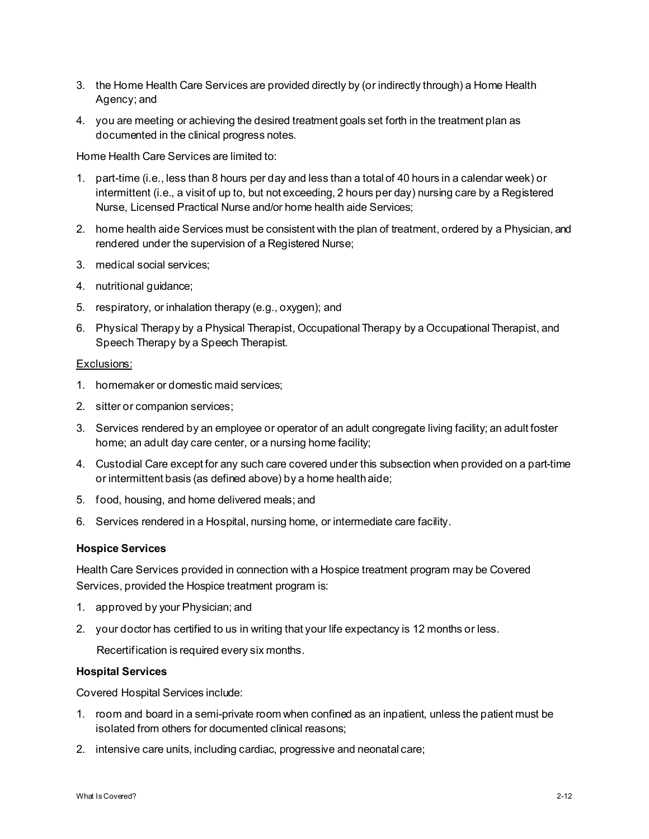- 3. the Home Health Care Services are provided directly by (or indirectly through) a Home Health Agency; and
- 4. you are meeting or achieving the desired treatment goals set forth in the treatment plan as documented in the clinical progress notes.

Home Health Care Services are limited to:

- 1. part-time (i.e., less than 8 hours per day and less than a total of 40 hours in a calendar week) or intermittent (i.e., a visit of up to, but not exceeding, 2 hours per day) nursing care by a Registered Nurse, Licensed Practical Nurse and/or home health aide Services;
- 2. home health aide Services must be consistent with the plan of treatment, ordered by a Physician, and rendered under the supervision of a Registered Nurse;
- 3. medical social services;
- 4. nutritional guidance;
- 5. respiratory, or inhalation therapy (e.g., oxygen); and
- 6. Physical Therapy by a Physical Therapist, Occupational Therapy by a Occupational Therapist, and Speech Therapy by a Speech Therapist.

#### Exclusions:

- 1. homemaker or domestic maid services;
- 2. sitter or companion services;
- 3. Services rendered by an employee or operator of an adult congregate living facility; an adult foster home; an adult day care center, or a nursing home facility;
- 4. Custodial Care except for any such care covered under this subsection when provided on a part-time or intermittent basis (as defined above) by a home health aide;
- 5. food, housing, and home delivered meals; and
- 6. Services rendered in a Hospital, nursing home, or intermediate care facility.

#### **Hospice Services**

Health Care Services provided in connection with a Hospice treatment program may be Covered Services, provided the Hospice treatment program is:

- 1. approved by your Physician; and
- 2. your doctor has certified to us in writing that your life expectancy is 12 months or less.

Recertification is required every six months.

#### **Hospital Services**

Covered Hospital Services include:

- 1. room and board in a semi-private room when confined as an inpatient, unless the patient must be isolated from others for documented clinical reasons;
- 2. intensive care units, including cardiac, progressive and neonatal care;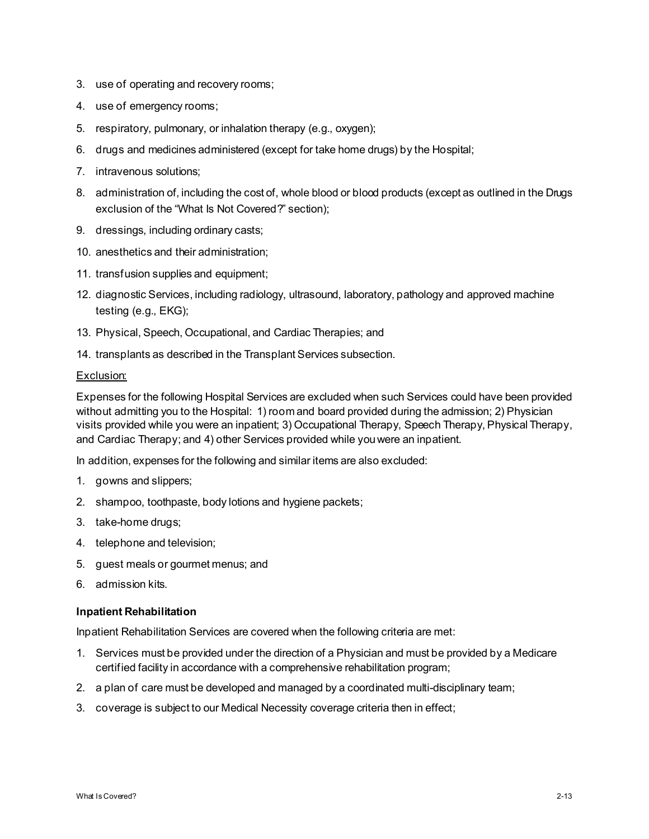- 3. use of operating and recovery rooms;
- 4. use of emergency rooms;
- 5. respiratory, pulmonary, or inhalation therapy (e.g., oxygen);
- 6. drugs and medicines administered (except for take home drugs) by the Hospital;
- 7. intravenous solutions;
- 8. administration of, including the cost of, whole blood or blood products (except as outlined in the Drugs exclusion of the "What Is Not Covered?" section);
- 9. dressings, including ordinary casts;
- 10. anesthetics and their administration;
- 11. transfusion supplies and equipment;
- 12. diagnostic Services, including radiology, ultrasound, laboratory, pathology and approved machine testing (e.g., EKG);
- 13. Physical, Speech, Occupational, and Cardiac Therapies; and
- 14. transplants as described in the Transplant Services subsection.

# Exclusion:

Expenses for the following Hospital Services are excluded when such Services could have been provided without admitting you to the Hospital: 1) room and board provided during the admission; 2) Physician visits provided while you were an inpatient; 3) Occupational Therapy, Speech Therapy, Physical Therapy, and Cardiac Therapy; and 4) other Services provided while you were an inpatient.

In addition, expenses for the following and similar items are also excluded:

- 1. gowns and slippers;
- 2. shampoo, toothpaste, body lotions and hygiene packets;
- 3. take-home drugs;
- 4. telephone and television;
- 5. guest meals or gourmet menus; and
- 6. admission kits.

# **Inpatient Rehabilitation**

Inpatient Rehabilitation Services are covered when the following criteria are met:

- 1. Services must be provided under the direction of a Physician and must be provided by a Medicare certified facility in accordance with a comprehensive rehabilitation program;
- 2. a plan of care must be developed and managed by a coordinated multi-disciplinary team;
- 3. coverage is subject to our Medical Necessity coverage criteria then in effect;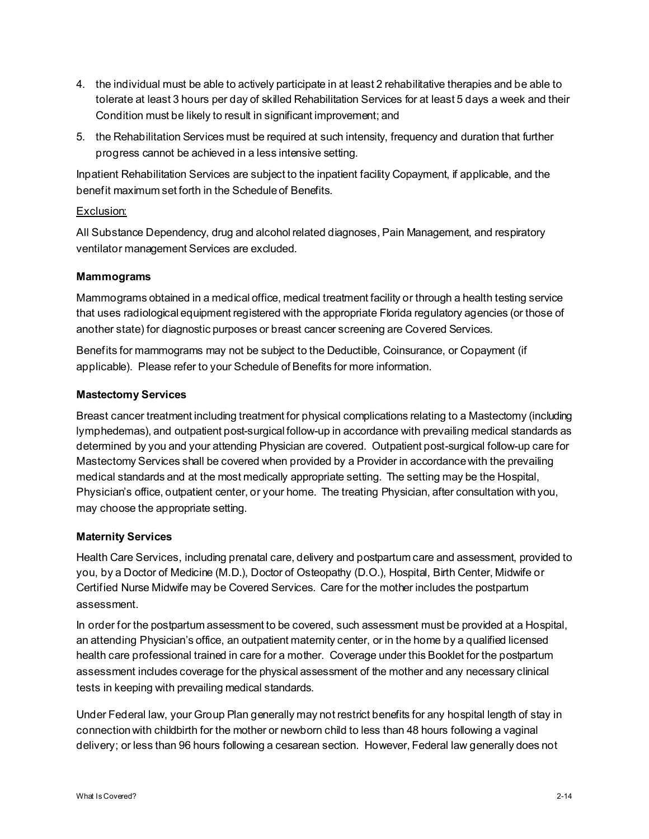- 4. the individual must be able to actively participate in at least 2 rehabilitative therapies and be able to tolerate at least 3 hours per day of skilled Rehabilitation Services for at least 5 days a week and their Condition must be likely to result in significant improvement; and
- 5. the Rehabilitation Services must be required at such intensity, frequency and duration that further progress cannot be achieved in a less intensive setting.

Inpatient Rehabilitation Services are subject to the inpatient facility Copayment, if applicable, and the benefit maximum set forth in the Schedule of Benefits.

# Exclusion:

All Substance Dependency, drug and alcohol related diagnoses, Pain Management, and respiratory ventilator management Services are excluded.

# **Mammograms**

Mammograms obtained in a medical office, medical treatment facility or through a health testing service that uses radiological equipment registered with the appropriate Florida regulatory agencies (or those of another state) for diagnostic purposes or breast cancer screening are Covered Services.

Benefits for mammograms may not be subject to the Deductible, Coinsurance, or Copayment (if applicable). Please refer to your Schedule of Benefits for more information.

# **Mastectomy Services**

Breast cancer treatment including treatment for physical complications relating to a Mastectomy (including lymphedemas), and outpatient post-surgical follow-up in accordance with prevailing medical standards as determined by you and your attending Physician are covered. Outpatient post-surgical follow-up care for Mastectomy Services shall be covered when provided by a Provider in accordance with the prevailing medical standards and at the most medically appropriate setting. The setting may be the Hospital, Physician's office, outpatient center, or your home. The treating Physician, after consultation with you, may choose the appropriate setting.

# **Maternity Services**

Health Care Services, including prenatal care, delivery and postpartum care and assessment, provided to you, by a Doctor of Medicine (M.D.), Doctor of Osteopathy (D.O.), Hospital, Birth Center, Midwife or Certified Nurse Midwife may be Covered Services. Care for the mother includes the postpartum assessment.

In order for the postpartum assessment to be covered, such assessment must be provided at a Hospital, an attending Physician's office, an outpatient maternity center, or in the home by a qualified licensed health care professional trained in care for a mother. Coverage under this Booklet for the postpartum assessment includes coverage for the physical assessment of the mother and any necessary clinical tests in keeping with prevailing medical standards.

Under Federal law, your Group Plan generally may not restrict benefits for any hospital length of stay in connection with childbirth for the mother or newborn child to less than 48 hours following a vaginal delivery; or less than 96 hours following a cesarean section. However, Federal law generally does not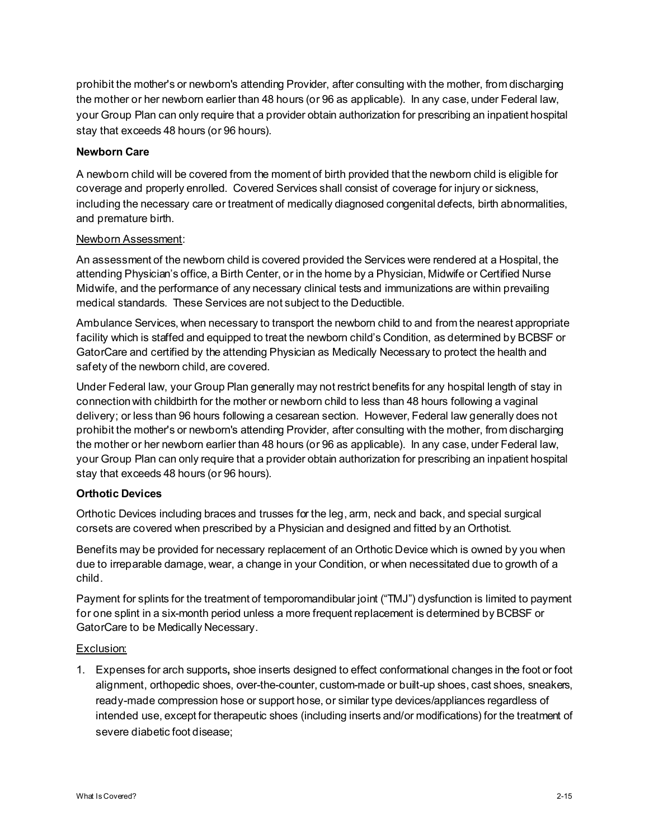prohibit the mother's or newborn's attending Provider, after consulting with the mother, from discharging the mother or her newborn earlier than 48 hours (or 96 as applicable). In any case, under Federal law, your Group Plan can only require that a provider obtain authorization for prescribing an inpatient hospital stay that exceeds 48 hours (or 96 hours).

# **Newborn Care**

A newborn child will be covered from the moment of birth provided that the newborn child is eligible for coverage and properly enrolled. Covered Services shall consist of coverage for injury or sickness, including the necessary care or treatment of medically diagnosed congenital defects, birth abnormalities, and premature birth.

# Newborn Assessment:

An assessment of the newborn child is covered provided the Services were rendered at a Hospital, the attending Physician's office, a Birth Center, or in the home by a Physician, Midwife or Certified Nurse Midwife, and the performance of any necessary clinical tests and immunizations are within prevailing medical standards. These Services are not subject to the Deductible.

Ambulance Services, when necessary to transport the newborn child to and from the nearest appropriate facility which is staffed and equipped to treat the newborn child's Condition, as determined by BCBSF or GatorCare and certified by the attending Physician as Medically Necessary to protect the health and safety of the newborn child, are covered.

Under Federal law, your Group Plan generally may not restrict benefits for any hospital length of stay in connection with childbirth for the mother or newborn child to less than 48 hours following a vaginal delivery; or less than 96 hours following a cesarean section. However, Federal law generally does not prohibit the mother's or newborn's attending Provider, after consulting with the mother, from discharging the mother or her newborn earlier than 48 hours (or 96 as applicable). In any case, under Federal law, your Group Plan can only require that a provider obtain authorization for prescribing an inpatient hospital stay that exceeds 48 hours (or 96 hours).

# **Orthotic Devices**

Orthotic Devices including braces and trusses for the leg, arm, neck and back, and special surgical corsets are covered when prescribed by a Physician and designed and fitted by an Orthotist.

Benefits may be provided for necessary replacement of an Orthotic Device which is owned by you when due to irreparable damage, wear, a change in your Condition, or when necessitated due to growth of a child.

Payment for splints for the treatment of temporomandibular joint ("TMJ") dysfunction is limited to payment for one splint in a six-month period unless a more frequent replacement is determined by BCBSF or GatorCare to be Medically Necessary.

# Exclusion:

1. Expenses for arch supports**,** shoe inserts designed to effect conformational changes in the foot or foot alignment, orthopedic shoes, over-the-counter, custom-made or built-up shoes, cast shoes, sneakers, ready-made compression hose or support hose, or similar type devices/appliances regardless of intended use, except for therapeutic shoes (including inserts and/or modifications) for the treatment of severe diabetic foot disease;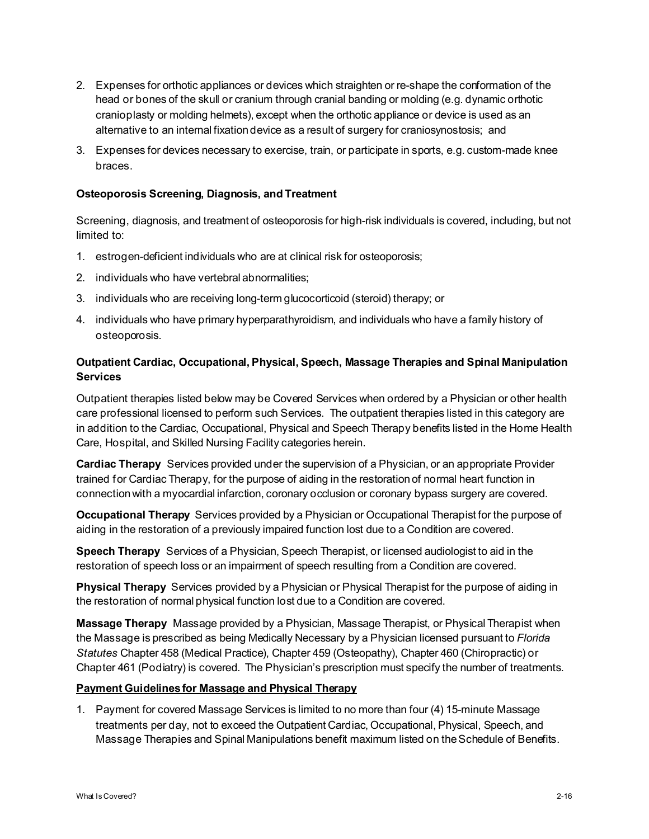- 2. Expenses for orthotic appliances or devices which straighten or re-shape the conformation of the head or bones of the skull or cranium through cranial banding or molding (e.g. dynamic orthotic cranioplasty or molding helmets), except when the orthotic appliance or device is used as an alternative to an internal fixation device as a result of surgery for craniosynostosis; and
- 3. Expenses for devices necessary to exercise, train, or participate in sports, e.g. custom-made knee braces.

#### **Osteoporosis Screening, Diagnosis, and Treatment**

Screening, diagnosis, and treatment of osteoporosis for high-risk individuals is covered, including, but not limited to:

- 1. estrogen-deficient individuals who are at clinical risk for osteoporosis;
- 2. individuals who have vertebral abnormalities;
- 3. individuals who are receiving long-term glucocorticoid (steroid) therapy; or
- 4. individuals who have primary hyperparathyroidism, and individuals who have a family history of osteoporosis.

# **Outpatient Cardiac, Occupational, Physical, Speech, Massage Therapies and Spinal Manipulation Services**

Outpatient therapies listed below may be Covered Services when ordered by a Physician or other health care professional licensed to perform such Services. The outpatient therapies listed in this category are in addition to the Cardiac, Occupational, Physical and Speech Therapy benefits listed in the Home Health Care, Hospital, and Skilled Nursing Facility categories herein.

**Cardiac Therapy** Services provided under the supervision of a Physician, or an appropriate Provider trained for Cardiac Therapy, for the purpose of aiding in the restoration of normal heart function in connection with a myocardial infarction, coronary occlusion or coronary bypass surgery are covered.

**Occupational Therapy** Services provided by a Physician or Occupational Therapist for the purpose of aiding in the restoration of a previously impaired function lost due to a Condition are covered.

**Speech Therapy** Services of a Physician, Speech Therapist, or licensed audiologist to aid in the restoration of speech loss or an impairment of speech resulting from a Condition are covered.

**Physical Therapy** Services provided by a Physician or Physical Therapist for the purpose of aiding in the restoration of normal physical function lost due to a Condition are covered.

**Massage Therapy** Massage provided by a Physician, Massage Therapist, or Physical Therapist when the Massage is prescribed as being Medically Necessary by a Physician licensed pursuant to *Florida Statutes* Chapter 458 (Medical Practice), Chapter 459 (Osteopathy), Chapter 460 (Chiropractic) or Chapter 461 (Podiatry) is covered. The Physician's prescription must specify the number of treatments.

# **Payment Guidelines for Massage and Physical Therapy**

1. Payment for covered Massage Services is limited to no more than four (4) 15-minute Massage treatments per day, not to exceed the Outpatient Cardiac, Occupational, Physical, Speech, and Massage Therapies and Spinal Manipulations benefit maximum listed on the Schedule of Benefits.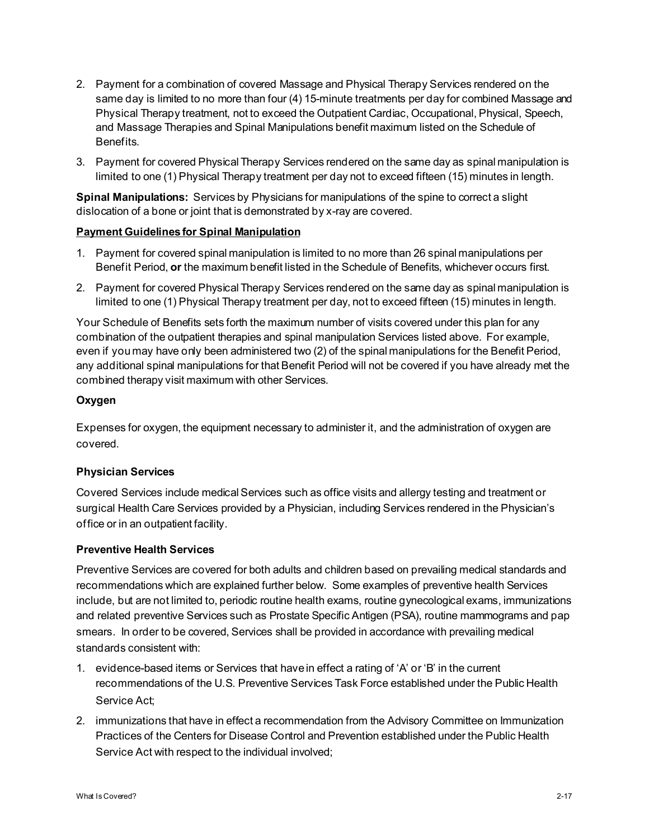- 2. Payment for a combination of covered Massage and Physical Therapy Services rendered on the same day is limited to no more than four (4) 15-minute treatments per day for combined Massage and Physical Therapy treatment, not to exceed the Outpatient Cardiac, Occupational, Physical, Speech, and Massage Therapies and Spinal Manipulations benefit maximum listed on the Schedule of Benefits.
- 3. Payment for covered Physical Therapy Services rendered on the same day as spinal manipulation is limited to one (1) Physical Therapy treatment per day not to exceed fifteen (15) minutes in length.

**Spinal Manipulations:** Services by Physicians for manipulations of the spine to correct a slight dislocation of a bone or joint that is demonstrated by x-ray are covered.

# **Payment Guidelines for Spinal Manipulation**

- 1. Payment for covered spinal manipulation is limited to no more than 26 spinal manipulations per Benefit Period, **or** the maximum benefit listed in the Schedule of Benefits, whichever occurs first.
- 2. Payment for covered Physical Therapy Services rendered on the same day as spinal manipulation is limited to one (1) Physical Therapy treatment per day, not to exceed fifteen (15) minutes in length.

Your Schedule of Benefits sets forth the maximum number of visits covered under this plan for any combination of the outpatient therapies and spinal manipulation Services listed above. For example, even if you may have only been administered two (2) of the spinal manipulations for the Benefit Period, any additional spinal manipulations for that Benefit Period will not be covered if you have already met the combined therapy visit maximum with other Services.

# **Oxygen**

Expenses for oxygen, the equipment necessary to administer it, and the administration of oxygen are covered.

# **Physician Services**

Covered Services include medical Services such as office visits and allergy testing and treatment or surgical Health Care Services provided by a Physician, including Services rendered in the Physician's office or in an outpatient facility.

# **Preventive Health Services**

Preventive Services are covered for both adults and children based on prevailing medical standards and recommendations which are explained further below. Some examples of preventive health Services include, but are not limited to, periodic routine health exams, routine gynecological exams, immunizations and related preventive Services such as Prostate Specific Antigen (PSA), routine mammograms and pap smears. In order to be covered, Services shall be provided in accordance with prevailing medical standards consistent with:

- 1. evidence-based items or Services that have in effect a rating of 'A' or 'B' in the current recommendations of the U.S. Preventive Services Task Force established under the Public Health Service Act;
- 2. immunizations that have in effect a recommendation from the Advisory Committee on Immunization Practices of the Centers for Disease Control and Prevention established under the Public Health Service Act with respect to the individual involved;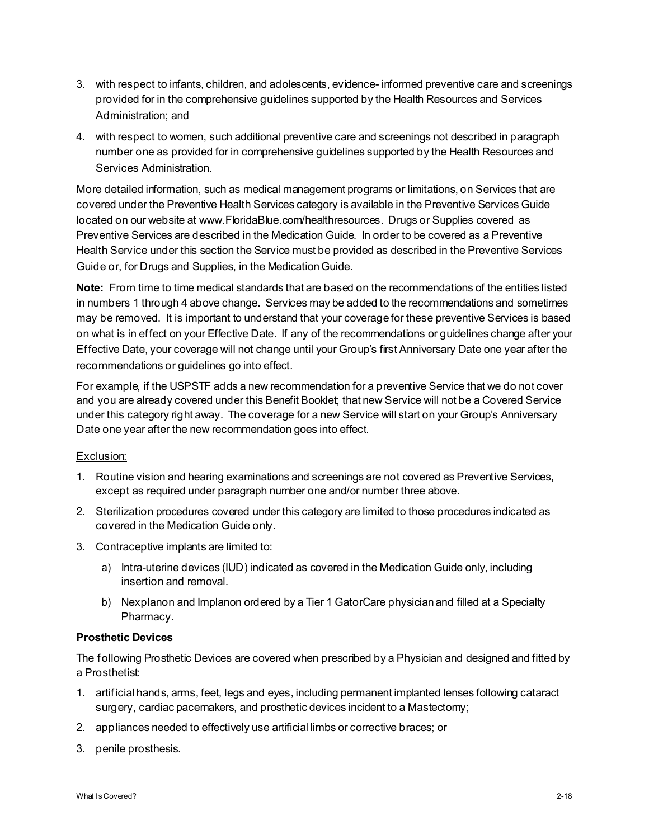- 3. with respect to infants, children, and adolescents, evidence- informed preventive care and screenings provided for in the comprehensive guidelines supported by the Health Resources and Services Administration; and
- 4. with respect to women, such additional preventive care and screenings not described in paragraph number one as provided for in comprehensive guidelines supported by the Health Resources and Services Administration.

More detailed information, such as medical management programs or limitations, on Services that are covered under the Preventive Health Services category is available in the Preventive Services Guide located on our website at www.FloridaBlue.com/healthresources. Drugs or Supplies covered as Preventive Services are described in the Medication Guide. In order to be covered as a Preventive Health Service under this section the Service must be provided as described in the Preventive Services Guide or, for Drugs and Supplies, in the Medication Guide.

**Note:** From time to time medical standards that are based on the recommendations of the entities listed in numbers 1 through 4 above change. Services may be added to the recommendations and sometimes may be removed. It is important to understand that your coverage for these preventive Services is based on what is in effect on your Effective Date. If any of the recommendations or guidelines change after your Effective Date, your coverage will not change until your Group's first Anniversary Date one year after the recommendations or guidelines go into effect.

For example, if the USPSTF adds a new recommendation for a preventive Service that we do not cover and you are already covered under this Benefit Booklet; that new Service will not be a Covered Service under this category right away. The coverage for a new Service will start on your Group's Anniversary Date one year after the new recommendation goes into effect.

# Exclusion:

- 1. Routine vision and hearing examinations and screenings are not covered as Preventive Services, except as required under paragraph number one and/or number three above.
- 2. Sterilization procedures covered under this category are limited to those procedures indicated as covered in the Medication Guide only.
- 3. Contraceptive implants are limited to:
	- a) Intra-uterine devices (IUD) indicated as covered in the Medication Guide only, including insertion and removal.
	- b) Nexplanon and Implanon ordered by a Tier 1 GatorCare physician and filled at a Specialty Pharmacy.

# **Prosthetic Devices**

The following Prosthetic Devices are covered when prescribed by a Physician and designed and fitted by a Prosthetist:

- 1. artificial hands, arms, feet, legs and eyes, including permanent implanted lenses following cataract surgery, cardiac pacemakers, and prosthetic devices incident to a Mastectomy;
- 2. appliances needed to effectively use artificial limbs or corrective braces; or
- 3. penile prosthesis.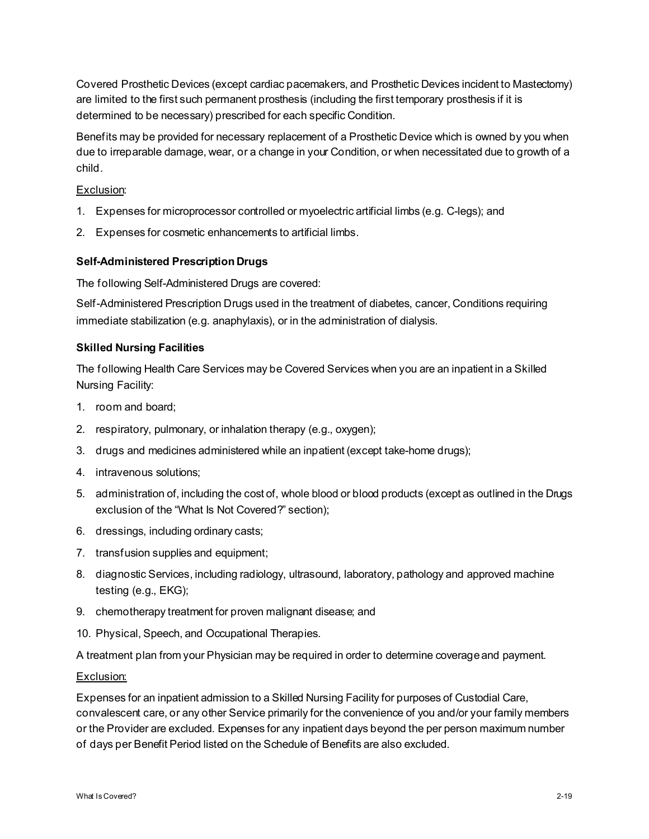Covered Prosthetic Devices (except cardiac pacemakers, and Prosthetic Devices incident to Mastectomy) are limited to the first such permanent prosthesis (including the first temporary prosthesis if it is determined to be necessary) prescribed for each specific Condition.

Benefits may be provided for necessary replacement of a Prosthetic Device which is owned by you when due to irreparable damage, wear, or a change in your Condition, or when necessitated due to growth of a child.

# Exclusion:

- 1. Expenses for microprocessor controlled or myoelectric artificial limbs (e.g. C-legs); and
- 2. Expenses for cosmetic enhancements to artificial limbs.

# **Self-Administered Prescription Drugs**

The following Self-Administered Drugs are covered:

Self-Administered Prescription Drugs used in the treatment of diabetes, cancer, Conditions requiring immediate stabilization (e.g. anaphylaxis), or in the administration of dialysis.

# **Skilled Nursing Facilities**

The following Health Care Services may be Covered Services when you are an inpatient in a Skilled Nursing Facility:

- 1. room and board;
- 2. respiratory, pulmonary, or inhalation therapy (e.g., oxygen);
- 3. drugs and medicines administered while an inpatient (except take-home drugs);
- 4. intravenous solutions;
- 5. administration of, including the cost of, whole blood or blood products (except as outlined in the Drugs exclusion of the "What Is Not Covered?" section);
- 6. dressings, including ordinary casts;
- 7. transfusion supplies and equipment;
- 8. diagnostic Services, including radiology, ultrasound, laboratory, pathology and approved machine testing (e.g., EKG);
- 9. chemotherapy treatment for proven malignant disease; and
- 10. Physical, Speech, and Occupational Therapies.

A treatment plan from your Physician may be required in order to determine coverage and payment.

# Exclusion:

Expenses for an inpatient admission to a Skilled Nursing Facility for purposes of Custodial Care, convalescent care, or any other Service primarily for the convenience of you and/or your family members or the Provider are excluded. Expenses for any inpatient days beyond the per person maximum number of days per Benefit Period listed on the Schedule of Benefits are also excluded.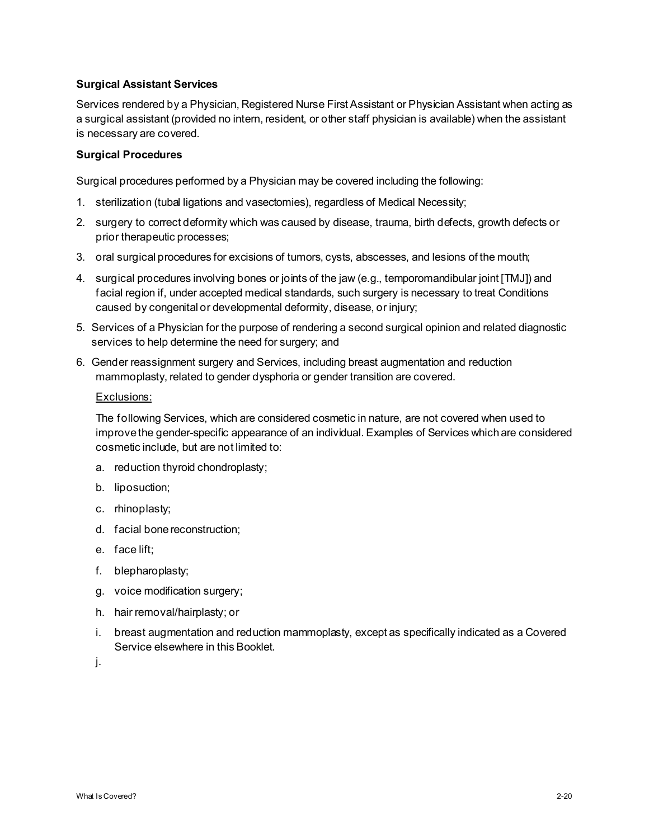# **Surgical Assistant Services**

Services rendered by a Physician, Registered Nurse First Assistant or Physician Assistant when acting as a surgical assistant (provided no intern, resident, or other staff physician is available) when the assistant is necessary are covered.

# **Surgical Procedures**

Surgical procedures performed by a Physician may be covered including the following:

- 1. sterilization (tubal ligations and vasectomies), regardless of Medical Necessity;
- 2. surgery to correct deformity which was caused by disease, trauma, birth defects, growth defects or prior therapeutic processes;
- 3. oral surgical procedures for excisions of tumors, cysts, abscesses, and lesions of the mouth;
- 4. surgical procedures involving bones or joints of the jaw (e.g., temporomandibular joint [TMJ]) and facial region if, under accepted medical standards, such surgery is necessary to treat Conditions caused by congenital or developmental deformity, disease, or injury;
- 5. Services of a Physician for the purpose of rendering a second surgical opinion and related diagnostic services to help determine the need for surgery; and
- 6. Gender reassignment surgery and Services, including breast augmentation and reduction mammoplasty, related to gender dysphoria or gender transition are covered.

#### Exclusions:

The following Services, which are considered cosmetic in nature, are not covered when used to improve the gender-specific appearance of an individual. Examples of Services which are considered cosmetic include, but are not limited to:

- a. reduction thyroid chondroplasty;
- b. liposuction;
- c. rhinoplasty;
- d. facial bone reconstruction;
- e. face lift;
- f. blepharoplasty;
- g. voice modification surgery;
- h. hair removal/hairplasty; or
- i. breast augmentation and reduction mammoplasty, except as specifically indicated as a Covered Service elsewhere in this Booklet.
- j.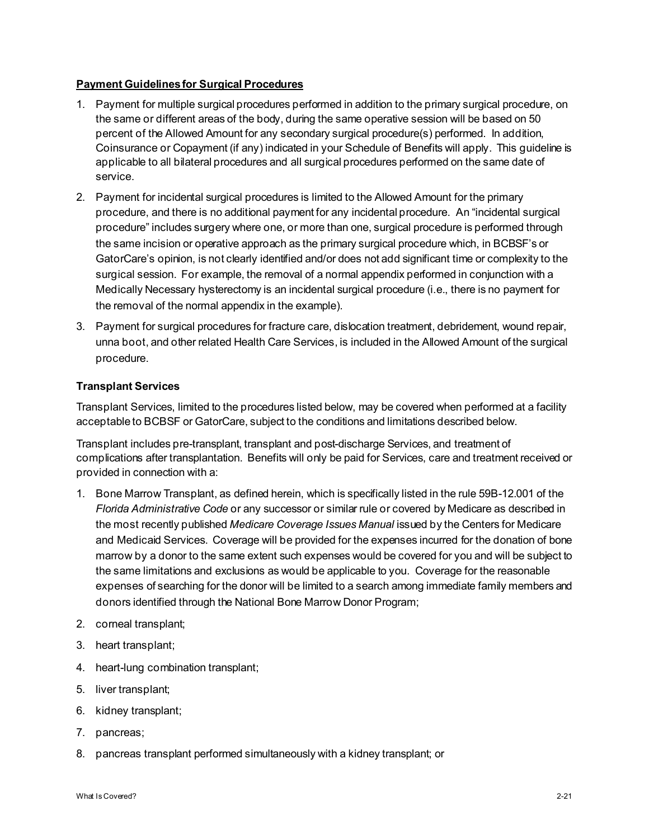# **Payment Guidelines for Surgical Procedures**

- 1. Payment for multiple surgical procedures performed in addition to the primary surgical procedure, on the same or different areas of the body, during the same operative session will be based on 50 percent of the Allowed Amount for any secondary surgical procedure(s) performed. In addition, Coinsurance or Copayment (if any) indicated in your Schedule of Benefits will apply. This guideline is applicable to all bilateral procedures and all surgical procedures performed on the same date of service.
- 2. Payment for incidental surgical procedures is limited to the Allowed Amount for the primary procedure, and there is no additional payment for any incidental procedure. An "incidental surgical procedure" includes surgery where one, or more than one, surgical procedure is performed through the same incision or operative approach as the primary surgical procedure which, in BCBSF's or GatorCare's opinion, is not clearly identified and/or does not add significant time or complexity to the surgical session. For example, the removal of a normal appendix performed in conjunction with a Medically Necessary hysterectomy is an incidental surgical procedure (i.e., there is no payment for the removal of the normal appendix in the example).
- 3. Payment for surgical procedures for fracture care, dislocation treatment, debridement, wound repair, unna boot, and other related Health Care Services, is included in the Allowed Amount of the surgical procedure.

# **Transplant Services**

Transplant Services, limited to the procedures listed below, may be covered when performed at a facility acceptable to BCBSF or GatorCare, subject to the conditions and limitations described below.

Transplant includes pre-transplant, transplant and post-discharge Services, and treatment of complications after transplantation. Benefits will only be paid for Services, care and treatment received or provided in connection with a:

- 1. Bone Marrow Transplant, as defined herein, which is specifically listed in the rule 59B-12.001 of the *Florida Administrative Code* or any successor or similar rule or covered by Medicare as described in the most recently published *Medicare Coverage Issues Manual* issued by the Centers for Medicare and Medicaid Services. Coverage will be provided for the expenses incurred for the donation of bone marrow by a donor to the same extent such expenses would be covered for you and will be subject to the same limitations and exclusions as would be applicable to you. Coverage for the reasonable expenses of searching for the donor will be limited to a search among immediate family members and donors identified through the National Bone Marrow Donor Program;
- 2. corneal transplant;
- 3. heart transplant;
- 4. heart-lung combination transplant;
- 5. liver transplant;
- 6. kidney transplant;
- 7. pancreas;
- 8. pancreas transplant performed simultaneously with a kidney transplant; or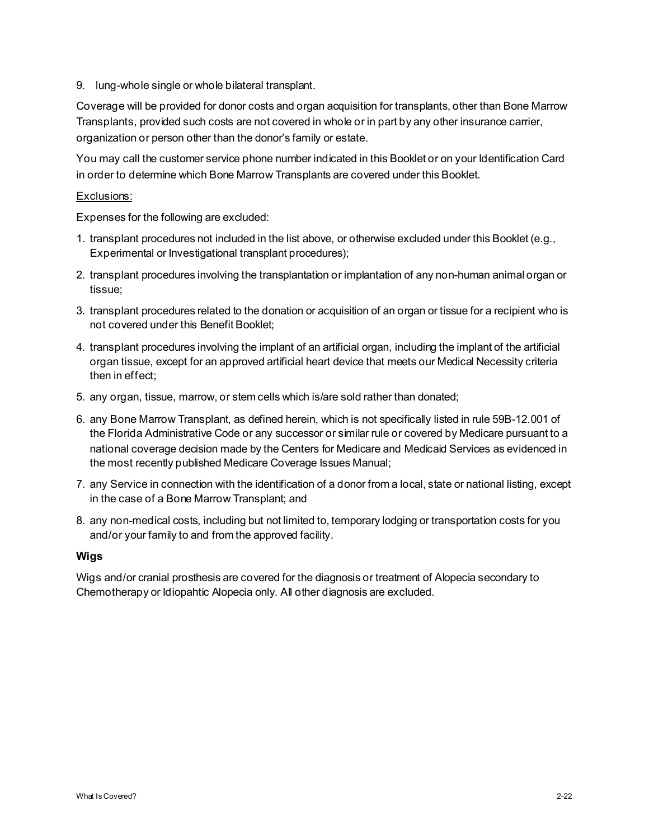9. lung-whole single or whole bilateral transplant.

Coverage will be provided for donor costs and organ acquisition for transplants, other than Bone Marrow Transplants, provided such costs are not covered in whole or in part by any other insurance carrier, organization or person other than the donor's family or estate.

You may call the customer service phone number indicated in this Booklet or on your Identification Card in order to determine which Bone Marrow Transplants are covered under this Booklet.

# Exclusions:

Expenses for the following are excluded:

- 1. transplant procedures not included in the list above, or otherwise excluded under this Booklet (e.g., Experimental or Investigational transplant procedures);
- 2. transplant procedures involving the transplantation or implantation of any non-human animal organ or tissue;
- 3. transplant procedures related to the donation or acquisition of an organ or tissue for a recipient who is not covered under this Benefit Booklet;
- 4. transplant procedures involving the implant of an artificial organ, including the implant of the artificial organ tissue, except for an approved artificial heart device that meets our Medical Necessity criteria then in effect;
- 5. any organ, tissue, marrow, or stem cells which is/are sold rather than donated;
- 6. any Bone Marrow Transplant, as defined herein, which is not specifically listed in rule 59B-12.001 of the Florida Administrative Code or any successor or similar rule or covered by Medicare pursuant to a national coverage decision made by the Centers for Medicare and Medicaid Services as evidenced in the most recently published Medicare Coverage Issues Manual;
- 7. any Service in connection with the identification of a donor from a local, state or national listing, except in the case of a Bone Marrow Transplant; and
- 8. any non-medical costs, including but not limited to, temporary lodging or transportation costs for you and/or your family to and from the approved facility.

# **Wigs**

Wigs and/or cranial prosthesis are covered for the diagnosis or treatment of Alopecia secondary to Chemotherapy or Idiopahtic Alopecia only. All other diagnosis are excluded.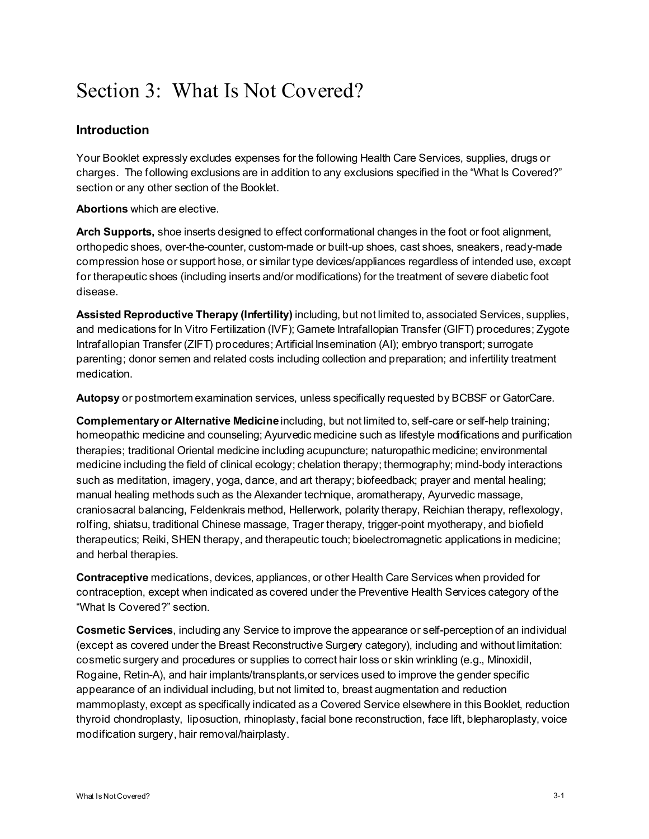# Section 3: What Is Not Covered?

# **Introduction**

Your Booklet expressly excludes expenses for the following Health Care Services, supplies, drugs or charges. The following exclusions are in addition to any exclusions specified in the "What Is Covered?" section or any other section of the Booklet.

**Abortions** which are elective.

**Arch Supports,** shoe inserts designed to effect conformational changes in the foot or foot alignment, orthopedic shoes, over-the-counter, custom-made or built-up shoes, cast shoes, sneakers, ready-made compression hose or support hose, or similar type devices/appliances regardless of intended use, except for therapeutic shoes (including inserts and/or modifications) for the treatment of severe diabetic foot disease.

**Assisted Reproductive Therapy (Infertility)** including, but not limited to, associated Services, supplies, and medications for In Vitro Fertilization (IVF); Gamete Intrafallopian Transfer (GIFT) procedures; Zygote Intrafallopian Transfer (ZIFT) procedures; Artificial Insemination (AI); embryo transport; surrogate parenting; donor semen and related costs including collection and preparation; and infertility treatment medication.

**Autopsy** or postmortem examination services, unless specifically requested by BCBSF or GatorCare.

**Complementary or Alternative Medicine** including, but not limited to, self-care or self-help training; homeopathic medicine and counseling; Ayurvedic medicine such as lifestyle modifications and purification therapies; traditional Oriental medicine including acupuncture; naturopathic medicine; environmental medicine including the field of clinical ecology; chelation therapy; thermography; mind-body interactions such as meditation, imagery, yoga, dance, and art therapy; biofeedback; prayer and mental healing; manual healing methods such as the Alexander technique, aromatherapy, Ayurvedic massage, craniosacral balancing, Feldenkrais method, Hellerwork, polarity therapy, Reichian therapy, reflexology, rolfing, shiatsu, traditional Chinese massage, Trager therapy, trigger-point myotherapy, and biofield therapeutics; Reiki, SHEN therapy, and therapeutic touch; bioelectromagnetic applications in medicine; and herbal therapies.

**Contraceptive** medications, devices, appliances, or other Health Care Services when provided for contraception, except when indicated as covered under the Preventive Health Services category of the "What Is Covered?" section.

**Cosmetic Services**, including any Service to improve the appearance or self-perception of an individual (except as covered under the Breast Reconstructive Surgery category), including and without limitation: cosmetic surgery and procedures or supplies to correct hair loss or skin wrinkling (e.g., Minoxidil, Rogaine, Retin-A), and hair implants/transplants,or services used to improve the gender specific appearance of an individual including, but not limited to, breast augmentation and reduction mammoplasty, except as specifically indicated as a Covered Service elsewhere in this Booklet, reduction thyroid chondroplasty, liposuction, rhinoplasty, facial bone reconstruction, face lift, blepharoplasty, voice modification surgery, hair removal/hairplasty.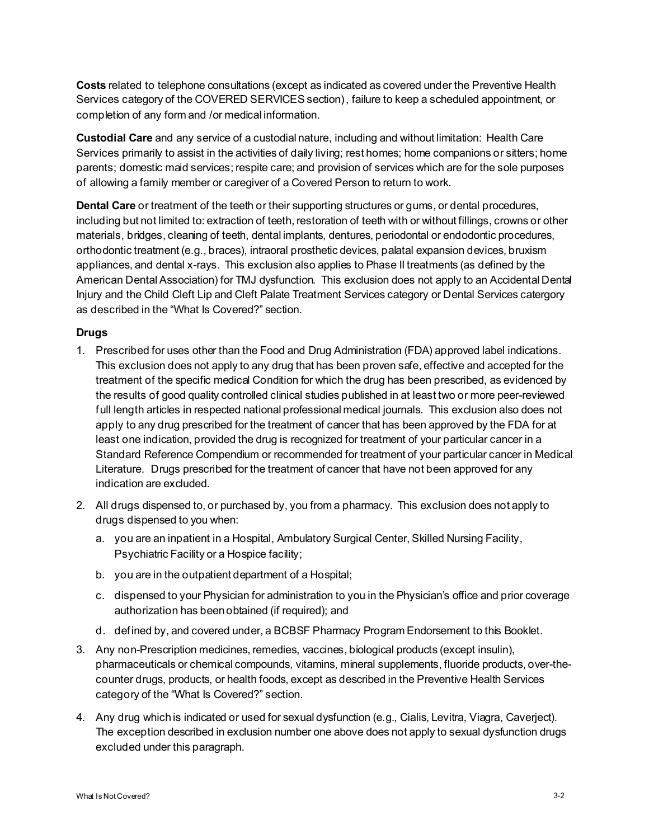**Costs** related to telephone consultations (except as indicated as covered under the Preventive Health Services category of the COVERED SERVICES section), failure to keep a scheduled appointment, or completion of any form and /or medical information.

**Custodial Care** and any service of a custodial nature, including and without limitation: Health Care Services primarily to assist in the activities of daily living; rest homes; home companions or sitters; home parents; domestic maid services; respite care; and provision of services which are for the sole purposes of allowing a family member or caregiver of a Covered Person to return to work.

**Dental Care** or treatment of the teeth or their supporting structures or gums, or dental procedures, including but not limited to: extraction of teeth, restoration of teeth with or without fillings, crowns or other materials, bridges, cleaning of teeth, dental implants, dentures, periodontal or endodontic procedures, orthodontic treatment (e.g., braces), intraoral prosthetic devices, palatal expansion devices, bruxism appliances, and dental x-rays. This exclusion also applies to Phase II treatments (as defined by the American Dental Association) for TMJ dysfunction. This exclusion does not apply to an Accidental Dental Injury and the Child Cleft Lip and Cleft Palate Treatment Services category or Dental Services catergory as described in the "What Is Covered?" section.

#### **Drugs**

- 1. Prescribed for uses other than the Food and Drug Administration (FDA) approved label indications. This exclusion does not apply to any drug that has been proven safe, effective and accepted for the treatment of the specific medical Condition for which the drug has been prescribed, as evidenced by the results of good quality controlled clinical studies published in at least two or more peer-reviewed full length articles in respected national professional medical journals. This exclusion also does not apply to any drug prescribed for the treatment of cancer that has been approved by the FDA for at least one indication, provided the drug is recognized for treatment of your particular cancer in a Standard Reference Compendium or recommended for treatment of your particular cancer in Medical Literature. Drugs prescribed for the treatment of cancer that have not been approved for any indication are excluded.
- 2. All drugs dispensed to, or purchased by, you from a pharmacy. This exclusion does not apply to drugs dispensed to you when:
	- a. you are an inpatient in a Hospital, Ambulatory Surgical Center, Skilled Nursing Facility, Psychiatric Facility or a Hospice facility;
	- b. you are in the outpatient department of a Hospital;
	- c. dispensed to your Physician for administration to you in the Physician's office and prior coverage authorization has been obtained (if required); and
	- d. defined by, and covered under, a BCBSF Pharmacy Program Endorsement to this Booklet.
- 3. Any non-Prescription medicines, remedies, vaccines, biological products (except insulin), pharmaceuticals or chemical compounds, vitamins, mineral supplements, fluoride products, over-thecounter drugs, products, or health foods, except as described in the Preventive Health Services category of the "What Is Covered?" section.
- 4. Any drug which is indicated or used for sexual dysfunction (e.g., Cialis, Levitra, Viagra, Caverject). The exception described in exclusion number one above does not apply to sexual dysfunction drugs excluded under this paragraph.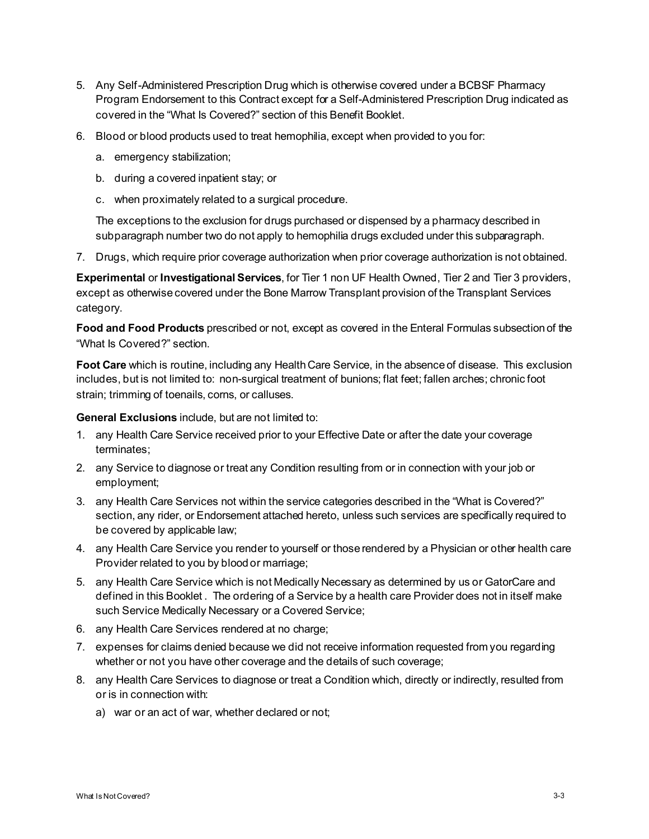- 5. Any Self-Administered Prescription Drug which is otherwise covered under a BCBSF Pharmacy Program Endorsement to this Contract except for a Self-Administered Prescription Drug indicated as covered in the "What Is Covered?" section of this Benefit Booklet.
- 6. Blood or blood products used to treat hemophilia, except when provided to you for:
	- a. emergency stabilization;
	- b. during a covered inpatient stay; or
	- c. when proximately related to a surgical procedure.

The exceptions to the exclusion for drugs purchased or dispensed by a pharmacy described in subparagraph number two do not apply to hemophilia drugs excluded under this subparagraph.

7. Drugs, which require prior coverage authorization when prior coverage authorization is not obtained.

**Experimental** or **Investigational Services**, for Tier 1 non UF Health Owned, Tier 2 and Tier 3 providers, except as otherwise covered under the Bone Marrow Transplant provision of the Transplant Services category.

**Food and Food Products** prescribed or not, except as covered in the Enteral Formulas subsection of the "What Is Covered?" section.

**Foot Care** which is routine, including any Health Care Service, in the absence of disease. This exclusion includes, but is not limited to: non-surgical treatment of bunions; flat feet; fallen arches; chronic foot strain; trimming of toenails, corns, or calluses.

**General Exclusions** include, but are not limited to:

- 1. any Health Care Service received prior to your Effective Date or after the date your coverage terminates;
- 2. any Service to diagnose or treat any Condition resulting from or in connection with your job or employment;
- 3. any Health Care Services not within the service categories described in the "What is Covered?" section, any rider, or Endorsement attached hereto, unless such services are specifically required to be covered by applicable law;
- 4. any Health Care Service you render to yourself or those rendered by a Physician or other health care Provider related to you by blood or marriage;
- 5. any Health Care Service which is not Medically Necessary as determined by us or GatorCare and defined in this Booklet . The ordering of a Service by a health care Provider does not in itself make such Service Medically Necessary or a Covered Service;
- 6. any Health Care Services rendered at no charge;
- 7. expenses for claims denied because we did not receive information requested from you regarding whether or not you have other coverage and the details of such coverage;
- 8. any Health Care Services to diagnose or treat a Condition which, directly or indirectly, resulted from or is in connection with:
	- a) war or an act of war, whether declared or not;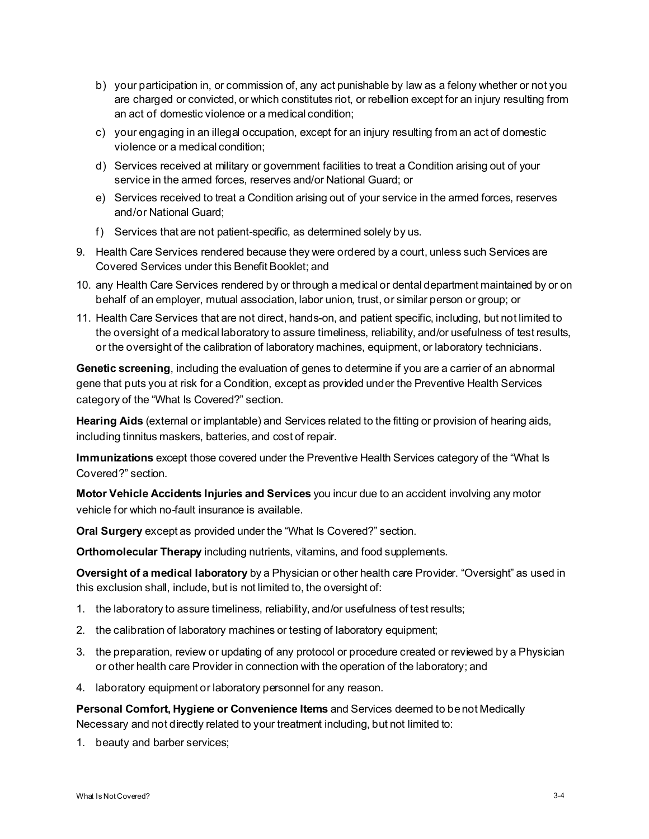- b) your participation in, or commission of, any act punishable by law as a felony whether or not you are charged or convicted, or which constitutes riot, or rebellion except for an injury resulting from an act of domestic violence or a medical condition;
- c) your engaging in an illegal occupation, except for an injury resulting from an act of domestic violence or a medical condition;
- d) Services received at military or government facilities to treat a Condition arising out of your service in the armed forces, reserves and/or National Guard; or
- e) Services received to treat a Condition arising out of your service in the armed forces, reserves and/or National Guard;
- f) Services that are not patient-specific, as determined solely by us.
- 9. Health Care Services rendered because they were ordered by a court, unless such Services are Covered Services under this Benefit Booklet; and
- 10. any Health Care Services rendered by or through a medical or dental department maintained by or on behalf of an employer, mutual association, labor union, trust, or similar person or group; or
- 11. Health Care Services that are not direct, hands-on, and patient specific, including, but not limited to the oversight of a medical laboratory to assure timeliness, reliability, and/or usefulness of test results, or the oversight of the calibration of laboratory machines, equipment, or laboratory technicians.

**Genetic screening**, including the evaluation of genes to determine if you are a carrier of an abnormal gene that puts you at risk for a Condition, except as provided under the Preventive Health Services category of the "What Is Covered?" section.

**Hearing Aids** (external or implantable) and Services related to the fitting or provision of hearing aids, including tinnitus maskers, batteries, and cost of repair.

**Immunizations** except those covered under the Preventive Health Services category of the "What Is Covered?" section.

**Motor Vehicle Accidents Injuries and Services** you incur due to an accident involving any motor vehicle for which no-fault insurance is available.

**Oral Surgery** except as provided under the "What Is Covered?" section.

**Orthomolecular Therapy** including nutrients, vitamins, and food supplements.

**Oversight of a medical laboratory** by a Physician or other health care Provider. "Oversight" as used in this exclusion shall, include, but is not limited to, the oversight of:

- 1. the laboratory to assure timeliness, reliability, and/or usefulness of test results;
- 2. the calibration of laboratory machines or testing of laboratory equipment;
- 3. the preparation, review or updating of any protocol or procedure created or reviewed by a Physician or other health care Provider in connection with the operation of the laboratory; and
- 4. laboratory equipment or laboratory personnel for any reason.

**Personal Comfort, Hygiene or Convenience Items** and Services deemed to be not Medically Necessary and not directly related to your treatment including, but not limited to:

1. beauty and barber services;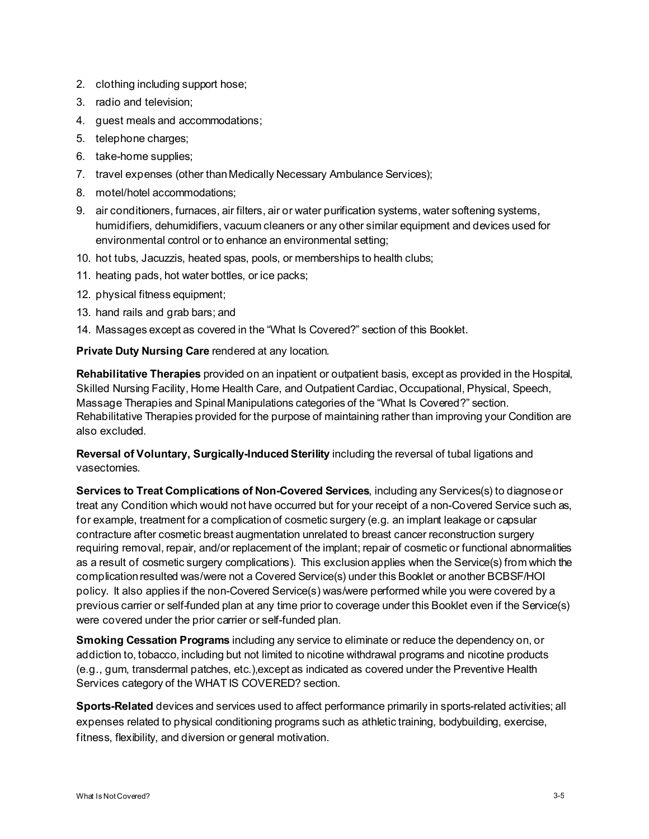- 2. clothing including support hose;
- 3. radio and television;
- 4. guest meals and accommodations;
- 5. telephone charges;
- 6. take-home supplies;
- 7. travel expenses (other than Medically Necessary Ambulance Services);
- 8. motel/hotel accommodations;
- 9. air conditioners, furnaces, air filters, air or water purification systems, water softening systems, humidifiers, dehumidifiers, vacuum cleaners or any other similar equipment and devices used for environmental control or to enhance an environmental setting;
- 10. hot tubs, Jacuzzis, heated spas, pools, or memberships to health clubs;
- 11. heating pads, hot water bottles, or ice packs;
- 12. physical fitness equipment;
- 13. hand rails and grab bars; and
- 14. Massages except as covered in the "What Is Covered?" section of this Booklet.

**Private Duty Nursing Care** rendered at any location.

**Rehabilitative Therapies** provided on an inpatient or outpatient basis, except as provided in the Hospital, Skilled Nursing Facility, Home Health Care, and Outpatient Cardiac, Occupational, Physical, Speech, Massage Therapies and Spinal Manipulations categories of the "What Is Covered?" section. Rehabilitative Therapies provided for the purpose of maintaining rather than improving your Condition are also excluded.

**Reversal of Voluntary, Surgically-Induced Sterility** including the reversal of tubal ligations and vasectomies.

**Services to Treat Complications of Non-Covered Services**, including any Services(s) to diagnose or treat any Condition which would not have occurred but for your receipt of a non-Covered Service such as, for example, treatment for a complication of cosmetic surgery (e.g. an implant leakage or capsular contracture after cosmetic breast augmentation unrelated to breast cancer reconstruction surgery requiring removal, repair, and/or replacement of the implant; repair of cosmetic or functional abnormalities as a result of cosmetic surgery complications). This exclusion applies when the Service(s) from which the complication resulted was/were not a Covered Service(s) under this Booklet or another BCBSF/HOI policy. It also applies if the non-Covered Service(s) was/were performed while you were covered by a previous carrier or self-funded plan at any time prior to coverage under this Booklet even if the Service(s) were covered under the prior carrier or self-funded plan.

**Smoking Cessation Programs** including any service to eliminate or reduce the dependency on, or addiction to, tobacco, including but not limited to nicotine withdrawal programs and nicotine products (e.g., gum, transdermal patches, etc.),except as indicated as covered under the Preventive Health Services category of the WHAT IS COVERED? section.

**Sports-Related** devices and services used to affect performance primarily in sports-related activities; all expenses related to physical conditioning programs such as athletic training, bodybuilding, exercise, fitness, flexibility, and diversion or general motivation.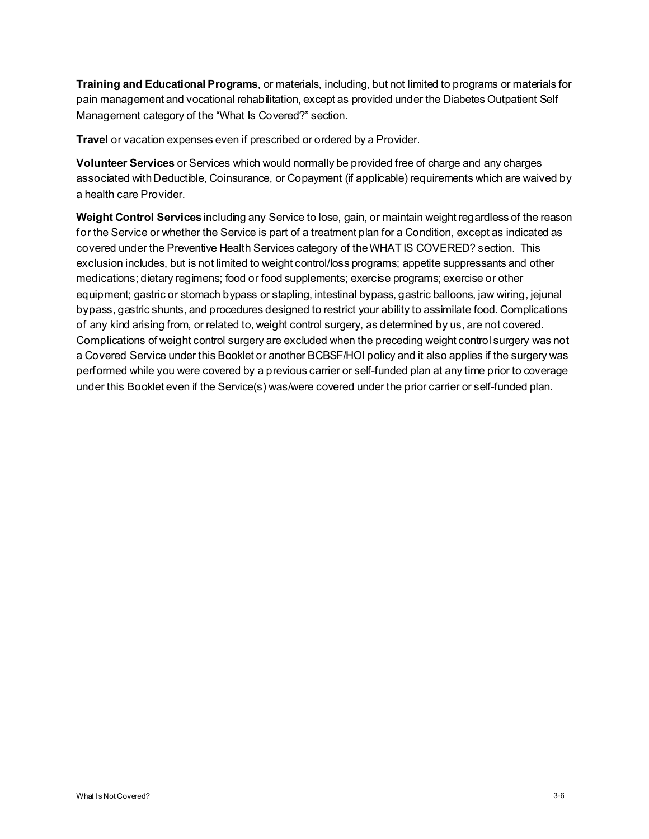**Training and Educational Programs**, or materials, including, but not limited to programs or materials for pain management and vocational rehabilitation, except as provided under the Diabetes Outpatient Self Management category of the "What Is Covered?" section.

**Travel** or vacation expenses even if prescribed or ordered by a Provider.

**Volunteer Services** or Services which would normally be provided free of charge and any charges associated with Deductible, Coinsurance, or Copayment (if applicable) requirements which are waived by a health care Provider.

**Weight Control Services**including any Service to lose, gain, or maintain weight regardless of the reason for the Service or whether the Service is part of a treatment plan for a Condition, except as indicated as covered under the Preventive Health Services category of the WHAT IS COVERED? section. This exclusion includes, but is not limited to weight control/loss programs; appetite suppressants and other medications; dietary regimens; food or food supplements; exercise programs; exercise or other equipment; gastric or stomach bypass or stapling, intestinal bypass, gastric balloons, jaw wiring, jejunal bypass, gastric shunts, and procedures designed to restrict your ability to assimilate food. Complications of any kind arising from, or related to, weight control surgery, as determined by us, are not covered. Complications of weight control surgery are excluded when the preceding weight control surgery was not a Covered Service under this Booklet or another BCBSF/HOI policy and it also applies if the surgery was performed while you were covered by a previous carrier or self-funded plan at any time prior to coverage under this Booklet even if the Service(s) was/were covered under the prior carrier or self-funded plan.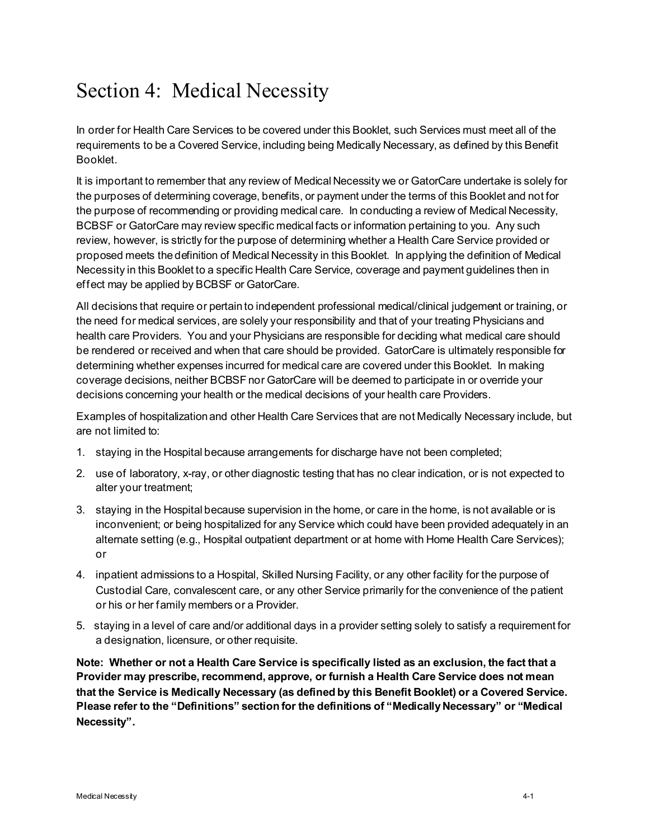# Section 4: Medical Necessity

In order for Health Care Services to be covered under this Booklet, such Services must meet all of the requirements to be a Covered Service, including being Medically Necessary, as defined by this Benefit Booklet.

It is important to remember that any review of Medical Necessity we or GatorCare undertake is solely for the purposes of determining coverage, benefits, or payment under the terms of this Booklet and not for the purpose of recommending or providing medical care. In conducting a review of Medical Necessity, BCBSF or GatorCare may review specific medical facts or information pertaining to you. Any such review, however, is strictly for the purpose of determining whether a Health Care Service provided or proposed meets the definition of Medical Necessity in this Booklet. In applying the definition of Medical Necessity in this Booklet to a specific Health Care Service, coverage and payment guidelines then in effect may be applied by BCBSF or GatorCare.

All decisions that require or pertain to independent professional medical/clinical judgement or training, or the need for medical services, are solely your responsibility and that of your treating Physicians and health care Providers. You and your Physicians are responsible for deciding what medical care should be rendered or received and when that care should be provided. GatorCare is ultimately responsible for determining whether expenses incurred for medical care are covered under this Booklet. In making coverage decisions, neither BCBSF nor GatorCare will be deemed to participate in or override your decisions concerning your health or the medical decisions of your health care Providers.

Examples of hospitalization and other Health Care Services that are not Medically Necessary include, but are not limited to:

- 1. staying in the Hospital because arrangements for discharge have not been completed;
- 2. use of laboratory, x-ray, or other diagnostic testing that has no clear indication, or is not expected to alter your treatment;
- 3. staying in the Hospital because supervision in the home, or care in the home, is not available or is inconvenient; or being hospitalized for any Service which could have been provided adequately in an alternate setting (e.g., Hospital outpatient department or at home with Home Health Care Services); or
- 4. inpatient admissions to a Hospital, Skilled Nursing Facility, or any other facility for the purpose of Custodial Care, convalescent care, or any other Service primarily for the convenience of the patient or his or her family members or a Provider.
- 5. staying in a level of care and/or additional days in a provider setting solely to satisfy a requirement for a designation, licensure, or other requisite.

**Note: Whether or not a Health Care Service is specifically listed as an exclusion, the fact that a Provider may prescribe, recommend, approve, or furnish a Health Care Service does not mean that the Service is Medically Necessary (as defined by this Benefit Booklet) or a Covered Service. Please refer to the "Definitions" section for the definitions of "Medically Necessary" or "Medical Necessity".**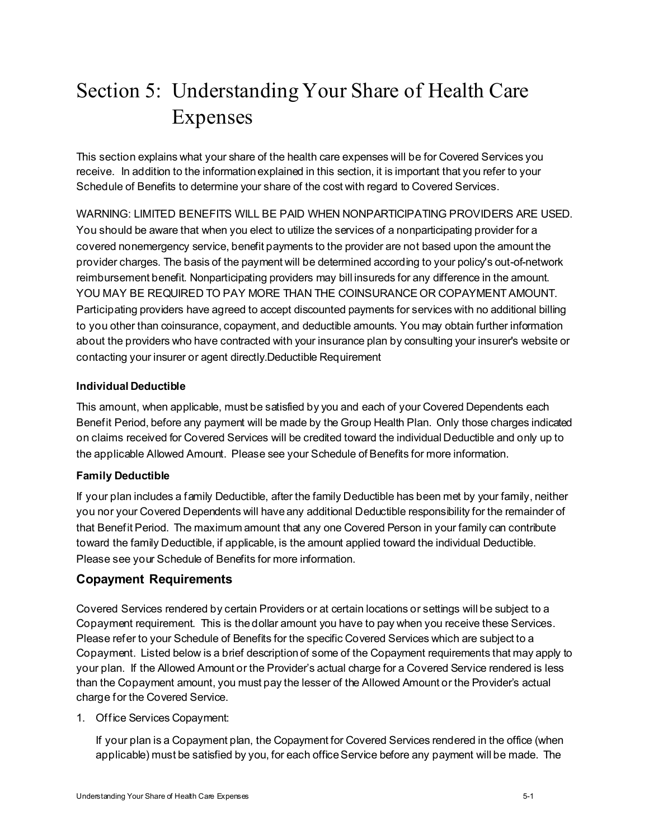# Section 5: Understanding Your Share of Health Care Expenses

This section explains what your share of the health care expenses will be for Covered Services you receive. In addition to the information explained in this section, it is important that you refer to your Schedule of Benefits to determine your share of the cost with regard to Covered Services.

WARNING: LIMITED BENEFITS WILL BE PAID WHEN NONPARTICIPATING PROVIDERS ARE USED. You should be aware that when you elect to utilize the services of a nonparticipating provider for a covered nonemergency service, benefit payments to the provider are not based upon the amount the provider charges. The basis of the payment will be determined according to your policy's out-of-network reimbursement benefit. Nonparticipating providers may bill insureds for any difference in the amount. YOU MAY BE REQUIRED TO PAY MORE THAN THE COINSURANCE OR COPAYMENT AMOUNT. Participating providers have agreed to accept discounted payments for services with no additional billing to you other than coinsurance, copayment, and deductible amounts. You may obtain further information about the providers who have contracted with your insurance plan by consulting your insurer's website or contacting your insurer or agent directly.Deductible Requirement

# **Individual Deductible**

This amount, when applicable, must be satisfied by you and each of your Covered Dependents each Benefit Period, before any payment will be made by the Group Health Plan. Only those charges indicated on claims received for Covered Services will be credited toward the individual Deductible and only up to the applicable Allowed Amount. Please see your Schedule of Benefits for more information.

# **Family Deductible**

If your plan includes a family Deductible, after the family Deductible has been met by your family, neither you nor your Covered Dependents will have any additional Deductible responsibility for the remainder of that Benefit Period. The maximum amount that any one Covered Person in your family can contribute toward the family Deductible, if applicable, is the amount applied toward the individual Deductible. Please see your Schedule of Benefits for more information.

# **Copayment Requirements**

Covered Services rendered by certain Providers or at certain locations or settings will be subject to a Copayment requirement. This is the dollar amount you have to pay when you receive these Services. Please refer to your Schedule of Benefits for the specific Covered Services which are subject to a Copayment. Listed below is a brief description of some of the Copayment requirements that may apply to your plan. If the Allowed Amount or the Provider's actual charge for a Covered Service rendered is less than the Copayment amount, you must pay the lesser of the Allowed Amount or the Provider's actual charge for the Covered Service.

# 1. Office Services Copayment:

If your plan is a Copayment plan, the Copayment for Covered Services rendered in the office (when applicable) must be satisfied by you, for each office Service before any payment will be made. The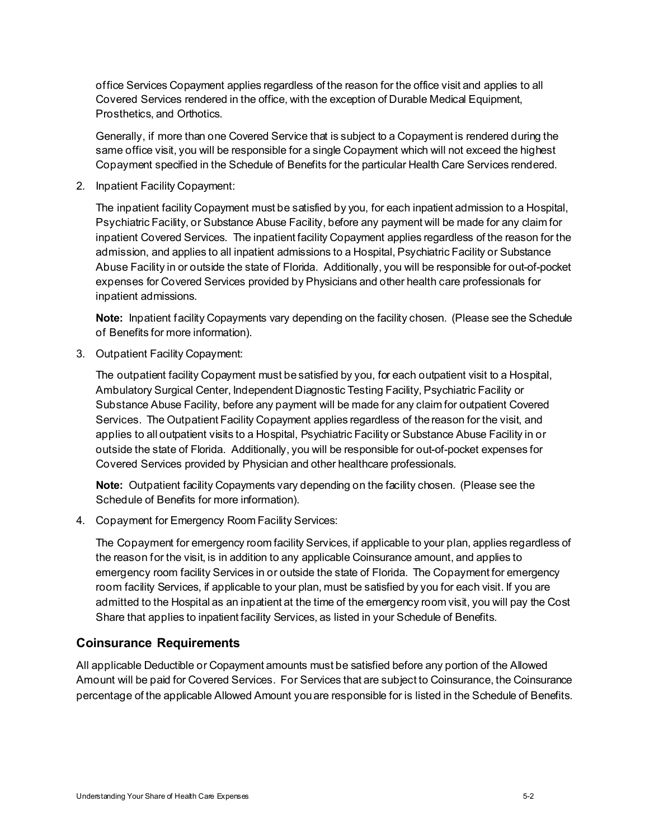office Services Copayment applies regardless of the reason for the office visit and applies to all Covered Services rendered in the office, with the exception of Durable Medical Equipment, Prosthetics, and Orthotics.

Generally, if more than one Covered Service that is subject to a Copayment is rendered during the same office visit, you will be responsible for a single Copayment which will not exceed the highest Copayment specified in the Schedule of Benefits for the particular Health Care Services rendered.

2. Inpatient Facility Copayment:

The inpatient facility Copayment must be satisfied by you, for each inpatient admission to a Hospital, Psychiatric Facility, or Substance Abuse Facility, before any payment will be made for any claim for inpatient Covered Services. The inpatient facility Copayment applies regardless of the reason for the admission, and applies to all inpatient admissions to a Hospital, Psychiatric Facility or Substance Abuse Facility in or outside the state of Florida. Additionally, you will be responsible for out-of-pocket expenses for Covered Services provided by Physicians and other health care professionals for inpatient admissions.

**Note:** Inpatient facility Copayments vary depending on the facility chosen. (Please see the Schedule of Benefits for more information).

3. Outpatient Facility Copayment:

The outpatient facility Copayment must be satisfied by you, for each outpatient visit to a Hospital, Ambulatory Surgical Center, Independent Diagnostic Testing Facility, Psychiatric Facility or Substance Abuse Facility, before any payment will be made for any claim for outpatient Covered Services. The Outpatient Facility Copayment applies regardless of the reason for the visit, and applies to all outpatient visits to a Hospital, Psychiatric Facility or Substance Abuse Facility in or outside the state of Florida. Additionally, you will be responsible for out-of-pocket expenses for Covered Services provided by Physician and other healthcare professionals.

**Note:** Outpatient facility Copayments vary depending on the facility chosen. (Please see the Schedule of Benefits for more information).

4. Copayment for Emergency Room Facility Services:

The Copayment for emergency room facility Services, if applicable to your plan, applies regardless of the reason for the visit, is in addition to any applicable Coinsurance amount, and applies to emergency room facility Services in or outside the state of Florida. The Copayment for emergency room facility Services, if applicable to your plan, must be satisfied by you for each visit. If you are admitted to the Hospital as an inpatient at the time of the emergency room visit, you will pay the Cost Share that applies to inpatient facility Services, as listed in your Schedule of Benefits.

# **Coinsurance Requirements**

All applicable Deductible or Copayment amounts must be satisfied before any portion of the Allowed Amount will be paid for Covered Services. For Services that are subject to Coinsurance, the Coinsurance percentage of the applicable Allowed Amount you are responsible for is listed in the Schedule of Benefits.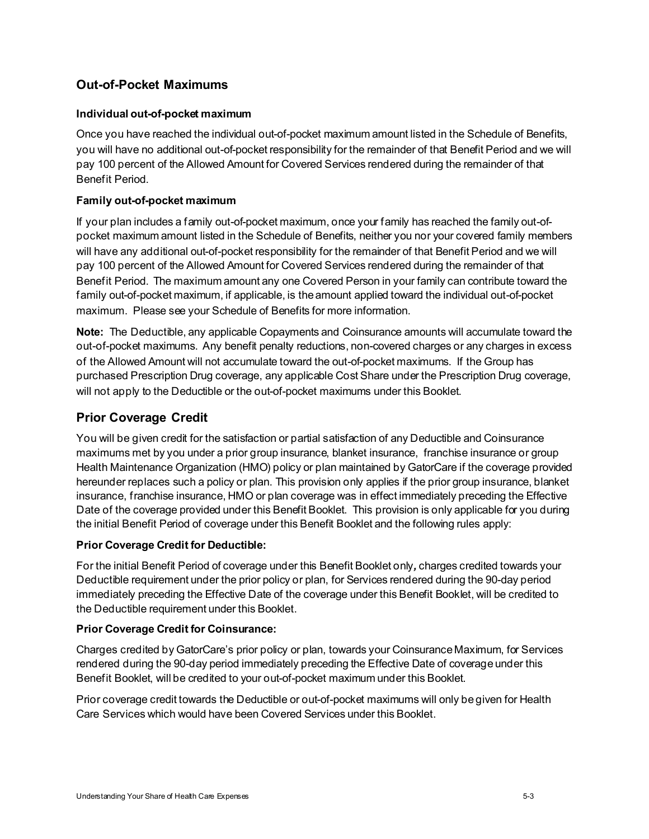# **Out-of-Pocket Maximums**

## **Individual out-of-pocket maximum**

Once you have reached the individual out-of-pocket maximum amount listed in the Schedule of Benefits, you will have no additional out-of-pocket responsibility for the remainder of that Benefit Period and we will pay 100 percent of the Allowed Amount for Covered Services rendered during the remainder of that Benefit Period.

## **Family out-of-pocket maximum**

If your plan includes a family out-of-pocket maximum, once your family has reached the family out-ofpocket maximum amount listed in the Schedule of Benefits, neither you nor your covered family members will have any additional out-of-pocket responsibility for the remainder of that Benefit Period and we will pay 100 percent of the Allowed Amount for Covered Services rendered during the remainder of that Benefit Period. The maximum amount any one Covered Person in your family can contribute toward the family out-of-pocket maximum, if applicable, is the amount applied toward the individual out-of-pocket maximum. Please see your Schedule of Benefits for more information.

**Note:** The Deductible, any applicable Copayments and Coinsurance amounts will accumulate toward the out-of-pocket maximums. Any benefit penalty reductions, non-covered charges or any charges in excess of the Allowed Amount will not accumulate toward the out-of-pocket maximums. If the Group has purchased Prescription Drug coverage, any applicable Cost Share under the Prescription Drug coverage, will not apply to the Deductible or the out-of-pocket maximums under this Booklet.

## **Prior Coverage Credit**

You will be given credit for the satisfaction or partial satisfaction of any Deductible and Coinsurance maximums met by you under a prior group insurance, blanket insurance, franchise insurance or group Health Maintenance Organization (HMO) policy or plan maintained by GatorCare if the coverage provided hereunder replaces such a policy or plan. This provision only applies if the prior group insurance, blanket insurance, franchise insurance, HMO or plan coverage was in effect immediately preceding the Effective Date of the coverage provided under this Benefit Booklet. This provision is only applicable for you during the initial Benefit Period of coverage under this Benefit Booklet and the following rules apply:

#### **Prior Coverage Credit for Deductible:**

For the initial Benefit Period of coverage under this Benefit Booklet only*,* charges credited towards your Deductible requirement under the prior policy or plan, for Services rendered during the 90-day period immediately preceding the Effective Date of the coverage under this Benefit Booklet, will be credited to the Deductible requirement under this Booklet.

#### **Prior Coverage Credit for Coinsurance:**

Charges credited by GatorCare's prior policy or plan, towards your Coinsurance Maximum, for Services rendered during the 90-day period immediately preceding the Effective Date of coverage under this Benefit Booklet, will be credited to your out-of-pocket maximum under this Booklet.

Prior coverage credit towards the Deductible or out-of-pocket maximums will only be given for Health Care Services which would have been Covered Services under this Booklet.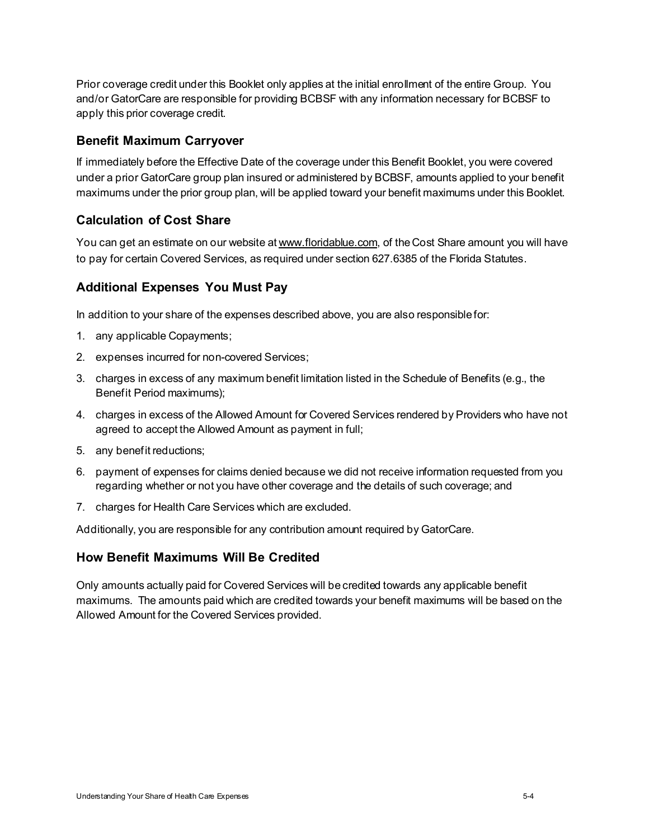Prior coverage credit under this Booklet only applies at the initial enrollment of the entire Group. You and/or GatorCare are responsible for providing BCBSF with any information necessary for BCBSF to apply this prior coverage credit.

## **Benefit Maximum Carryover**

If immediately before the Effective Date of the coverage under this Benefit Booklet, you were covered under a prior GatorCare group plan insured or administered by BCBSF, amounts applied to your benefit maximums under the prior group plan, will be applied toward your benefit maximums under this Booklet.

# **Calculation of Cost Share**

You can get an estimate on our website at www.floridablue.com, of the Cost Share amount you will have to pay for certain Covered Services, as required under section 627.6385 of the Florida Statutes.

# **Additional Expenses You Must Pay**

In addition to your share of the expenses described above, you are also responsible for:

- 1. any applicable Copayments;
- 2. expenses incurred for non-covered Services;
- 3. charges in excess of any maximum benefit limitation listed in the Schedule of Benefits (e.g., the Benefit Period maximums);
- 4. charges in excess of the Allowed Amount for Covered Services rendered by Providers who have not agreed to accept the Allowed Amount as payment in full;
- 5. any benefit reductions;
- 6. payment of expenses for claims denied because we did not receive information requested from you regarding whether or not you have other coverage and the details of such coverage; and
- 7. charges for Health Care Services which are excluded.

Additionally, you are responsible for any contribution amount required by GatorCare.

# **How Benefit Maximums Will Be Credited**

Only amounts actually paid for Covered Services will be credited towards any applicable benefit maximums. The amounts paid which are credited towards your benefit maximums will be based on the Allowed Amount for the Covered Services provided.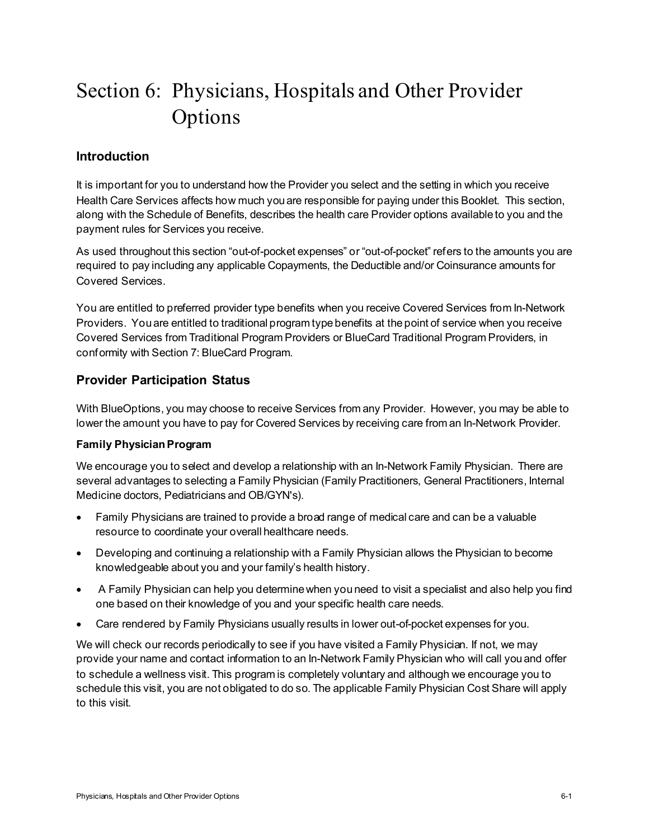# Section 6: Physicians, Hospitals and Other Provider Options

# **Introduction**

It is important for you to understand how the Provider you select and the setting in which you receive Health Care Services affects how much you are responsible for paying under this Booklet. This section, along with the Schedule of Benefits, describes the health care Provider options available to you and the payment rules for Services you receive.

As used throughout this section "out-of-pocket expenses" or "out-of-pocket" refers to the amounts you are required to pay including any applicable Copayments, the Deductible and/or Coinsurance amounts for Covered Services.

You are entitled to preferred provider type benefits when you receive Covered Services from In-Network Providers. You are entitled to traditional program type benefits at the point of service when you receive Covered Services from Traditional Program Providers or BlueCard Traditional Program Providers, in conformity with Section 7: BlueCard Program.

# **Provider Participation Status**

With BlueOptions, you may choose to receive Services from any Provider. However, you may be able to lower the amount you have to pay for Covered Services by receiving care from an In-Network Provider.

## **Family Physician Program**

We encourage you to select and develop a relationship with an In-Network Family Physician. There are several advantages to selecting a Family Physician (Family Practitioners, General Practitioners, Internal Medicine doctors, Pediatricians and OB/GYN's).

- Family Physicians are trained to provide a broad range of medical care and can be a valuable resource to coordinate your overall healthcare needs.
- Developing and continuing a relationship with a Family Physician allows the Physician to become knowledgeable about you and your family's health history.
- A Family Physician can help you determine when you need to visit a specialist and also help you find one based on their knowledge of you and your specific health care needs.
- Care rendered by Family Physicians usually results in lower out-of-pocket expenses for you.

We will check our records periodically to see if you have visited a Family Physician. If not, we may provide your name and contact information to an In-Network Family Physician who will call you and offer to schedule a wellness visit. This program is completely voluntary and although we encourage you to schedule this visit, you are not obligated to do so. The applicable Family Physician Cost Share will apply to this visit.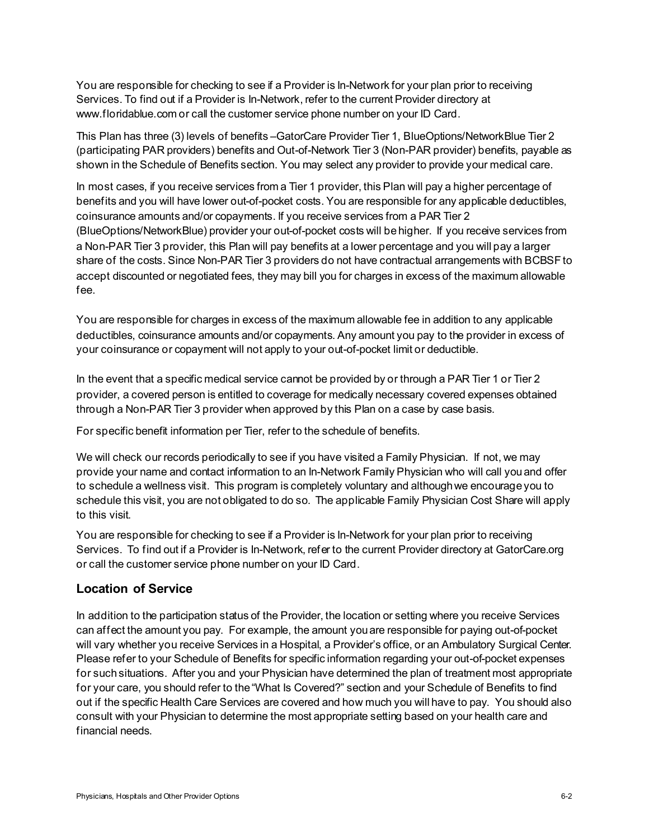You are responsible for checking to see if a Provider is In-Network for your plan prior to receiving Services. To find out if a Provider is In-Network, refer to the current Provider directory at www.floridablue.com or call the customer service phone number on your ID Card.

This Plan has three (3) levels of benefits –GatorCare Provider Tier 1, BlueOptions/NetworkBlue Tier 2 (participating PAR providers) benefits and Out-of-Network Tier 3 (Non-PAR provider) benefits, payable as shown in the Schedule of Benefits section. You may select any provider to provide your medical care.

In most cases, if you receive services from a Tier 1 provider, this Plan will pay a higher percentage of benefits and you will have lower out-of-pocket costs. You are responsible for any applicable deductibles, coinsurance amounts and/or copayments. If you receive services from a PAR Tier 2 (BlueOptions/NetworkBlue) provider your out-of-pocket costs will be higher. If you receive services from a Non-PAR Tier 3 provider, this Plan will pay benefits at a lower percentage and you will pay a larger share of the costs. Since Non-PAR Tier 3 providers do not have contractual arrangements with BCBSF to accept discounted or negotiated fees, they may bill you for charges in excess of the maximum allowable fee.

You are responsible for charges in excess of the maximum allowable fee in addition to any applicable deductibles, coinsurance amounts and/or copayments. Any amount you pay to the provider in excess of your coinsurance or copayment will not apply to your out-of-pocket limit or deductible.

In the event that a specific medical service cannot be provided by or through a PAR Tier 1 or Tier 2 provider, a covered person is entitled to coverage for medically necessary covered expenses obtained through a Non-PAR Tier 3 provider when approved by this Plan on a case by case basis.

For specific benefit information per Tier, refer to the schedule of benefits.

We will check our records periodically to see if you have visited a Family Physician. If not, we may provide your name and contact information to an In-Network Family Physician who will call you and offer to schedule a wellness visit. This program is completely voluntary and although we encourage you to schedule this visit, you are not obligated to do so. The applicable Family Physician Cost Share will apply to this visit.

You are responsible for checking to see if a Provider is In-Network for your plan prior to receiving Services. To find out if a Provider is In-Network, refer to the current Provider directory at GatorCare.org or call the customer service phone number on your ID Card.

## **Location of Service**

In addition to the participation status of the Provider, the location or setting where you receive Services can affect the amount you pay. For example, the amount you are responsible for paying out-of-pocket will vary whether you receive Services in a Hospital, a Provider's office, or an Ambulatory Surgical Center. Please refer to your Schedule of Benefits for specific information regarding your out-of-pocket expenses for such situations. After you and your Physician have determined the plan of treatment most appropriate for your care, you should refer to the "What Is Covered?" section and your Schedule of Benefits to find out if the specific Health Care Services are covered and how much you will have to pay. You should also consult with your Physician to determine the most appropriate setting based on your health care and financial needs.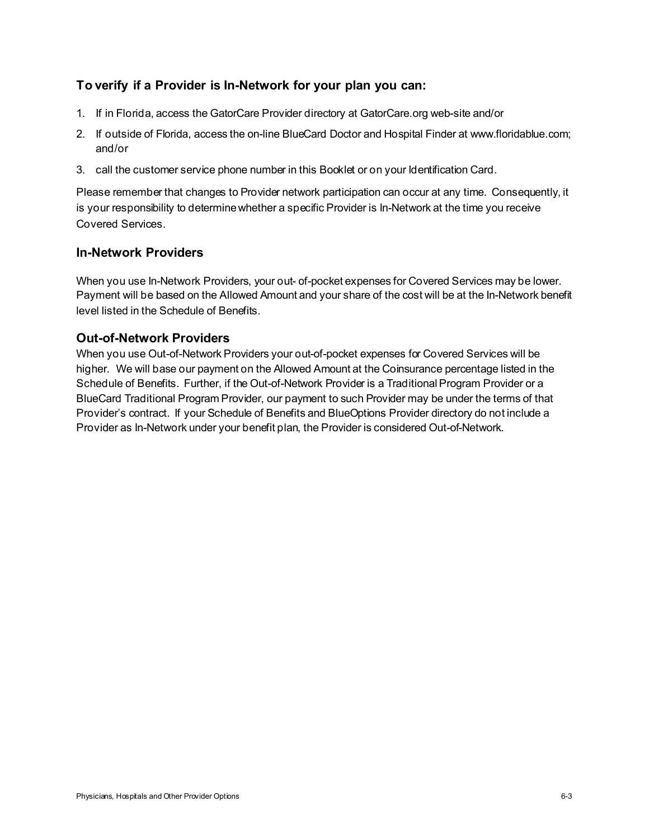# **To verify if a Provider is In-Network for your plan you can:**

- 1. If in Florida, access the GatorCare Provider directory at GatorCare.org web-site and/or
- 2. If outside of Florida, access the on-line BlueCard Doctor and Hospital Finder at www.floridablue.com; and/or
- 3. call the customer service phone number in this Booklet or on your Identification Card.

Please remember that changes to Provider network participation can occur at any time. Consequently, it is your responsibility to determine whether a specific Provider is In-Network at the time you receive Covered Services.

# **In-Network Providers**

When you use In-Network Providers, your out- of-pocket expenses for Covered Services may be lower. Payment will be based on the Allowed Amount and your share of the cost will be at the In-Network benefit level listed in the Schedule of Benefits.

# **Out-of-Network Providers**

When you use Out-of-Network Providers your out-of-pocket expenses for Covered Services will be higher. We will base our payment on the Allowed Amount at the Coinsurance percentage listed in the Schedule of Benefits. Further, if the Out-of-Network Provider is a Traditional Program Provider or a BlueCard Traditional Program Provider, our payment to such Provider may be under the terms of that Provider's contract. If your Schedule of Benefits and BlueOptions Provider directory do not include a Provider as In-Network under your benefit plan, the Provider is considered Out-of-Network.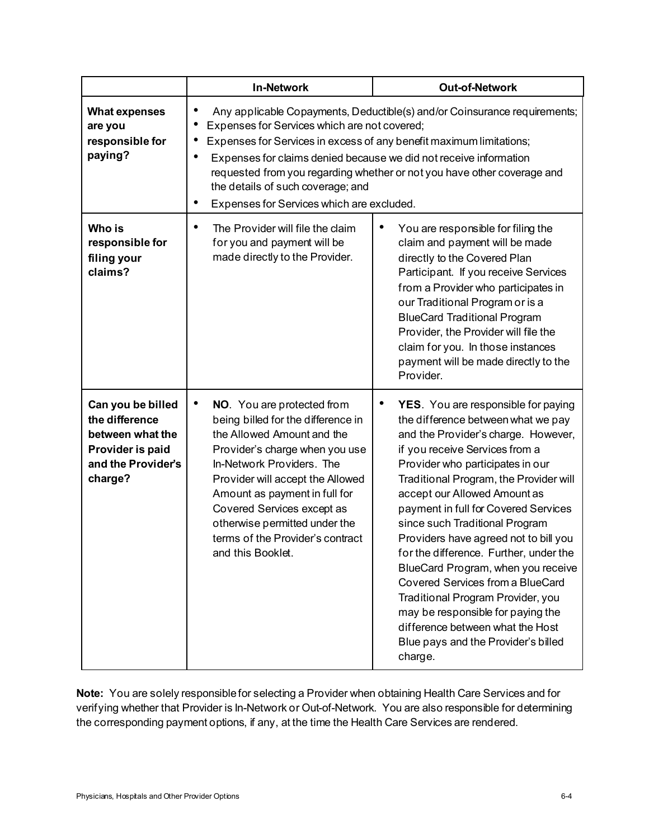|                                                                                                              | <b>In-Network</b>                                                                                                                                                                                                                                                                                                                                                                                                                  | <b>Out-of-Network</b>                                                                                                                                                                                                                                                                                                                                                                                                                                                                                                                                                                                                                                                                        |
|--------------------------------------------------------------------------------------------------------------|------------------------------------------------------------------------------------------------------------------------------------------------------------------------------------------------------------------------------------------------------------------------------------------------------------------------------------------------------------------------------------------------------------------------------------|----------------------------------------------------------------------------------------------------------------------------------------------------------------------------------------------------------------------------------------------------------------------------------------------------------------------------------------------------------------------------------------------------------------------------------------------------------------------------------------------------------------------------------------------------------------------------------------------------------------------------------------------------------------------------------------------|
| <b>What expenses</b><br>are you<br>responsible for<br>paying?                                                | Any applicable Copayments, Deductible(s) and/or Coinsurance requirements;<br>Expenses for Services which are not covered;<br>Expenses for Services in excess of any benefit maximum limitations;<br>Expenses for claims denied because we did not receive information<br>requested from you regarding whether or not you have other coverage and<br>the details of such coverage; and<br>Expenses for Services which are excluded. |                                                                                                                                                                                                                                                                                                                                                                                                                                                                                                                                                                                                                                                                                              |
| Who is<br>responsible for<br>filing your<br>claims?                                                          | The Provider will file the claim<br>for you and payment will be<br>made directly to the Provider.                                                                                                                                                                                                                                                                                                                                  | ٠<br>You are responsible for filing the<br>claim and payment will be made<br>directly to the Covered Plan<br>Participant. If you receive Services<br>from a Provider who participates in<br>our Traditional Program or is a<br><b>BlueCard Traditional Program</b><br>Provider, the Provider will file the<br>claim for you. In those instances<br>payment will be made directly to the<br>Provider.                                                                                                                                                                                                                                                                                         |
| Can you be billed<br>the difference<br>between what the<br>Provider is paid<br>and the Provider's<br>charge? | $\bullet$<br>NO. You are protected from<br>being billed for the difference in<br>the Allowed Amount and the<br>Provider's charge when you use<br>In-Network Providers. The<br>Provider will accept the Allowed<br>Amount as payment in full for<br>Covered Services except as<br>otherwise permitted under the<br>terms of the Provider's contract<br>and this Booklet.                                                            | $\bullet$<br><b>YES</b> . You are responsible for paying<br>the difference between what we pay<br>and the Provider's charge. However,<br>if you receive Services from a<br>Provider who participates in our<br>Traditional Program, the Provider will<br>accept our Allowed Amount as<br>payment in full for Covered Services<br>since such Traditional Program<br>Providers have agreed not to bill you<br>for the difference. Further, under the<br>BlueCard Program, when you receive<br>Covered Services from a BlueCard<br>Traditional Program Provider, you<br>may be responsible for paying the<br>difference between what the Host<br>Blue pays and the Provider's billed<br>charge. |

**Note:** You are solely responsible for selecting a Provider when obtaining Health Care Services and for verifying whether that Provider is In-Network or Out-of-Network. You are also responsible for determining the corresponding payment options, if any, at the time the Health Care Services are rendered.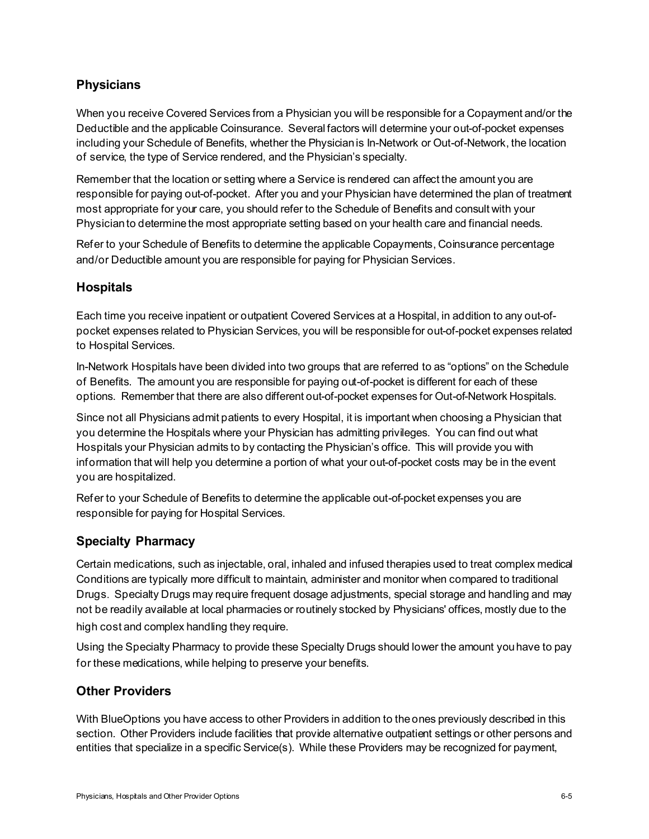# **Physicians**

When you receive Covered Services from a Physician you will be responsible for a Copayment and/or the Deductible and the applicable Coinsurance. Several factors will determine your out-of-pocket expenses including your Schedule of Benefits, whether the Physician is In-Network or Out-of-Network, the location of service, the type of Service rendered, and the Physician's specialty.

Remember that the location or setting where a Service is rendered can affect the amount you are responsible for paying out-of-pocket. After you and your Physician have determined the plan of treatment most appropriate for your care, you should refer to the Schedule of Benefits and consult with your Physician to determine the most appropriate setting based on your health care and financial needs.

Refer to your Schedule of Benefits to determine the applicable Copayments, Coinsurance percentage and/or Deductible amount you are responsible for paying for Physician Services.

# **Hospitals**

Each time you receive inpatient or outpatient Covered Services at a Hospital, in addition to any out-ofpocket expenses related to Physician Services, you will be responsible for out-of-pocket expenses related to Hospital Services.

In-Network Hospitals have been divided into two groups that are referred to as "options" on the Schedule of Benefits. The amount you are responsible for paying out-of-pocket is different for each of these options. Remember that there are also different out-of-pocket expenses for Out-of-Network Hospitals.

Since not all Physicians admit patients to every Hospital, it is important when choosing a Physician that you determine the Hospitals where your Physician has admitting privileges. You can find out what Hospitals your Physician admits to by contacting the Physician's office. This will provide you with information that will help you determine a portion of what your out-of-pocket costs may be in the event you are hospitalized.

Refer to your Schedule of Benefits to determine the applicable out-of-pocket expenses you are responsible for paying for Hospital Services.

# **Specialty Pharmacy**

Certain medications, such as injectable, oral, inhaled and infused therapies used to treat complex medical Conditions are typically more difficult to maintain, administer and monitor when compared to traditional Drugs. Specialty Drugs may require frequent dosage adjustments, special storage and handling and may not be readily available at local pharmacies or routinely stocked by Physicians' offices, mostly due to the high cost and complex handling they require.

Using the Specialty Pharmacy to provide these Specialty Drugs should lower the amount you have to pay for these medications, while helping to preserve your benefits.

# **Other Providers**

With BlueOptions you have access to other Providers in addition to the ones previously described in this section. Other Providers include facilities that provide alternative outpatient settings or other persons and entities that specialize in a specific Service(s). While these Providers may be recognized for payment,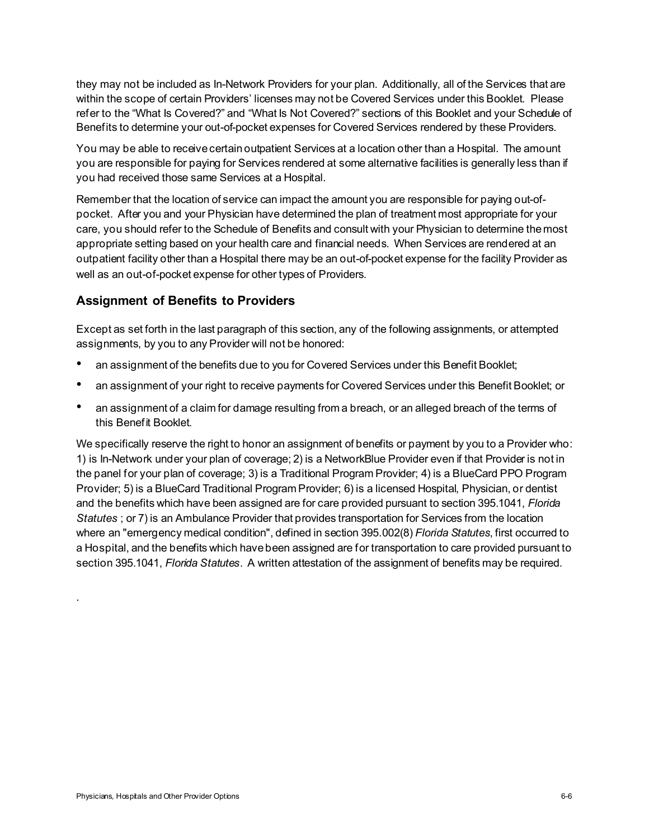they may not be included as In-Network Providers for your plan. Additionally, all of the Services that are within the scope of certain Providers' licenses may not be Covered Services under this Booklet. Please refer to the "What Is Covered?" and "What Is Not Covered?" sections of this Booklet and your Schedule of Benefits to determine your out-of-pocket expenses for Covered Services rendered by these Providers.

You may be able to receive certain outpatient Services at a location other than a Hospital. The amount you are responsible for paying for Services rendered at some alternative facilities is generally less than if you had received those same Services at a Hospital.

Remember that the location of service can impact the amount you are responsible for paying out-ofpocket. After you and your Physician have determined the plan of treatment most appropriate for your care, you should refer to the Schedule of Benefits and consult with your Physician to determine the most appropriate setting based on your health care and financial needs. When Services are rendered at an outpatient facility other than a Hospital there may be an out-of-pocket expense for the facility Provider as well as an out-of-pocket expense for other types of Providers.

# **Assignment of Benefits to Providers**

Except as set forth in the last paragraph of this section, any of the following assignments, or attempted assignments, by you to any Provider will not be honored:

- an assignment of the benefits due to you for Covered Services under this Benefit Booklet;
- an assignment of your right to receive payments for Covered Services under this Benefit Booklet; or
- an assignment of a claim for damage resulting from a breach, or an alleged breach of the terms of this Benefit Booklet.

We specifically reserve the right to honor an assignment of benefits or payment by you to a Provider who: 1) is In-Network under your plan of coverage; 2) is a NetworkBlue Provider even if that Provider is not in the panel for your plan of coverage; 3) is a Traditional Program Provider; 4) is a BlueCard PPO Program Provider; 5) is a BlueCard Traditional Program Provider; 6) is a licensed Hospital, Physician, or dentist and the benefits which have been assigned are for care provided pursuant to section 395.1041, *Florida Statutes* ; or 7) is an Ambulance Provider that provides transportation for Services from the location where an "emergency medical condition", defined in section 395.002(8) *Florida Statutes*, first occurred to a Hospital, and the benefits which have been assigned are for transportation to care provided pursuant to section 395.1041, *Florida Statutes*. A written attestation of the assignment of benefits may be required.

.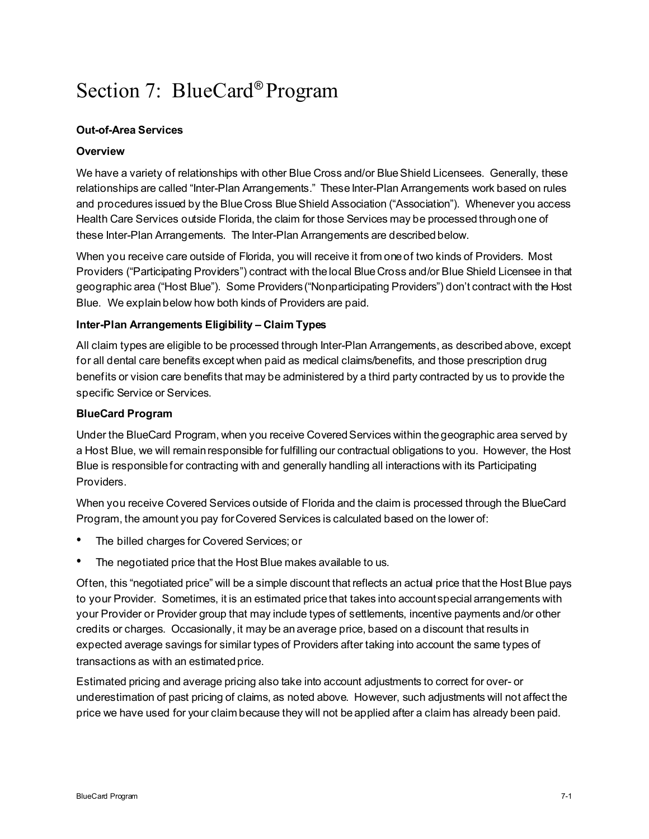# Section 7: BlueCard® Program

## **Out-of-Area Services**

### **Overview**

We have a variety of relationships with other Blue Cross and/or Blue Shield Licensees. Generally, these relationships are called "Inter-Plan Arrangements." These Inter-Plan Arrangements work based on rules and procedures issued by the Blue Cross BlueShield Association ("Association"). Whenever you access Health Care Services outside Florida, the claim for those Services may be processed through one of these Inter-Plan Arrangements. The Inter-Plan Arrangements are described below.

When you receive care outside of Florida, you will receive it from one of two kinds of Providers. Most Providers ("Participating Providers") contract with the local Blue Cross and/or Blue Shield Licensee in that geographic area ("Host Blue"). Some Providers("Nonparticipating Providers") don't contract with the Host Blue. We explainbelow how both kinds of Providers are paid.

#### **Inter-Plan Arrangements Eligibility – Claim Types**

All claim types are eligible to be processed through Inter-Plan Arrangements, as described above, except for all dental care benefits except when paid as medical claims/benefits, and those prescription drug benefits or vision care benefits that may be administered by a third party contracted by us to provide the specific Service or Services.

#### **BlueCard Program**

Under the BlueCard Program, when you receive Covered Services within the geographic area served by a Host Blue, we will remainresponsible for fulfilling our contractual obligations to you. However, the Host Blue is responsiblefor contracting with and generally handling all interactions with its Participating Providers.

When you receive Covered Services outside of Florida and the claim is processed through the BlueCard Program, the amount you pay forCovered Services is calculated based on the lower of:

- The billed charges for Covered Services; or
- The negotiated price that the Host Blue makes available to us.

Often, this "negotiated price" will be a simple discount that reflects an actual price that the Host Blue pays to your Provider. Sometimes, it is an estimated price that takes into accountspecial arrangements with your Provider or Provider group that may include types of settlements, incentive payments and/or other credits or charges. Occasionally, it may be an average price, based on a discount that results in expected average savings for similar types of Providers after taking into account the same types of transactions as with an estimated price.

Estimated pricing and average pricing also take into account adjustments to correct for over- or underestimation of past pricing of claims, as noted above. However, such adjustments will not affect the price we have used for your claim because they will not be applied after a claim has already been paid.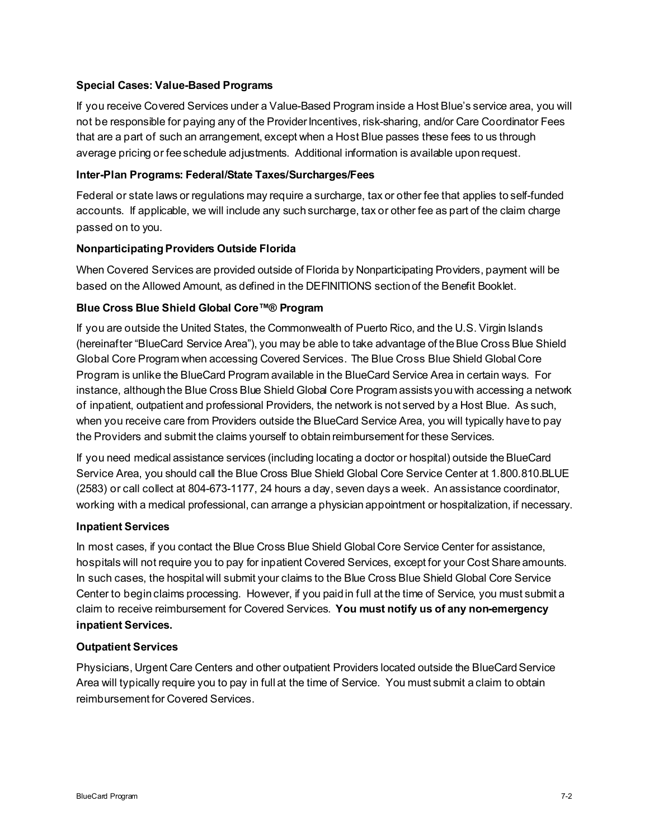## **Special Cases: Value-Based Programs**

If you receive Covered Services under a Value-Based Program inside a Host Blue's service area, you will not be responsible for paying any of the Provider Incentives, risk-sharing, and/or Care Coordinator Fees that are a part of such an arrangement, except when a Host Blue passes these fees to us through average pricing or feeschedule adjustments. Additional information is available upon request.

### **Inter-Plan Programs: Federal/State Taxes/Surcharges/Fees**

Federal or state laws or regulations may require a surcharge, tax or other fee that applies to self-funded accounts. If applicable, we will include any such surcharge, tax or other fee as part of the claim charge passed on to you.

## **Nonparticipating Providers Outside Florida**

When Covered Services are provided outside of Florida by Nonparticipating Providers, payment will be based on the Allowed Amount, as defined in the DEFINITIONS section of the Benefit Booklet.

## **Blue Cross Blue Shield Global Core™® Program**

If you are outside the United States, the Commonwealth of Puerto Rico, and the U.S. Virgin Islands (hereinafter "BlueCard Service Area"), you may be able to take advantage of theBlue Cross Blue Shield Global Core Program when accessing Covered Services. The Blue Cross Blue Shield Global Core Program is unlike the BlueCard Program available in the BlueCard Service Area in certain ways. For instance, although the Blue Cross Blue Shield Global Core Program assistsyou with accessing a network of inpatient, outpatient and professional Providers, the network is not served by a Host Blue. As such, when you receive care from Providers outside the BlueCard Service Area, you will typically have to pay the Providers and submit the claims yourself to obtain reimbursement for these Services.

If you need medical assistance services (including locating a doctor or hospital) outside theBlueCard Service Area, you should call the Blue Cross Blue Shield Global Core Service Center at 1.800.810.BLUE (2583) or call collect at 804-673-1177, 24 hours a day, seven days a week. Anassistance coordinator, working with a medical professional, can arrange a physician appointment or hospitalization, if necessary.

#### **Inpatient Services**

In most cases, if you contact the Blue Cross Blue Shield Global Core Service Center for assistance, hospitals will not require you to pay for inpatient Covered Services, except for your Cost Share amounts. In such cases, the hospital will submit your claims to the Blue Cross Blue Shield Global Core Service Center to begin claims processing. However, if you paidin full at the time of Service, you must submit a claim to receive reimbursement for Covered Services. **You must notify us of any non-emergency inpatient Services.**

#### **Outpatient Services**

Physicians, Urgent Care Centers and other outpatient Providers located outside the BlueCard Service Area will typically require you to pay in full at the time of Service. You must submit a claim to obtain reimbursement for Covered Services.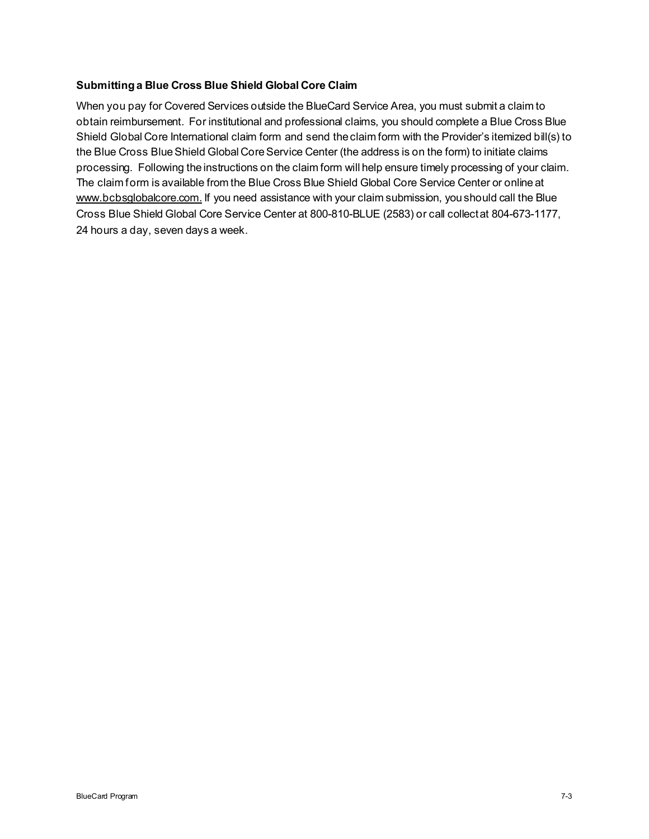## **Submitting a Blue Cross Blue Shield Global Core Claim**

When you pay for Covered Services outside the BlueCard Service Area, you must submit a claim to obtain reimbursement. For institutional and professional claims, you should complete a Blue Cross Blue Shield Global Core International claim form and send the claim form with the Provider's itemized bill(s) to the Blue Cross Blue Shield Global Core Service Center (the address is on the form) to initiate claims processing. Following the instructions on the claim form will help ensure timely processing of your claim. The claim form is available from the Blue Cross Blue Shield Global Core Service Center or online at www.bcbsglobalcore.com. If you need assistance with your claim submission, you should call the Blue Cross Blue Shield Global Core Service Center at 800-810-BLUE (2583) or call collectat 804-673-1177, 24 hours a day, seven days a week.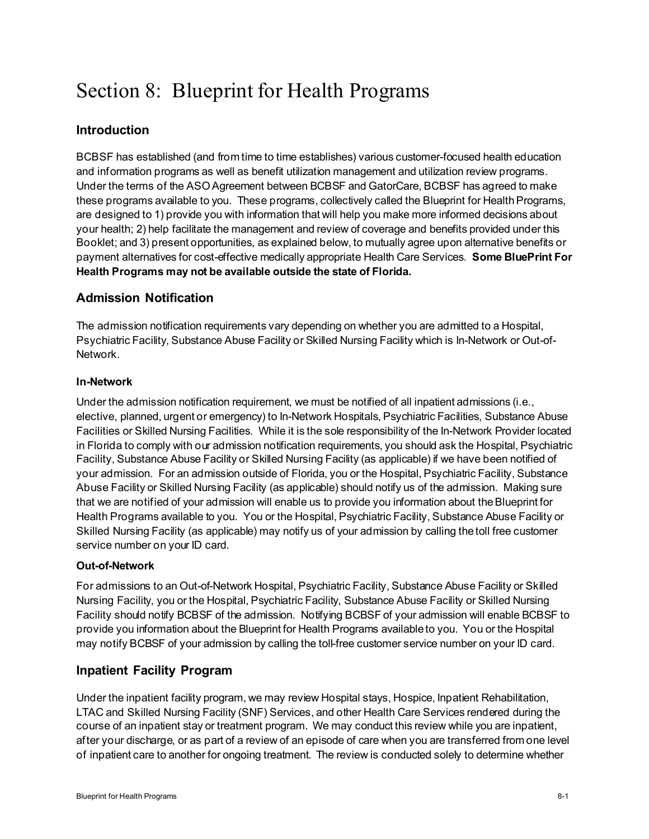# Section 8: Blueprint for Health Programs

# **Introduction**

BCBSF has established (and from time to time establishes) various customer-focused health education and information programs as well as benefit utilization management and utilization review programs. Under the terms of the ASO Agreement between BCBSF and GatorCare, BCBSF has agreed to make these programs available to you. These programs, collectively called the Blueprint for Health Programs, are designed to 1) provide you with information that will help you make more informed decisions about your health; 2) help facilitate the management and review of coverage and benefits provided under this Booklet; and 3) present opportunities, as explained below, to mutually agree upon alternative benefits or payment alternatives for cost-effective medically appropriate Health Care Services. **Some BluePrint For Health Programs may not be available outside the state of Florida.**

# **Admission Notification**

The admission notification requirements vary depending on whether you are admitted to a Hospital, Psychiatric Facility, Substance Abuse Facility or Skilled Nursing Facility which is In-Network or Out-of-Network.

## **In-Network**

Under the admission notification requirement, we must be notified of all inpatient admissions (i.e., elective, planned, urgent or emergency) to In-Network Hospitals, Psychiatric Facilities, Substance Abuse Facilities or Skilled Nursing Facilities. While it is the sole responsibility of the In-Network Provider located in Florida to comply with our admission notification requirements, you should ask the Hospital, Psychiatric Facility, Substance Abuse Facility or Skilled Nursing Facility (as applicable) if we have been notified of your admission. For an admission outside of Florida, you or the Hospital, Psychiatric Facility, Substance Abuse Facility or Skilled Nursing Facility (as applicable) should notify us of the admission. Making sure that we are notified of your admission will enable us to provide you information about the Blueprint for Health Programs available to you. You or the Hospital, Psychiatric Facility, Substance Abuse Facility or Skilled Nursing Facility (as applicable) may notify us of your admission by calling the toll free customer service number on your ID card.

## **Out-of-Network**

For admissions to an Out-of-Network Hospital, Psychiatric Facility, Substance Abuse Facility or Skilled Nursing Facility, you or the Hospital, Psychiatric Facility, Substance Abuse Facility or Skilled Nursing Facility should notify BCBSF of the admission. Notifying BCBSF of your admission will enable BCBSF to provide you information about the Blueprint for Health Programs available to you. You or the Hospital may notify BCBSF of your admission by calling the toll-free customer service number on your ID card.

# **Inpatient Facility Program**

Under the inpatient facility program, we may review Hospital stays, Hospice, Inpatient Rehabilitation, LTAC and Skilled Nursing Facility (SNF) Services, and other Health Care Services rendered during the course of an inpatient stay or treatment program. We may conduct this review while you are inpatient, after your discharge, or as part of a review of an episode of care when you are transferred from one level of inpatient care to another for ongoing treatment. The review is conducted solely to determine whether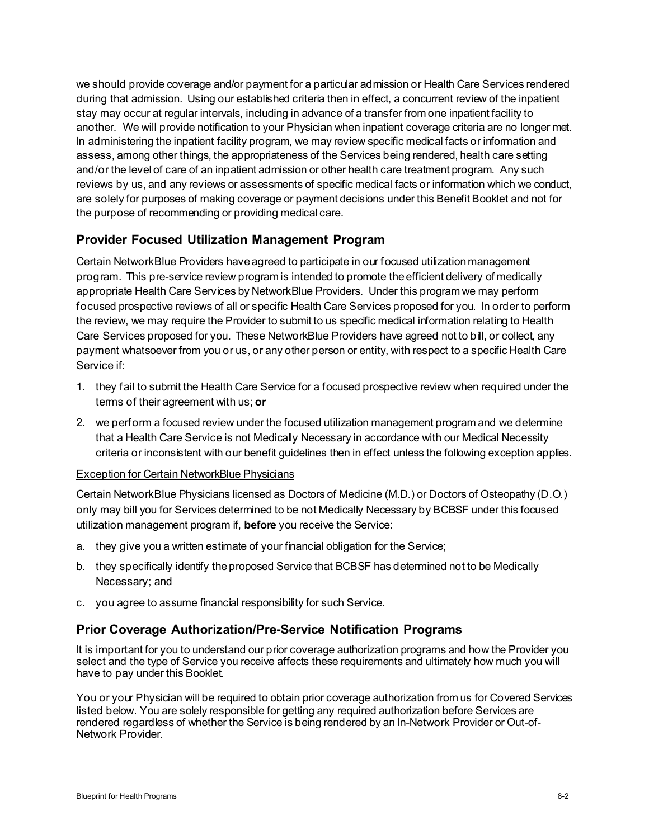we should provide coverage and/or payment for a particular admission or Health Care Services rendered during that admission. Using our established criteria then in effect, a concurrent review of the inpatient stay may occur at regular intervals, including in advance of a transfer from one inpatient facility to another. We will provide notification to your Physician when inpatient coverage criteria are no longer met. In administering the inpatient facility program, we may review specific medical facts or information and assess, among other things, the appropriateness of the Services being rendered, health care setting and/or the level of care of an inpatient admission or other health care treatment program. Any such reviews by us, and any reviews or assessments of specific medical facts or information which we conduct, are solely for purposes of making coverage or payment decisions under this Benefit Booklet and not for the purpose of recommending or providing medical care.

# **Provider Focused Utilization Management Program**

Certain NetworkBlue Providers have agreed to participate in our focused utilization management program. This pre-service review program is intended to promote the efficient delivery of medically appropriate Health Care Services by NetworkBlue Providers. Under this program we may perform focused prospective reviews of all or specific Health Care Services proposed for you. In order to perform the review, we may require the Provider to submit to us specific medical information relating to Health Care Services proposed for you. These NetworkBlue Providers have agreed not to bill, or collect, any payment whatsoever from you or us, or any other person or entity, with respect to a specific Health Care Service if:

- 1. they fail to submit the Health Care Service for a focused prospective review when required under the terms of their agreement with us; **or**
- 2. we perform a focused review under the focused utilization management program and we determine that a Health Care Service is not Medically Necessary in accordance with our Medical Necessity criteria or inconsistent with our benefit guidelines then in effect unless the following exception applies.

#### Exception for Certain NetworkBlue Physicians

Certain NetworkBlue Physicians licensed as Doctors of Medicine (M.D.) or Doctors of Osteopathy (D.O.) only may bill you for Services determined to be not Medically Necessary by BCBSF under this focused utilization management program if, **before** you receive the Service:

- a. they give you a written estimate of your financial obligation for the Service;
- b. they specifically identify the proposed Service that BCBSF has determined not to be Medically Necessary; and
- c. you agree to assume financial responsibility for such Service.

## **Prior Coverage Authorization/Pre-Service Notification Programs**

It is important for you to understand our prior coverage authorization programs and how the Provider you select and the type of Service you receive affects these requirements and ultimately how much you will have to pay under this Booklet.

You or your Physician will be required to obtain prior coverage authorization from us for Covered Services listed below. You are solely responsible for getting any required authorization before Services are rendered regardless of whether the Service is being rendered by an In-Network Provider or Out-of-Network Provider.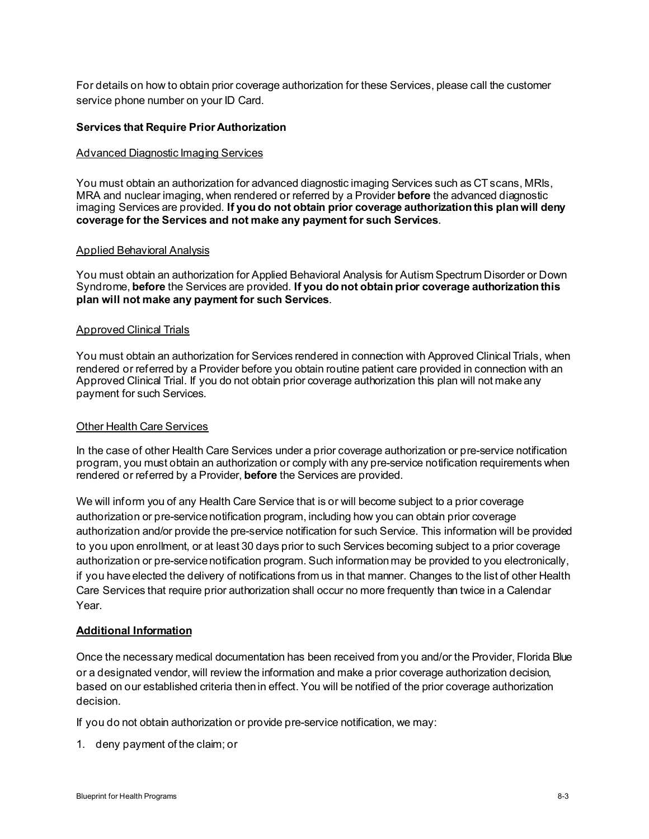For details on how to obtain prior coverage authorization for these Services, please call the customer service phone number on your ID Card.

#### **Services that Require Prior Authorization**

#### Advanced Diagnostic Imaging Services

You must obtain an authorization for advanced diagnostic imaging Services such as CT scans, MRIs, MRA and nuclear imaging, when rendered or referred by a Provider **before** the advanced diagnostic imaging Services are provided. **If you do not obtain prior coverage authorization this plan will deny coverage for the Services and not make any payment for such Services**.

#### Applied Behavioral Analysis

You must obtain an authorization for Applied Behavioral Analysis for Autism Spectrum Disorder or Down Syndrome, **before** the Services are provided. **If you do not obtain prior coverage authorization this plan will not make any payment for such Services**.

#### Approved Clinical Trials

You must obtain an authorization for Services rendered in connection with Approved Clinical Trials, when rendered or referred by a Provider before you obtain routine patient care provided in connection with an Approved Clinical Trial. If you do not obtain prior coverage authorization this plan will not make any payment for such Services.

#### Other Health Care Services

In the case of other Health Care Services under a prior coverage authorization or pre-service notification program, you must obtain an authorization or comply with any pre-service notification requirements when rendered or referred by a Provider, **before** the Services are provided.

We will inform you of any Health Care Service that is or will become subject to a prior coverage authorization or pre-service notification program, including how you can obtain prior coverage authorization and/or provide the pre-service notification for such Service. This information will be provided to you upon enrollment, or at least 30 days prior to such Services becoming subject to a prior coverage authorization or pre-service notification program. Such information may be provided to you electronically, if you have elected the delivery of notifications from us in that manner. Changes to the list of other Health Care Services that require prior authorization shall occur no more frequently than twice in a Calendar Year.

#### **Additional Information**

Once the necessary medical documentation has been received from you and/or the Provider, Florida Blue or a designated vendor, will review the information and make a prior coverage authorization decision, based on our established criteria then in effect. You will be notified of the prior coverage authorization decision.

If you do not obtain authorization or provide pre-service notification, we may:

1. deny payment of the claim; or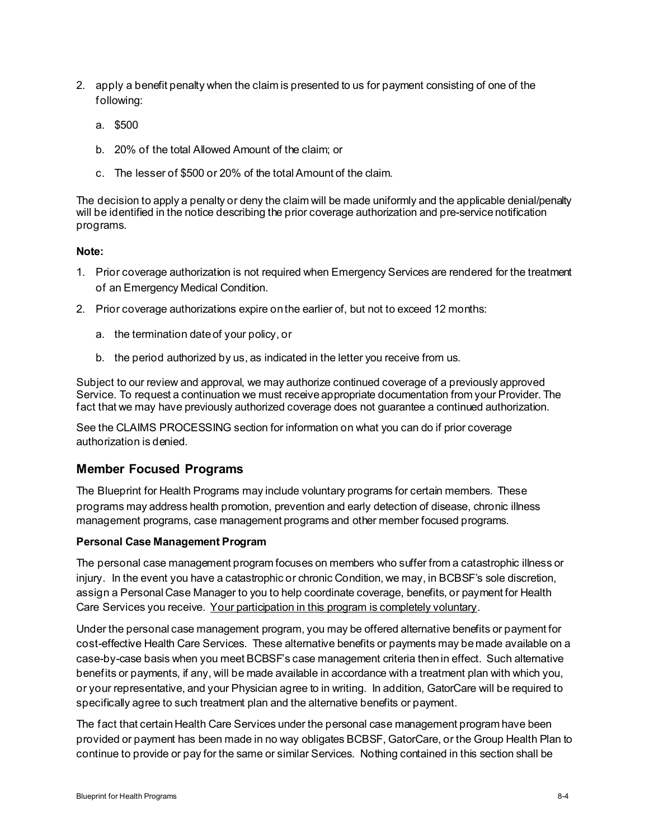- 2. apply a benefit penalty when the claim is presented to us for payment consisting of one of the following:
	- a. \$500
	- b. 20% of the total Allowed Amount of the claim; or
	- c. The lesser of \$500 or 20% of the total Amount of the claim.

The decision to apply a penalty or deny the claim will be made uniformly and the applicable denial/penalty will be identified in the notice describing the prior coverage authorization and pre-service notification programs.

#### **Note:**

- 1. Prior coverage authorization is not required when Emergency Services are rendered for the treatment of an Emergency Medical Condition.
- 2. Prior coverage authorizations expire on the earlier of, but not to exceed 12 months:
	- a. the termination date of your policy, or
	- b. the period authorized by us, as indicated in the letter you receive from us.

Subject to our review and approval, we may authorize continued coverage of a previously approved Service. To request a continuation we must receive appropriate documentation from your Provider. The fact that we may have previously authorized coverage does not guarantee a continued authorization.

See the CLAIMS PROCESSING section for information on what you can do if prior coverage authorization is denied.

#### **Member Focused Programs**

The Blueprint for Health Programs may include voluntary programs for certain members. These programs may address health promotion, prevention and early detection of disease, chronic illness management programs, case management programs and other member focused programs.

#### **Personal Case Management Program**

The personal case management program focuses on members who suffer from a catastrophic illness or injury. In the event you have a catastrophic or chronic Condition, we may, in BCBSF's sole discretion, assign a Personal Case Manager to you to help coordinate coverage, benefits, or payment for Health Care Services you receive. Your participation in this program is completely voluntary.

Under the personal case management program, you may be offered alternative benefits or payment for cost-effective Health Care Services. These alternative benefits or payments may be made available on a case-by-case basis when you meet BCBSF's case management criteria then in effect. Such alternative benefits or payments, if any, will be made available in accordance with a treatment plan with which you, or your representative, and your Physician agree to in writing. In addition, GatorCare will be required to specifically agree to such treatment plan and the alternative benefits or payment.

The fact that certain Health Care Services under the personal case management program have been provided or payment has been made in no way obligates BCBSF, GatorCare, or the Group Health Plan to continue to provide or pay for the same or similar Services. Nothing contained in this section shall be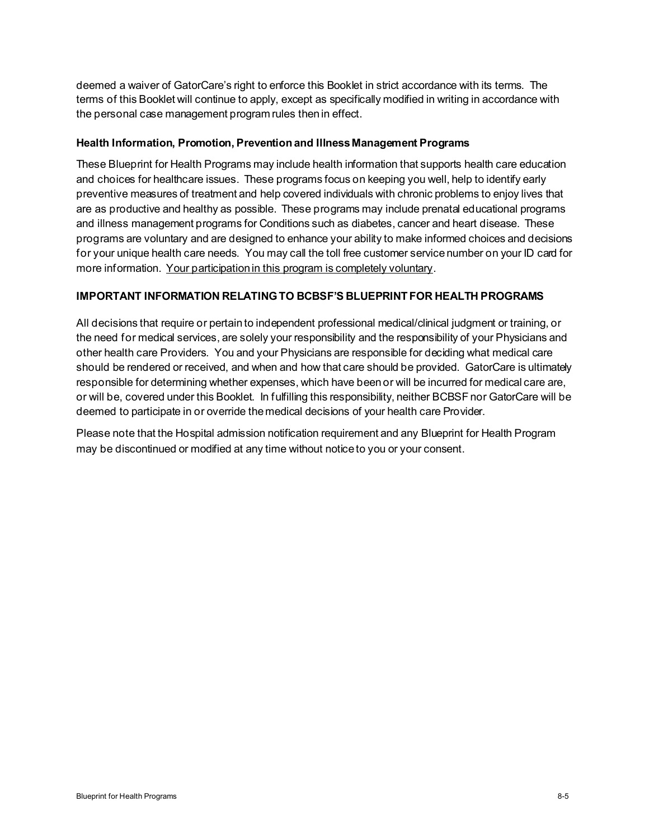deemed a waiver of GatorCare's right to enforce this Booklet in strict accordance with its terms. The terms of this Booklet will continue to apply, except as specifically modified in writing in accordance with the personal case management program rules then in effect.

#### **Health Information, Promotion, Prevention and Illness Management Programs**

These Blueprint for Health Programs may include health information that supports health care education and choices for healthcare issues. These programs focus on keeping you well, help to identify early preventive measures of treatment and help covered individuals with chronic problems to enjoy lives that are as productive and healthy as possible. These programs may include prenatal educational programs and illness management programs for Conditions such as diabetes, cancer and heart disease. These programs are voluntary and are designed to enhance your ability to make informed choices and decisions for your unique health care needs. You may call the toll free customer service number on your ID card for more information. Your participation in this program is completely voluntary.

#### **IMPORTANT INFORMATION RELATING TO BCBSF'S BLUEPRINT FOR HEALTH PROGRAMS**

All decisions that require or pertain to independent professional medical/clinical judgment or training, or the need for medical services, are solely your responsibility and the responsibility of your Physicians and other health care Providers. You and your Physicians are responsible for deciding what medical care should be rendered or received, and when and how that care should be provided. GatorCare is ultimately responsible for determining whether expenses, which have been or will be incurred for medical care are, or will be, covered under this Booklet. In fulfilling this responsibility, neither BCBSF nor GatorCare will be deemed to participate in or override the medical decisions of your health care Provider.

Please note that the Hospital admission notification requirement and any Blueprint for Health Program may be discontinued or modified at any time without notice to you or your consent.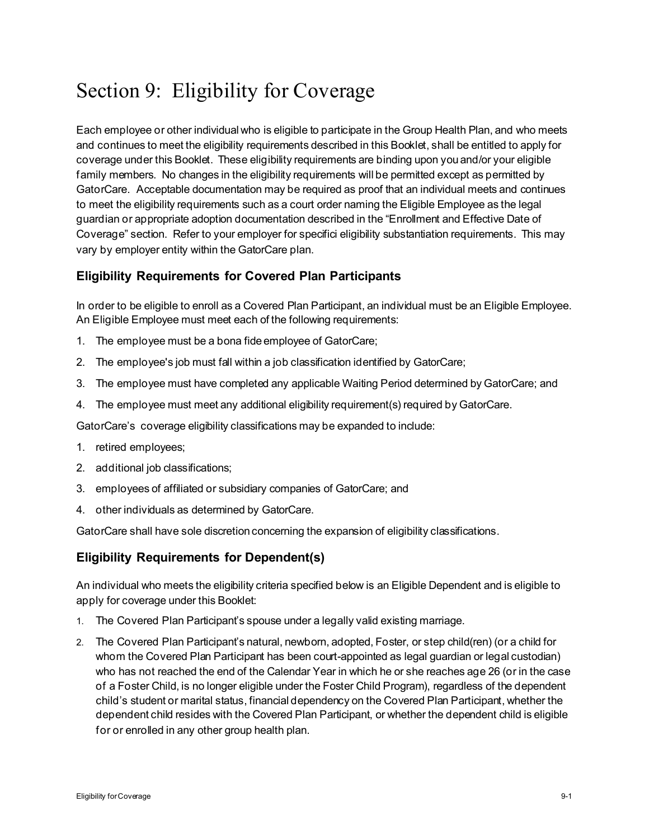# Section 9: Eligibility for Coverage

Each employee or other individual who is eligible to participate in the Group Health Plan, and who meets and continues to meet the eligibility requirements described in this Booklet, shall be entitled to apply for coverage under this Booklet. These eligibility requirements are binding upon you and/or your eligible family members. No changes in the eligibility requirements will be permitted except as permitted by GatorCare. Acceptable documentation may be required as proof that an individual meets and continues to meet the eligibility requirements such as a court order naming the Eligible Employee as the legal guardian or appropriate adoption documentation described in the "Enrollment and Effective Date of Coverage" section. Refer to your employer for specifici eligibility substantiation requirements. This may vary by employer entity within the GatorCare plan.

## **Eligibility Requirements for Covered Plan Participants**

In order to be eligible to enroll as a Covered Plan Participant, an individual must be an Eligible Employee. An Eligible Employee must meet each of the following requirements:

- 1. The employee must be a bona fide employee of GatorCare;
- 2. The employee's job must fall within a job classification identified by GatorCare;
- 3. The employee must have completed any applicable Waiting Period determined by GatorCare; and
- 4. The employee must meet any additional eligibility requirement(s) required by GatorCare.

GatorCare's coverage eligibility classifications may be expanded to include:

- 1. retired employees;
- 2. additional job classifications;
- 3. employees of affiliated or subsidiary companies of GatorCare; and
- 4. other individuals as determined by GatorCare.

GatorCare shall have sole discretion concerning the expansion of eligibility classifications.

## **Eligibility Requirements for Dependent(s)**

An individual who meets the eligibility criteria specified below is an Eligible Dependent and is eligible to apply for coverage under this Booklet:

- 1. The Covered Plan Participant's spouse under a legally valid existing marriage.
- 2. The Covered Plan Participant's natural, newborn, adopted, Foster, or step child(ren) (or a child for whom the Covered Plan Participant has been court-appointed as legal guardian or legal custodian) who has not reached the end of the Calendar Year in which he or she reaches age 26 (or in the case of a Foster Child, is no longer eligible under the Foster Child Program), regardless of the dependent child's student or marital status, financial dependency on the Covered Plan Participant, whether the dependent child resides with the Covered Plan Participant, or whether the dependent child is eligible for or enrolled in any other group health plan.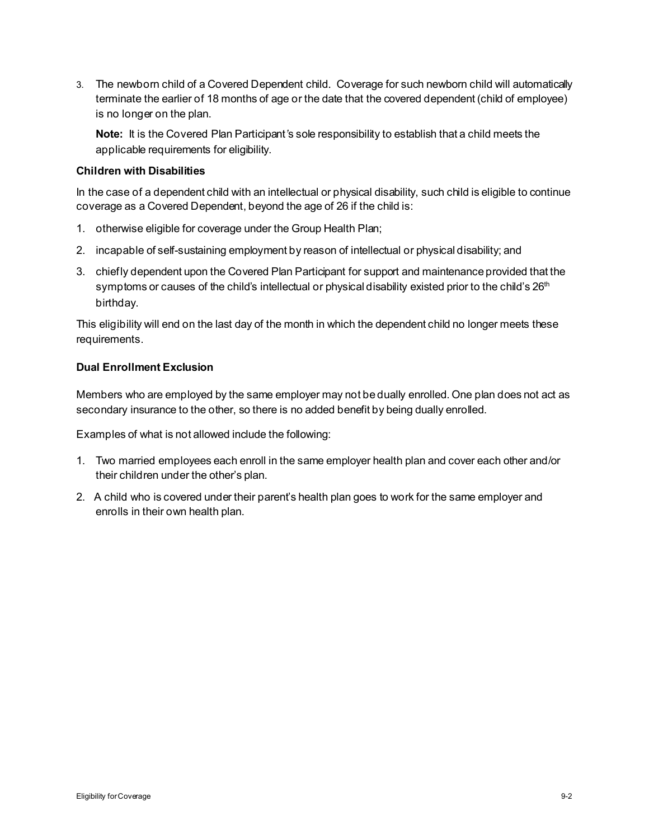3. The newborn child of a Covered Dependent child. Coverage for such newborn child will automatically terminate the earlier of 18 months of age or the date that the covered dependent (child of employee) is no longer on the plan.

**Note:** It is the Covered Plan Participant*'*s sole responsibility to establish that a child meets the applicable requirements for eligibility.

## **Children with Disabilities**

In the case of a dependent child with an intellectual or physical disability, such child is eligible to continue coverage as a Covered Dependent, beyond the age of 26 if the child is:

- 1. otherwise eligible for coverage under the Group Health Plan;
- 2. incapable of self-sustaining employment by reason of intellectual or physical disability; and
- 3. chiefly dependent upon the Covered Plan Participant for support and maintenance provided that the symptoms or causes of the child's intellectual or physical disability existed prior to the child's  $26<sup>th</sup>$ birthday.

This eligibility will end on the last day of the month in which the dependent child no longer meets these requirements.

## **Dual Enrollment Exclusion**

Members who are employed by the same employer may not be dually enrolled. One plan does not act as secondary insurance to the other, so there is no added benefit by being dually enrolled.

Examples of what is not allowed include the following:

- 1. Two married employees each enroll in the same employer health plan and cover each other and/or their children under the other's plan.
- 2. A child who is covered under their parent's health plan goes to work for the same employer and enrolls in their own health plan.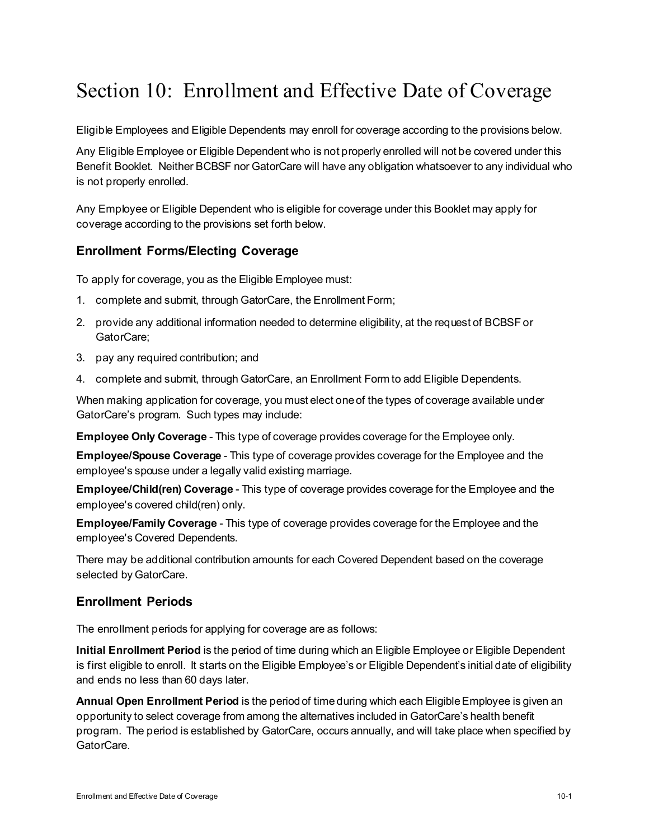# Section 10: Enrollment and Effective Date of Coverage

Eligible Employees and Eligible Dependents may enroll for coverage according to the provisions below.

Any Eligible Employee or Eligible Dependent who is not properly enrolled will not be covered under this Benefit Booklet. Neither BCBSF nor GatorCare will have any obligation whatsoever to any individual who is not properly enrolled.

Any Employee or Eligible Dependent who is eligible for coverage under this Booklet may apply for coverage according to the provisions set forth below.

# **Enrollment Forms/Electing Coverage**

To apply for coverage, you as the Eligible Employee must:

- 1. complete and submit, through GatorCare, the Enrollment Form;
- 2. provide any additional information needed to determine eligibility, at the request of BCBSF or GatorCare;
- 3. pay any required contribution; and
- 4. complete and submit, through GatorCare, an Enrollment Form to add Eligible Dependents.

When making application for coverage, you must elect one of the types of coverage available under GatorCare's program. Such types may include:

**Employee Only Coverage** - This type of coverage provides coverage for the Employee only.

**Employee/Spouse Coverage** - This type of coverage provides coverage for the Employee and the employee's spouse under a legally valid existing marriage.

**Employee/Child(ren) Coverage** - This type of coverage provides coverage for the Employee and the employee's covered child(ren) only.

**Employee/Family Coverage** - This type of coverage provides coverage for the Employee and the employee's Covered Dependents.

There may be additional contribution amounts for each Covered Dependent based on the coverage selected by GatorCare.

# **Enrollment Periods**

The enrollment periods for applying for coverage are as follows:

**Initial Enrollment Period** is the period of time during which an Eligible Employee or Eligible Dependent is first eligible to enroll. It starts on the Eligible Employee's or Eligible Dependent's initial date of eligibility and ends no less than 60 days later.

**Annual Open Enrollment Period** is the period of time during which each Eligible Employee is given an opportunity to select coverage from among the alternatives included in GatorCare's health benefit program. The period is established by GatorCare, occurs annually, and will take place when specified by GatorCare.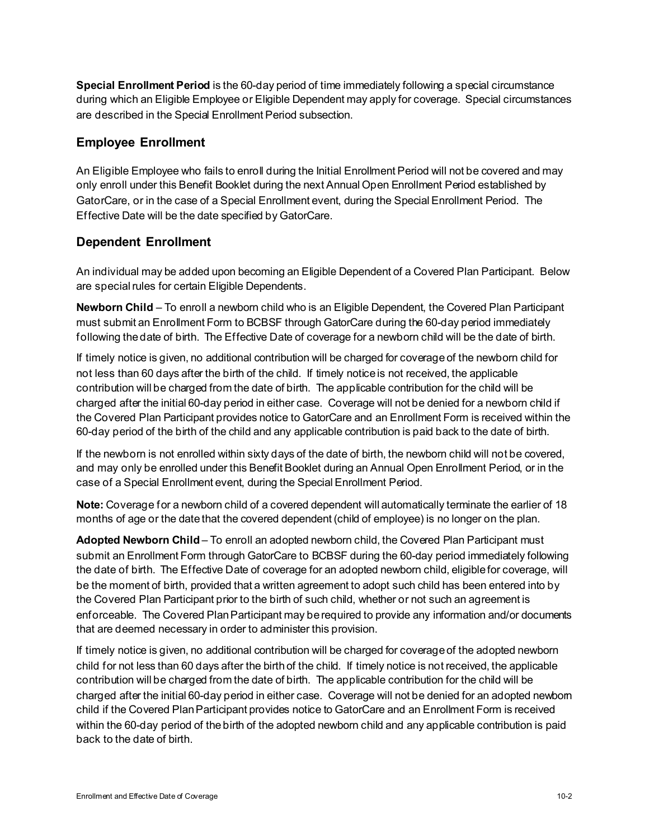**Special Enrollment Period** is the 60-day period of time immediately following a special circumstance during which an Eligible Employee or Eligible Dependent may apply for coverage. Special circumstances are described in the Special Enrollment Period subsection.

## **Employee Enrollment**

An Eligible Employee who fails to enroll during the Initial Enrollment Period will not be covered and may only enroll under this Benefit Booklet during the next Annual Open Enrollment Period established by GatorCare, or in the case of a Special Enrollment event, during the Special Enrollment Period. The Effective Date will be the date specified by GatorCare.

# **Dependent Enrollment**

An individual may be added upon becoming an Eligible Dependent of a Covered Plan Participant. Below are special rules for certain Eligible Dependents.

**Newborn Child** – To enroll a newborn child who is an Eligible Dependent, the Covered Plan Participant must submit an Enrollment Form to BCBSF through GatorCare during the 60-day period immediately following the date of birth. The Effective Date of coverage for a newborn child will be the date of birth.

If timely notice is given, no additional contribution will be charged for coverage of the newborn child for not less than 60 days after the birth of the child. If timely notice is not received, the applicable contribution will be charged from the date of birth. The applicable contribution for the child will be charged after the initial 60-day period in either case. Coverage will not be denied for a newborn child if the Covered Plan Participant provides notice to GatorCare and an Enrollment Form is received within the 60-day period of the birth of the child and any applicable contribution is paid back to the date of birth.

If the newborn is not enrolled within sixty days of the date of birth, the newborn child will not be covered, and may only be enrolled under this Benefit Booklet during an Annual Open Enrollment Period, or in the case of a Special Enrollment event, during the Special Enrollment Period.

**Note:** Coverage for a newborn child of a covered dependent will automatically terminate the earlier of 18 months of age or the date that the covered dependent (child of employee) is no longer on the plan.

Adopted Newborn Child – To enroll an adopted newborn child, the Covered Plan Participant must submit an Enrollment Form through GatorCare to BCBSF during the 60-day period immediately following the date of birth. The Effective Date of coverage for an adopted newborn child, eligible for coverage, will be the moment of birth, provided that a written agreement to adopt such child has been entered into by the Covered Plan Participant prior to the birth of such child, whether or not such an agreement is enforceable. The Covered Plan Participant may be required to provide any information and/or documents that are deemed necessary in order to administer this provision.

If timely notice is given, no additional contribution will be charged for coverage of the adopted newborn child for not less than 60 days after the birth of the child. If timely notice is not received, the applicable contribution will be charged from the date of birth. The applicable contribution for the child will be charged after the initial 60-day period in either case. Coverage will not be denied for an adopted newborn child if the Covered Plan Participant provides notice to GatorCare and an Enrollment Form is received within the 60-day period of the birth of the adopted newborn child and any applicable contribution is paid back to the date of birth.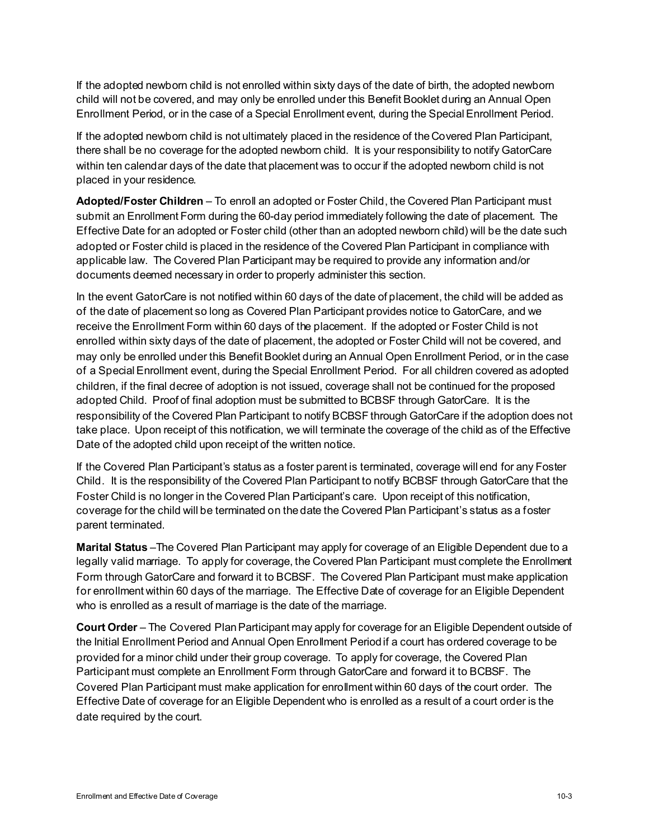If the adopted newborn child is not enrolled within sixty days of the date of birth, the adopted newborn child will not be covered, and may only be enrolled under this Benefit Booklet during an Annual Open Enrollment Period, or in the case of a Special Enrollment event, during the Special Enrollment Period.

If the adopted newborn child is not ultimately placed in the residence of the Covered Plan Participant, there shall be no coverage for the adopted newborn child. It is your responsibility to notify GatorCare within ten calendar days of the date that placement was to occur if the adopted newborn child is not placed in your residence.

**Adopted/Foster Children** – To enroll an adopted or Foster Child, the Covered Plan Participant must submit an Enrollment Form during the 60-day period immediately following the date of placement. The Effective Date for an adopted or Foster child (other than an adopted newborn child) will be the date such adopted or Foster child is placed in the residence of the Covered Plan Participant in compliance with applicable law. The Covered Plan Participant may be required to provide any information and/or documents deemed necessary in order to properly administer this section.

In the event GatorCare is not notified within 60 days of the date of placement, the child will be added as of the date of placement so long as Covered Plan Participant provides notice to GatorCare, and we receive the Enrollment Form within 60 days of the placement. If the adopted or Foster Child is not enrolled within sixty days of the date of placement, the adopted or Foster Child will not be covered, and may only be enrolled under this Benefit Booklet during an Annual Open Enrollment Period, or in the case of a Special Enrollment event, during the Special Enrollment Period. For all children covered as adopted children, if the final decree of adoption is not issued, coverage shall not be continued for the proposed adopted Child. Proof of final adoption must be submitted to BCBSF through GatorCare. It is the responsibility of the Covered Plan Participant to notify BCBSF through GatorCare if the adoption does not take place. Upon receipt of this notification, we will terminate the coverage of the child as of the Effective Date of the adopted child upon receipt of the written notice.

If the Covered Plan Participant's status as a foster parent is terminated, coverage will end for any Foster Child. It is the responsibility of the Covered Plan Participant to notify BCBSF through GatorCare that the Foster Child is no longer in the Covered Plan Participant's care. Upon receipt of this notification, coverage for the child will be terminated on the date the Covered Plan Participant's status as a foster parent terminated.

**Marital Status** –The Covered Plan Participant may apply for coverage of an Eligible Dependent due to a legally valid marriage. To apply for coverage, the Covered Plan Participant must complete the Enrollment Form through GatorCare and forward it to BCBSF. The Covered Plan Participant must make application for enrollment within 60 days of the marriage. The Effective Date of coverage for an Eligible Dependent who is enrolled as a result of marriage is the date of the marriage.

**Court Order** – The Covered Plan Participant may apply for coverage for an Eligible Dependent outside of the Initial Enrollment Period and Annual Open Enrollment Period if a court has ordered coverage to be provided for a minor child under their group coverage. To apply for coverage, the Covered Plan Participant must complete an Enrollment Form through GatorCare and forward it to BCBSF. The Covered Plan Participant must make application for enrollment within 60 days of the court order. The Effective Date of coverage for an Eligible Dependent who is enrolled as a result of a court order is the date required by the court.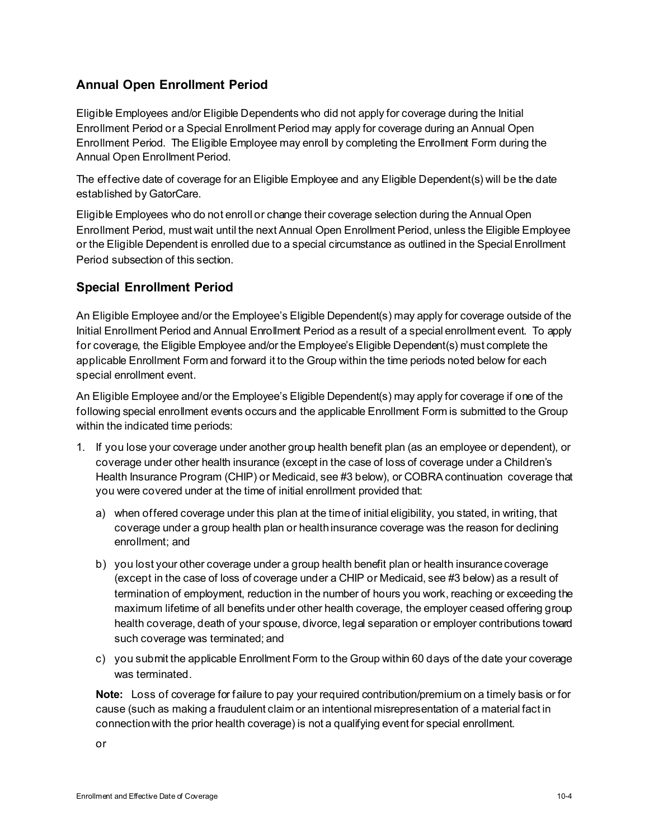# **Annual Open Enrollment Period**

Eligible Employees and/or Eligible Dependents who did not apply for coverage during the Initial Enrollment Period or a Special Enrollment Period may apply for coverage during an Annual Open Enrollment Period. The Eligible Employee may enroll by completing the Enrollment Form during the Annual Open Enrollment Period.

The effective date of coverage for an Eligible Employee and any Eligible Dependent(s) will be the date established by GatorCare.

Eligible Employees who do not enroll or change their coverage selection during the Annual Open Enrollment Period, must wait until the next Annual Open Enrollment Period, unless the Eligible Employee or the Eligible Dependent is enrolled due to a special circumstance as outlined in the Special Enrollment Period subsection of this section.

# **Special Enrollment Period**

An Eligible Employee and/or the Employee's Eligible Dependent(s) may apply for coverage outside of the Initial Enrollment Period and Annual Enrollment Period as a result of a special enrollment event. To apply for coverage, the Eligible Employee and/or the Employee's Eligible Dependent(s) must complete the applicable Enrollment Form and forward it to the Group within the time periods noted below for each special enrollment event.

An Eligible Employee and/or the Employee's Eligible Dependent(s) may apply for coverage if one of the following special enrollment events occurs and the applicable Enrollment Form is submitted to the Group within the indicated time periods:

- 1. If you lose your coverage under another group health benefit plan (as an employee or dependent), or coverage under other health insurance (except in the case of loss of coverage under a Children's Health Insurance Program (CHIP) or Medicaid, see #3 below), or COBRA continuation coverage that you were covered under at the time of initial enrollment provided that:
	- a) when offered coverage under this plan at the time of initial eligibility, you stated, in writing, that coverage under a group health plan or health insurance coverage was the reason for declining enrollment; and
	- b) you lost your other coverage under a group health benefit plan or health insurance coverage (except in the case of loss of coverage under a CHIP or Medicaid, see #3 below) as a result of termination of employment, reduction in the number of hours you work, reaching or exceeding the maximum lifetime of all benefits under other health coverage, the employer ceased offering group health coverage, death of your spouse, divorce, legal separation or employer contributions toward such coverage was terminated; and
	- c) you submit the applicable Enrollment Form to the Group within 60 days of the date your coverage was terminated.

**Note:** Loss of coverage for failure to pay your required contribution/premium on a timely basis or for cause (such as making a fraudulent claim or an intentional misrepresentation of a material fact in connection with the prior health coverage) is not a qualifying event for special enrollment.

or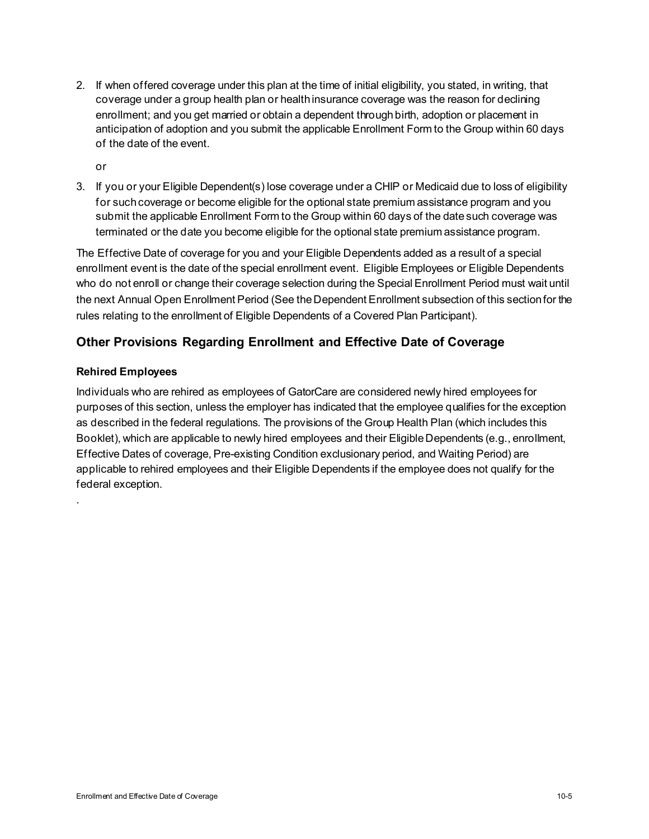2. If when offered coverage under this plan at the time of initial eligibility, you stated, in writing, that coverage under a group health plan or health insurance coverage was the reason for declining enrollment; and you get married or obtain a dependent through birth, adoption or placement in anticipation of adoption and you submit the applicable Enrollment Form to the Group within 60 days of the date of the event.

or

3. If you or your Eligible Dependent(s) lose coverage under a CHIP or Medicaid due to loss of eligibility for such coverage or become eligible for the optional state premium assistance program and you submit the applicable Enrollment Form to the Group within 60 days of the date such coverage was terminated or the date you become eligible for the optional state premium assistance program.

The Effective Date of coverage for you and your Eligible Dependents added as a result of a special enrollment event is the date of the special enrollment event. Eligible Employees or Eligible Dependents who do not enroll or change their coverage selection during the Special Enrollment Period must wait until the next Annual Open Enrollment Period (See the Dependent Enrollment subsection of this section for the rules relating to the enrollment of Eligible Dependents of a Covered Plan Participant).

# **Other Provisions Regarding Enrollment and Effective Date of Coverage**

## **Rehired Employees**

.

Individuals who are rehired as employees of GatorCare are considered newly hired employees for purposes of this section, unless the employer has indicated that the employee qualifies for the exception as described in the federal regulations. The provisions of the Group Health Plan (which includes this Booklet), which are applicable to newly hired employees and their Eligible Dependents (e.g., enrollment, Effective Dates of coverage, Pre-existing Condition exclusionary period, and Waiting Period) are applicable to rehired employees and their Eligible Dependents if the employee does not qualify for the federal exception.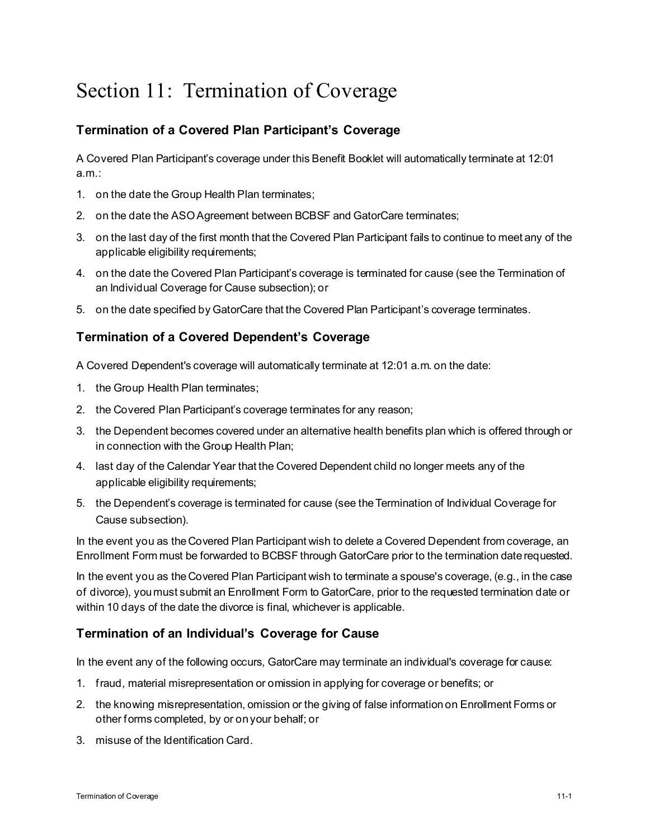# Section 11: Termination of Coverage

# **Termination of a Covered Plan Participant's Coverage**

A Covered Plan Participant's coverage under this Benefit Booklet will automatically terminate at 12:01 a.m.:

- 1. on the date the Group Health Plan terminates;
- 2. on the date the ASO Agreement between BCBSF and GatorCare terminates;
- 3. on the last day of the first month that the Covered Plan Participant fails to continue to meet any of the applicable eligibility requirements;
- 4. on the date the Covered Plan Participant's coverage is terminated for cause (see the Termination of an Individual Coverage for Cause subsection); or
- 5. on the date specified by GatorCare that the Covered Plan Participant's coverage terminates.

# **Termination of a Covered Dependent's Coverage**

A Covered Dependent's coverage will automatically terminate at 12:01 a.m. on the date:

- 1. the Group Health Plan terminates;
- 2. the Covered Plan Participant's coverage terminates for any reason;
- 3. the Dependent becomes covered under an alternative health benefits plan which is offered through or in connection with the Group Health Plan;
- 4. last day of the Calendar Year that the Covered Dependent child no longer meets any of the applicable eligibility requirements;
- 5. the Dependent's coverage is terminated for cause (see the Termination of Individual Coverage for Cause subsection).

In the event you as the Covered Plan Participant wish to delete a Covered Dependent from coverage, an Enrollment Form must be forwarded to BCBSF through GatorCare prior to the termination date requested.

In the event you as the Covered Plan Participant wish to terminate a spouse's coverage, (e.g., in the case of divorce), you must submit an Enrollment Form to GatorCare, prior to the requested termination date or within 10 days of the date the divorce is final, whichever is applicable.

## **Termination of an Individual's Coverage for Cause**

In the event any of the following occurs, GatorCare may terminate an individual's coverage for cause:

- 1. fraud, material misrepresentation or omission in applying for coverage or benefits; or
- 2. the knowing misrepresentation, omission or the giving of false information on Enrollment Forms or other forms completed, by or on your behalf; or
- 3. misuse of the Identification Card.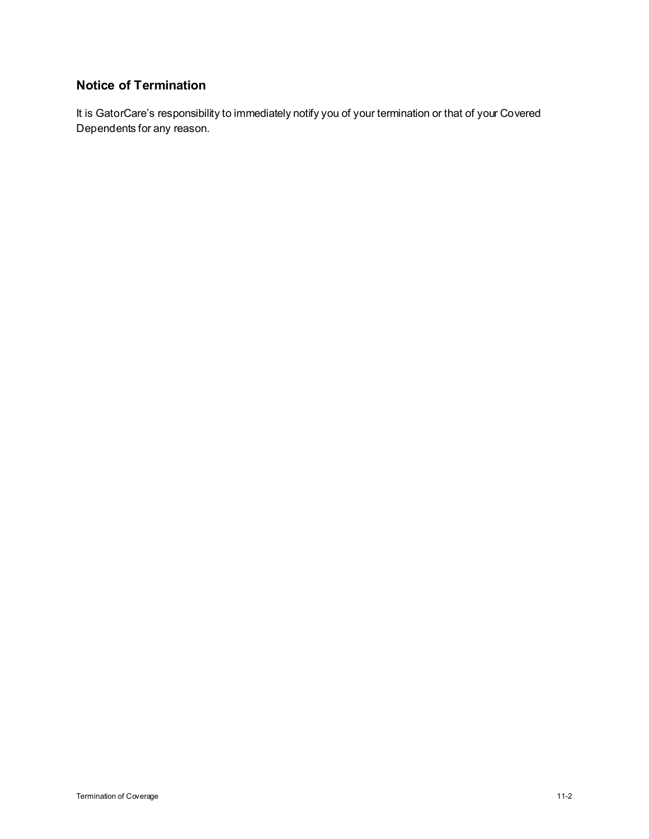# **Notice of Termination**

It is GatorCare's responsibility to immediately notify you of your termination or that of your Covered Dependents for any reason.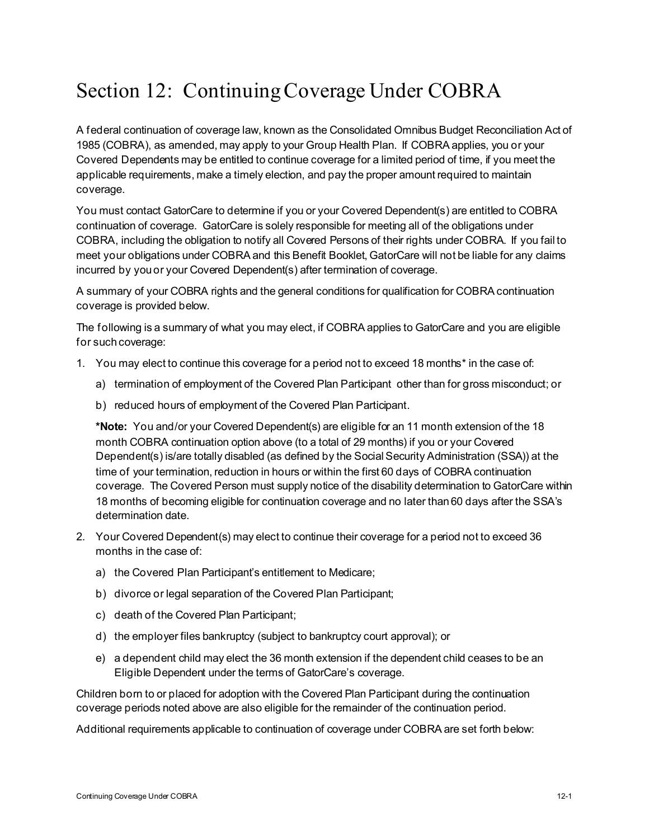# Section 12: Continuing Coverage Under COBRA

A federal continuation of coverage law, known as the Consolidated Omnibus Budget Reconciliation Act of 1985 (COBRA), as amended, may apply to your Group Health Plan. If COBRA applies, you or your Covered Dependents may be entitled to continue coverage for a limited period of time, if you meet the applicable requirements, make a timely election, and pay the proper amount required to maintain coverage.

You must contact GatorCare to determine if you or your Covered Dependent(s) are entitled to COBRA continuation of coverage. GatorCare is solely responsible for meeting all of the obligations under COBRA, including the obligation to notify all Covered Persons of their rights under COBRA. If you fail to meet your obligations under COBRA and this Benefit Booklet, GatorCare will not be liable for any claims incurred by you or your Covered Dependent(s) after termination of coverage.

A summary of your COBRA rights and the general conditions for qualification for COBRA continuation coverage is provided below.

The following is a summary of what you may elect, if COBRA applies to GatorCare and you are eligible for such coverage:

- 1. You may elect to continue this coverage for a period not to exceed 18 months\* in the case of:
	- a) termination of employment of the Covered Plan Participant other than for gross misconduct; or
	- b) reduced hours of employment of the Covered Plan Participant.

**\*Note:** You and/or your Covered Dependent(s) are eligible for an 11 month extension of the 18 month COBRA continuation option above (to a total of 29 months) if you or your Covered Dependent(s) is/are totally disabled (as defined by the Social Security Administration (SSA)) at the time of your termination, reduction in hours or within the first 60 days of COBRA continuation coverage. The Covered Person must supply notice of the disability determination to GatorCare within 18 months of becoming eligible for continuation coverage and no later than 60 days after the SSA's determination date.

- 2. Your Covered Dependent(s) may elect to continue their coverage for a period not to exceed 36 months in the case of:
	- a) the Covered Plan Participant's entitlement to Medicare;
	- b) divorce or legal separation of the Covered Plan Participant;
	- c) death of the Covered Plan Participant;
	- d) the employer files bankruptcy (subject to bankruptcy court approval); or
	- e) a dependent child may elect the 36 month extension if the dependent child ceases to be an Eligible Dependent under the terms of GatorCare's coverage.

Children born to or placed for adoption with the Covered Plan Participant during the continuation coverage periods noted above are also eligible for the remainder of the continuation period.

Additional requirements applicable to continuation of coverage under COBRA are set forth below: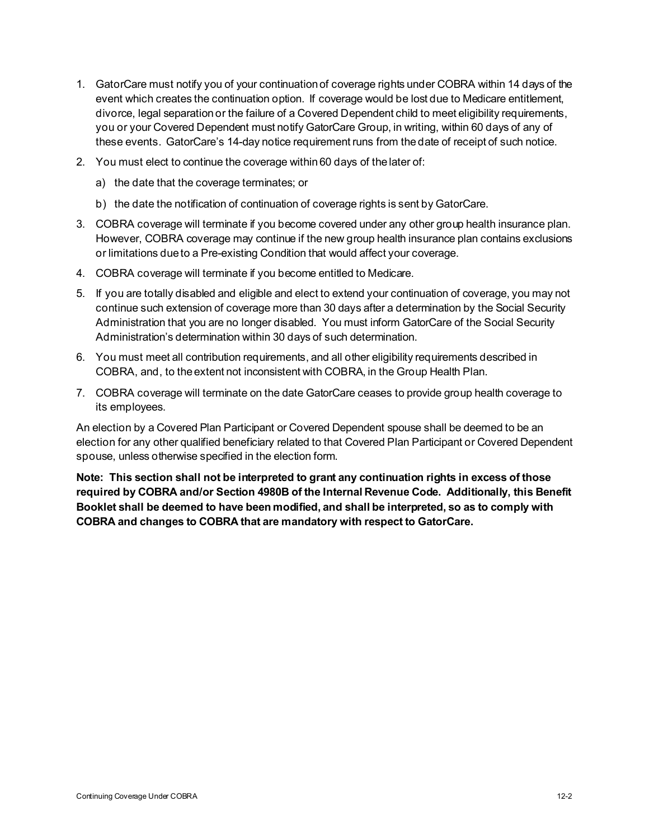- 1. GatorCare must notify you of your continuation of coverage rights under COBRA within 14 days of the event which creates the continuation option. If coverage would be lost due to Medicare entitlement, divorce, legal separation or the failure of a Covered Dependent child to meet eligibility requirements, you or your Covered Dependent must notify GatorCare Group, in writing, within 60 days of any of these events. GatorCare's 14-day notice requirement runs from the date of receipt of such notice.
- 2. You must elect to continue the coverage within 60 days of the later of:
	- a) the date that the coverage terminates; or
	- b) the date the notification of continuation of coverage rights is sent by GatorCare.
- 3. COBRA coverage will terminate if you become covered under any other group health insurance plan. However, COBRA coverage may continue if the new group health insurance plan contains exclusions or limitations due to a Pre-existing Condition that would affect your coverage.
- 4. COBRA coverage will terminate if you become entitled to Medicare.
- 5. If you are totally disabled and eligible and elect to extend your continuation of coverage, you may not continue such extension of coverage more than 30 days after a determination by the Social Security Administration that you are no longer disabled. You must inform GatorCare of the Social Security Administration's determination within 30 days of such determination.
- 6. You must meet all contribution requirements, and all other eligibility requirements described in COBRA, and, to the extent not inconsistent with COBRA, in the Group Health Plan.
- 7. COBRA coverage will terminate on the date GatorCare ceases to provide group health coverage to its employees.

An election by a Covered Plan Participant or Covered Dependent spouse shall be deemed to be an election for any other qualified beneficiary related to that Covered Plan Participant or Covered Dependent spouse, unless otherwise specified in the election form.

**Note: This section shall not be interpreted to grant any continuation rights in excess of those required by COBRA and/or Section 4980B of the Internal Revenue Code. Additionally, this Benefit Booklet shall be deemed to have been modified, and shall be interpreted, so as to comply with COBRA and changes to COBRA that are mandatory with respect to GatorCare.**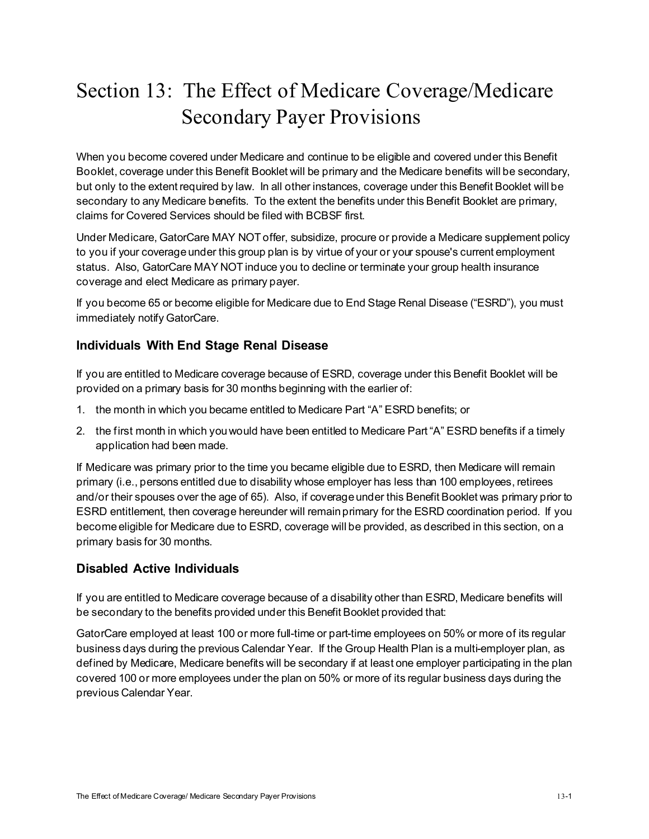# Section 13: The Effect of Medicare Coverage/Medicare Secondary Payer Provisions

When you become covered under Medicare and continue to be eligible and covered under this Benefit Booklet, coverage under this Benefit Booklet will be primary and the Medicare benefits will be secondary, but only to the extent required by law. In all other instances, coverage under this Benefit Booklet will be secondary to any Medicare benefits. To the extent the benefits under this Benefit Booklet are primary, claims for Covered Services should be filed with BCBSF first.

Under Medicare, GatorCare MAY NOT offer, subsidize, procure or provide a Medicare supplement policy to you if your coverage under this group plan is by virtue of your or your spouse's current employment status. Also, GatorCare MAY NOT induce you to decline or terminate your group health insurance coverage and elect Medicare as primary payer.

If you become 65 or become eligible for Medicare due to End Stage Renal Disease ("ESRD"), you must immediately notify GatorCare.

# **Individuals With End Stage Renal Disease**

If you are entitled to Medicare coverage because of ESRD, coverage under this Benefit Booklet will be provided on a primary basis for 30 months beginning with the earlier of:

- 1. the month in which you became entitled to Medicare Part "A" ESRD benefits; or
- 2. the first month in which you would have been entitled to Medicare Part "A" ESRD benefits if a timely application had been made.

If Medicare was primary prior to the time you became eligible due to ESRD, then Medicare will remain primary (i.e., persons entitled due to disability whose employer has less than 100 employees, retirees and/or their spouses over the age of 65). Also, if coverage under this Benefit Booklet was primary prior to ESRD entitlement, then coverage hereunder will remain primary for the ESRD coordination period. If you become eligible for Medicare due to ESRD, coverage will be provided, as described in this section, on a primary basis for 30 months.

# **Disabled Active Individuals**

If you are entitled to Medicare coverage because of a disability other than ESRD, Medicare benefits will be secondary to the benefits provided under this Benefit Booklet provided that:

GatorCare employed at least 100 or more full-time or part-time employees on 50% or more of its regular business days during the previous Calendar Year. If the Group Health Plan is a multi-employer plan, as defined by Medicare, Medicare benefits will be secondary if at least one employer participating in the plan covered 100 or more employees under the plan on 50% or more of its regular business days during the previous Calendar Year.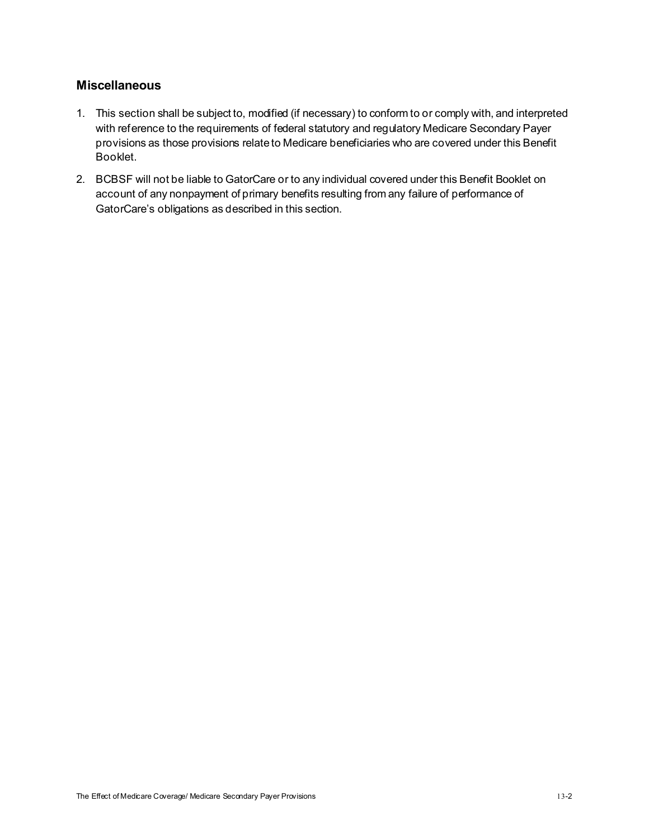## **Miscellaneous**

- 1. This section shall be subject to, modified (if necessary) to conform to or comply with, and interpreted with reference to the requirements of federal statutory and regulatory Medicare Secondary Payer provisions as those provisions relate to Medicare beneficiaries who are covered under this Benefit Booklet.
- 2. BCBSF will not be liable to GatorCare or to any individual covered under this Benefit Booklet on account of any nonpayment of primary benefits resulting from any failure of performance of GatorCare's obligations as described in this section.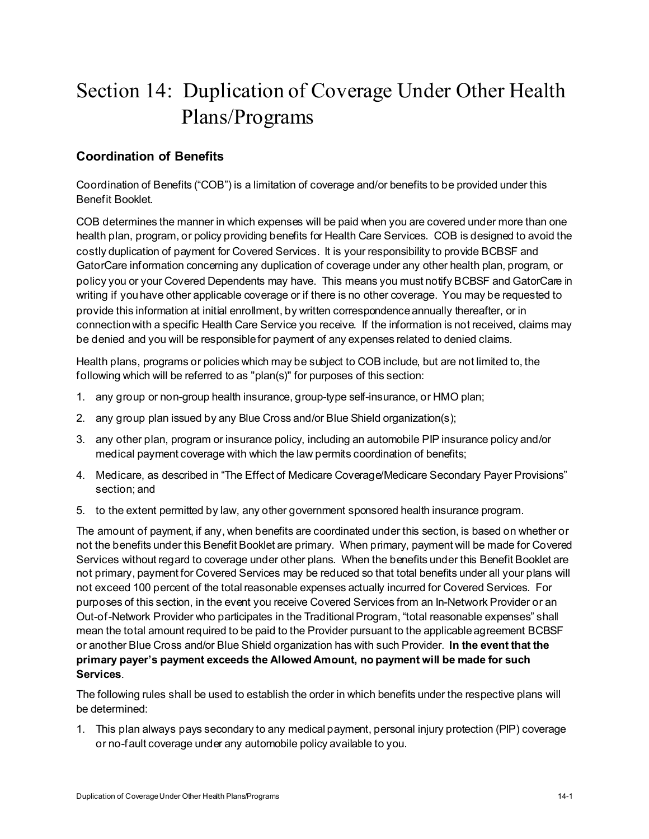# Section 14: Duplication of Coverage Under Other Health Plans/Programs

# **Coordination of Benefits**

Coordination of Benefits ("COB") is a limitation of coverage and/or benefits to be provided under this Benefit Booklet.

COB determines the manner in which expenses will be paid when you are covered under more than one health plan, program, or policy providing benefits for Health Care Services. COB is designed to avoid the costly duplication of payment for Covered Services. It is your responsibility to provide BCBSF and GatorCare information concerning any duplication of coverage under any other health plan, program, or policy you or your Covered Dependents may have. This means you must notify BCBSF and GatorCare in writing if you have other applicable coverage or if there is no other coverage. You may be requested to provide this information at initial enrollment, by written correspondence annually thereafter, or in connection with a specific Health Care Service you receive. If the information is not received, claims may be denied and you will be responsible for payment of any expenses related to denied claims.

Health plans, programs or policies which may be subject to COB include, but are not limited to, the following which will be referred to as "plan(s)" for purposes of this section:

- 1. any group or non-group health insurance, group-type self-insurance, or HMO plan;
- 2. any group plan issued by any Blue Cross and/or Blue Shield organization(s);
- 3. any other plan, program or insurance policy, including an automobile PIP insurance policy and/or medical payment coverage with which the law permits coordination of benefits;
- 4. Medicare, as described in "The Effect of Medicare Coverage/Medicare Secondary Payer Provisions" section; and
- 5. to the extent permitted by law, any other government sponsored health insurance program.

The amount of payment, if any, when benefits are coordinated under this section, is based on whether or not the benefits under this Benefit Booklet are primary. When primary, payment will be made for Covered Services without regard to coverage under other plans. When the benefits under this Benefit Booklet are not primary, payment for Covered Services may be reduced so that total benefits under all your plans will not exceed 100 percent of the total reasonable expenses actually incurred for Covered Services. For purposes of this section, in the event you receive Covered Services from an In-Network Provider or an Out-of-Network Provider who participates in the Traditional Program, "total reasonable expenses" shall mean the total amount required to be paid to the Provider pursuant to the applicable agreement BCBSF or another Blue Cross and/or Blue Shield organization has with such Provider. **In the event that the primary payer's payment exceeds the Allowed Amount, no payment will be made for such Services**.

The following rules shall be used to establish the order in which benefits under the respective plans will be determined:

1. This plan always pays secondary to any medical payment, personal injury protection (PIP) coverage or no-fault coverage under any automobile policy available to you.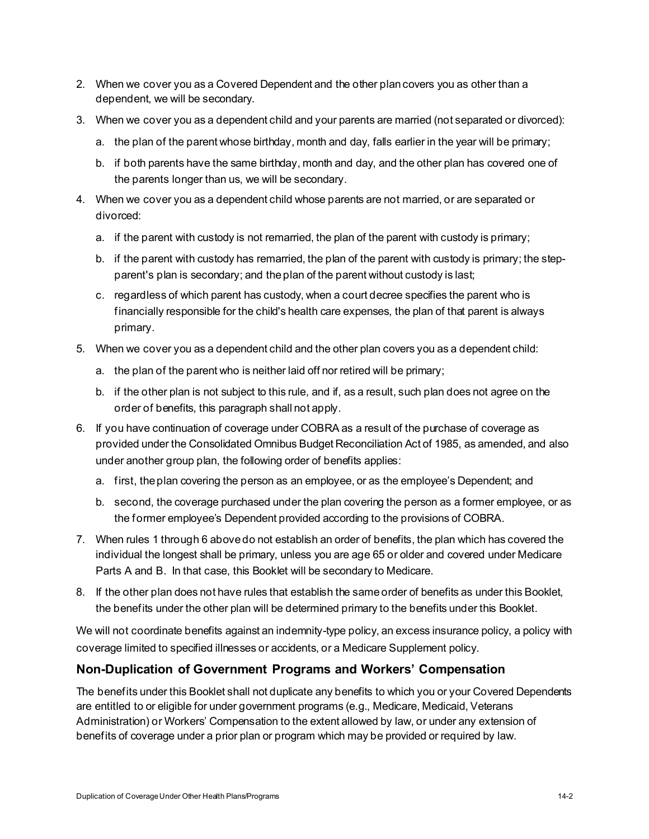- 2. When we cover you as a Covered Dependent and the other plan covers you as other than a dependent, we will be secondary.
- 3. When we cover you as a dependent child and your parents are married (not separated or divorced):
	- a. the plan of the parent whose birthday, month and day, falls earlier in the year will be primary;
	- b. if both parents have the same birthday, month and day, and the other plan has covered one of the parents longer than us, we will be secondary.
- 4. When we cover you as a dependent child whose parents are not married, or are separated or divorced:
	- a. if the parent with custody is not remarried, the plan of the parent with custody is primary;
	- b. if the parent with custody has remarried, the plan of the parent with custody is primary; the stepparent's plan is secondary; and the plan of the parent without custody is last;
	- c. regardless of which parent has custody, when a court decree specifies the parent who is financially responsible for the child's health care expenses, the plan of that parent is always primary.
- 5. When we cover you as a dependent child and the other plan covers you as a dependent child:
	- a. the plan of the parent who is neither laid off nor retired will be primary;
	- b. if the other plan is not subject to this rule, and if, as a result, such plan does not agree on the order of benefits, this paragraph shall not apply.
- 6. If you have continuation of coverage under COBRA as a result of the purchase of coverage as provided under the Consolidated Omnibus Budget Reconciliation Act of 1985, as amended, and also under another group plan, the following order of benefits applies:
	- a. first, the plan covering the person as an employee, or as the employee's Dependent; and
	- b. second, the coverage purchased under the plan covering the person as a former employee, or as the former employee's Dependent provided according to the provisions of COBRA.
- 7. When rules 1 through 6 above do not establish an order of benefits, the plan which has covered the individual the longest shall be primary, unless you are age 65 or older and covered under Medicare Parts A and B. In that case, this Booklet will be secondary to Medicare.
- 8. If the other plan does not have rules that establish the same order of benefits as under this Booklet, the benefits under the other plan will be determined primary to the benefits under this Booklet.

We will not coordinate benefits against an indemnity-type policy, an excess insurance policy, a policy with coverage limited to specified illnesses or accidents, or a Medicare Supplement policy.

# **Non-Duplication of Government Programs and Workers' Compensation**

The benefits under this Booklet shall not duplicate any benefits to which you or your Covered Dependents are entitled to or eligible for under government programs (e.g., Medicare, Medicaid, Veterans Administration) or Workers' Compensation to the extent allowed by law, or under any extension of benefits of coverage under a prior plan or program which may be provided or required by law.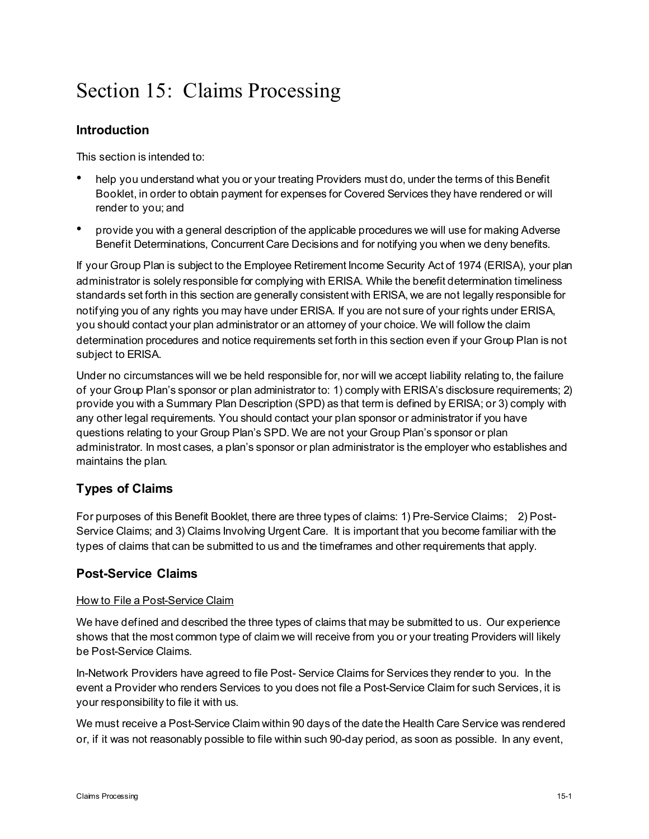# Section 15: Claims Processing

# **Introduction**

This section is intended to:

- help you understand what you or your treating Providers must do, under the terms of this Benefit Booklet, in order to obtain payment for expenses for Covered Services they have rendered or will render to you; and
- provide you with a general description of the applicable procedures we will use for making Adverse Benefit Determinations, Concurrent Care Decisions and for notifying you when we deny benefits.

If your Group Plan is subject to the Employee Retirement Income Security Act of 1974 (ERISA), your plan administrator is solely responsible for complying with ERISA. While the benefit determination timeliness standards set forth in this section are generally consistent with ERISA, we are not legally responsible for notifying you of any rights you may have under ERISA. If you are not sure of your rights under ERISA, you should contact your plan administrator or an attorney of your choice. We will follow the claim determination procedures and notice requirements set forth in this section even if your Group Plan is not subject to ERISA.

Under no circumstances will we be held responsible for, nor will we accept liability relating to, the failure of your Group Plan's sponsor or plan administrator to: 1) comply with ERISA's disclosure requirements; 2) provide you with a Summary Plan Description (SPD) as that term is defined by ERISA; or 3) comply with any other legal requirements. You should contact your plan sponsor or administrator if you have questions relating to your Group Plan's SPD. We are not your Group Plan's sponsor or plan administrator. In most cases, a plan's sponsor or plan administrator is the employer who establishes and maintains the plan.

# **Types of Claims**

For purposes of this Benefit Booklet, there are three types of claims: 1) Pre-Service Claims; 2) Post-Service Claims; and 3) Claims Involving Urgent Care. It is important that you become familiar with the types of claims that can be submitted to us and the timeframes and other requirements that apply.

# **Post-Service Claims**

#### How to File a Post-Service Claim

We have defined and described the three types of claims that may be submitted to us. Our experience shows that the most common type of claim we will receive from you or your treating Providers will likely be Post-Service Claims.

In-Network Providers have agreed to file Post- Service Claims for Services they render to you. In the event a Provider who renders Services to you does not file a Post-Service Claim for such Services, it is your responsibility to file it with us.

We must receive a Post-Service Claim within 90 days of the date the Health Care Service was rendered or, if it was not reasonably possible to file within such 90-day period, as soon as possible. In any event,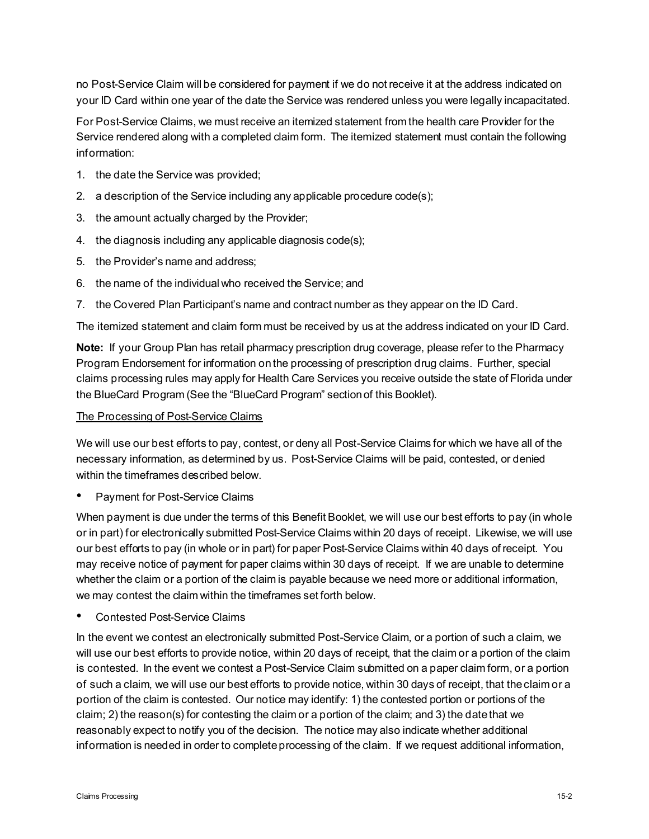no Post-Service Claim will be considered for payment if we do not receive it at the address indicated on your ID Card within one year of the date the Service was rendered unless you were legally incapacitated.

For Post-Service Claims, we must receive an itemized statement from the health care Provider for the Service rendered along with a completed claim form. The itemized statement must contain the following information:

- 1. the date the Service was provided;
- 2. a description of the Service including any applicable procedure code(s);
- 3. the amount actually charged by the Provider;
- 4. the diagnosis including any applicable diagnosis code(s);
- 5. the Provider's name and address;
- 6. the name of the individual who received the Service; and
- 7. the Covered Plan Participant's name and contract number as they appear on the ID Card.

The itemized statement and claim form must be received by us at the address indicated on your ID Card.

**Note:** If your Group Plan has retail pharmacy prescription drug coverage, please refer to the Pharmacy Program Endorsement for information on the processing of prescription drug claims. Further, special claims processing rules may apply for Health Care Services you receive outside the state of Florida under the BlueCard Program (See the "BlueCard Program" section of this Booklet).

#### The Processing of Post-Service Claims

We will use our best efforts to pay, contest, or deny all Post-Service Claims for which we have all of the necessary information, as determined by us. Post-Service Claims will be paid, contested, or denied within the timeframes described below.

• Payment for Post-Service Claims

When payment is due under the terms of this Benefit Booklet, we will use our best efforts to pay (in whole or in part) for electronically submitted Post-Service Claims within 20 days of receipt. Likewise, we will use our best efforts to pay (in whole or in part) for paper Post-Service Claims within 40 days of receipt. You may receive notice of payment for paper claims within 30 days of receipt. If we are unable to determine whether the claim or a portion of the claim is payable because we need more or additional information, we may contest the claim within the timeframes set forth below.

• Contested Post-Service Claims

In the event we contest an electronically submitted Post-Service Claim, or a portion of such a claim, we will use our best efforts to provide notice, within 20 days of receipt, that the claim or a portion of the claim is contested. In the event we contest a Post-Service Claim submitted on a paper claim form, or a portion of such a claim, we will use our best efforts to provide notice, within 30 days of receipt, that the claim or a portion of the claim is contested. Our notice may identify: 1) the contested portion or portions of the claim; 2) the reason(s) for contesting the claim or a portion of the claim; and 3) the date that we reasonably expect to notify you of the decision. The notice may also indicate whether additional information is needed in order to complete processing of the claim. If we request additional information,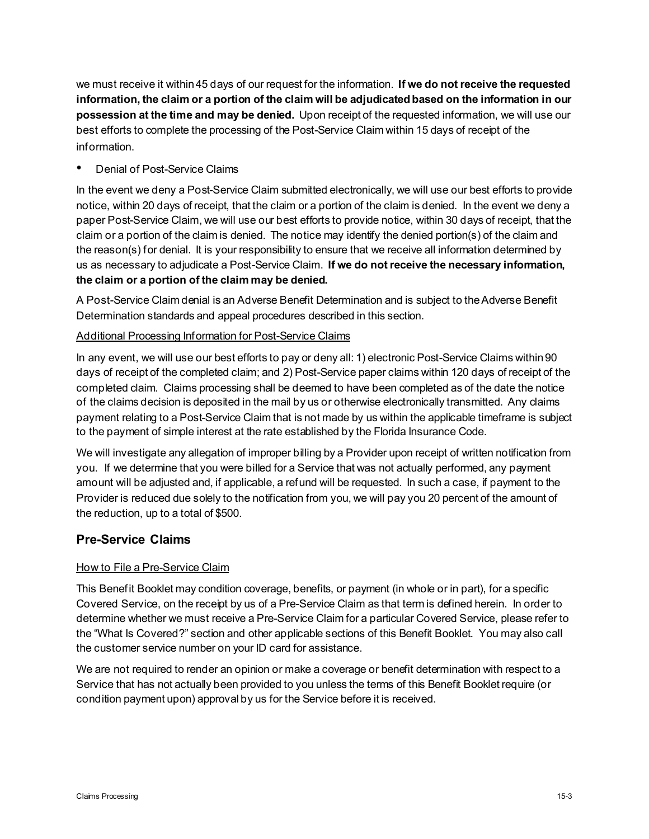we must receive it within 45 days of our request for the information. **If we do not receive the requested information, the claim or a portion of the claim will be adjudicated based on the information in our possession at the time and may be denied.** Upon receipt of the requested information, we will use our best efforts to complete the processing of the Post-Service Claim within 15 days of receipt of the information.

## Denial of Post-Service Claims

In the event we deny a Post-Service Claim submitted electronically, we will use our best efforts to provide notice, within 20 days of receipt, that the claim or a portion of the claim is denied. In the event we deny a paper Post-Service Claim, we will use our best efforts to provide notice, within 30 days of receipt, that the claim or a portion of the claim is denied. The notice may identify the denied portion(s) of the claim and the reason(s) for denial. It is your responsibility to ensure that we receive all information determined by us as necessary to adjudicate a Post-Service Claim. **If we do not receive the necessary information, the claim or a portion of the claim may be denied.** 

A Post-Service Claim denial is an Adverse Benefit Determination and is subject to the Adverse Benefit Determination standards and appeal procedures described in this section.

## Additional Processing Information for Post-Service Claims

In any event, we will use our best efforts to pay or deny all: 1) electronic Post-Service Claims within 90 days of receipt of the completed claim; and 2) Post-Service paper claims within 120 days of receipt of the completed claim. Claims processing shall be deemed to have been completed as of the date the notice of the claims decision is deposited in the mail by us or otherwise electronically transmitted. Any claims payment relating to a Post-Service Claim that is not made by us within the applicable timeframe is subject to the payment of simple interest at the rate established by the Florida Insurance Code.

We will investigate any allegation of improper billing by a Provider upon receipt of written notification from you. If we determine that you were billed for a Service that was not actually performed, any payment amount will be adjusted and, if applicable, a refund will be requested. In such a case, if payment to the Provider is reduced due solely to the notification from you, we will pay you 20 percent of the amount of the reduction, up to a total of \$500.

# **Pre-Service Claims**

## How to File a Pre-Service Claim

This Benefit Booklet may condition coverage, benefits, or payment (in whole or in part), for a specific Covered Service, on the receipt by us of a Pre-Service Claim as that term is defined herein. In order to determine whether we must receive a Pre-Service Claim for a particular Covered Service, please refer to the "What Is Covered?" section and other applicable sections of this Benefit Booklet. You may also call the customer service number on your ID card for assistance.

We are not required to render an opinion or make a coverage or benefit determination with respect to a Service that has not actually been provided to you unless the terms of this Benefit Booklet require (or condition payment upon) approval by us for the Service before it is received.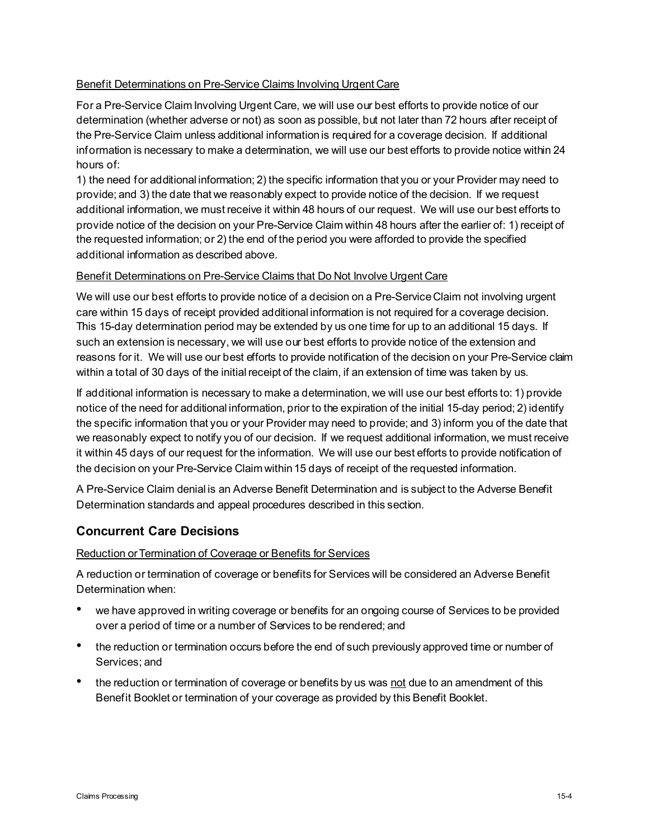## Benefit Determinations on Pre-Service Claims Involving Urgent Care

For a Pre-Service Claim Involving Urgent Care, we will use our best efforts to provide notice of our determination (whether adverse or not) as soon as possible, but not later than 72 hours after receipt of the Pre-Service Claim unless additional information is required for a coverage decision. If additional information is necessary to make a determination, we will use our best efforts to provide notice within 24 hours of:

1) the need for additional information; 2) the specific information that you or your Provider may need to provide; and 3) the date that we reasonably expect to provide notice of the decision. If we request additional information, we must receive it within 48 hours of our request. We will use our best efforts to provide notice of the decision on your Pre-Service Claim within 48 hours after the earlier of: 1) receipt of the requested information; or 2) the end of the period you were afforded to provide the specified additional information as described above.

## Benefit Determinations on Pre-Service Claims that Do Not Involve Urgent Care

We will use our best efforts to provide notice of a decision on a Pre-Service Claim not involving urgent care within 15 days of receipt provided additional information is not required for a coverage decision. This 15-day determination period may be extended by us one time for up to an additional 15 days. If such an extension is necessary, we will use our best efforts to provide notice of the extension and reasons for it. We will use our best efforts to provide notification of the decision on your Pre-Service claim within a total of 30 days of the initial receipt of the claim, if an extension of time was taken by us.

If additional information is necessary to make a determination, we will use our best efforts to: 1) provide notice of the need for additional information, prior to the expiration of the initial 15-day period; 2) identify the specific information that you or your Provider may need to provide; and 3) inform you of the date that we reasonably expect to notify you of our decision. If we request additional information, we must receive it within 45 days of our request for the information. We will use our best efforts to provide notification of the decision on your Pre-Service Claim within 15 days of receipt of the requested information.

A Pre-Service Claim denial is an Adverse Benefit Determination and is subject to the Adverse Benefit Determination standards and appeal procedures described in this section.

# **Concurrent Care Decisions**

#### Reduction or Termination of Coverage or Benefits for Services

A reduction or termination of coverage or benefits for Services will be considered an Adverse Benefit Determination when:

- we have approved in writing coverage or benefits for an ongoing course of Services to be provided over a period of time or a number of Services to be rendered; and
- the reduction or termination occurs before the end of such previously approved time or number of Services; and
- the reduction or termination of coverage or benefits by us was not due to an amendment of this Benefit Booklet or termination of your coverage as provided by this Benefit Booklet.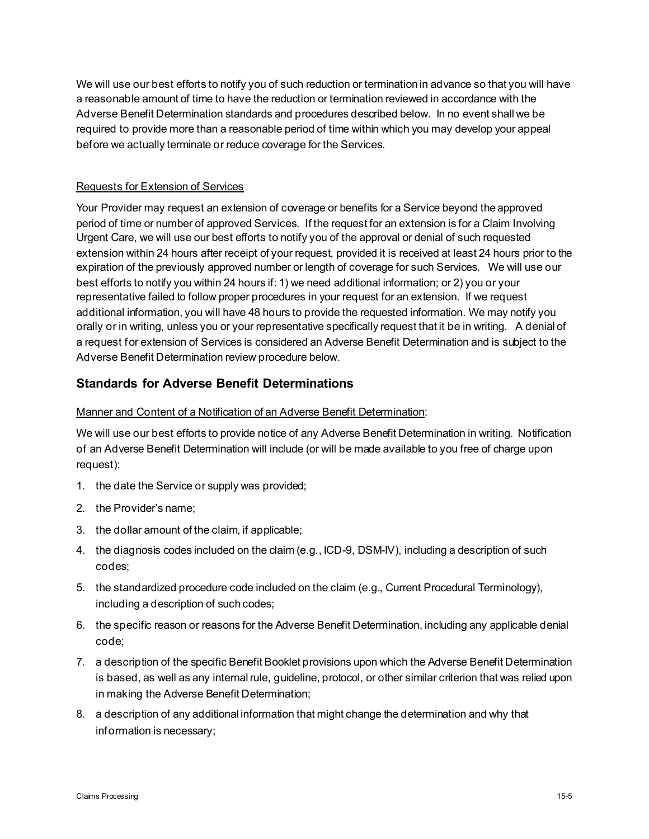We will use our best efforts to notify you of such reduction or termination in advance so that you will have a reasonable amount of time to have the reduction or termination reviewed in accordance with the Adverse Benefit Determination standards and procedures described below. In no event shall we be required to provide more than a reasonable period of time within which you may develop your appeal before we actually terminate or reduce coverage for the Services.

## Requests for Extension of Services

Your Provider may request an extension of coverage or benefits for a Service beyond the approved period of time or number of approved Services. If the request for an extension is for a Claim Involving Urgent Care, we will use our best efforts to notify you of the approval or denial of such requested extension within 24 hours after receipt of your request, provided it is received at least 24 hours prior to the expiration of the previously approved number or length of coverage for such Services. We will use our best efforts to notify you within 24 hours if: 1) we need additional information; or 2) you or your representative failed to follow proper procedures in your request for an extension. If we request additional information, you will have 48 hours to provide the requested information. We may notify you orally or in writing, unless you or your representative specifically request that it be in writing. A denial of a request for extension of Services is considered an Adverse Benefit Determination and is subject to the Adverse Benefit Determination review procedure below.

# **Standards for Adverse Benefit Determinations**

#### Manner and Content of a Notification of an Adverse Benefit Determination:

We will use our best efforts to provide notice of any Adverse Benefit Determination in writing. Notification of an Adverse Benefit Determination will include (or will be made available to you free of charge upon request):

- 1. the date the Service or supply was provided;
- 2. the Provider's name;
- 3. the dollar amount of the claim, if applicable;
- 4. the diagnosis codes included on the claim (e.g., ICD-9, DSM-IV), including a description of such codes;
- 5. the standardized procedure code included on the claim (e.g., Current Procedural Terminology), including a description of such codes;
- 6. the specific reason or reasons for the Adverse Benefit Determination, including any applicable denial code;
- 7. a description of the specific Benefit Booklet provisions upon which the Adverse Benefit Determination is based, as well as any internal rule, guideline, protocol, or other similar criterion that was relied upon in making the Adverse Benefit Determination;
- 8. a description of any additional information that might change the determination and why that information is necessary;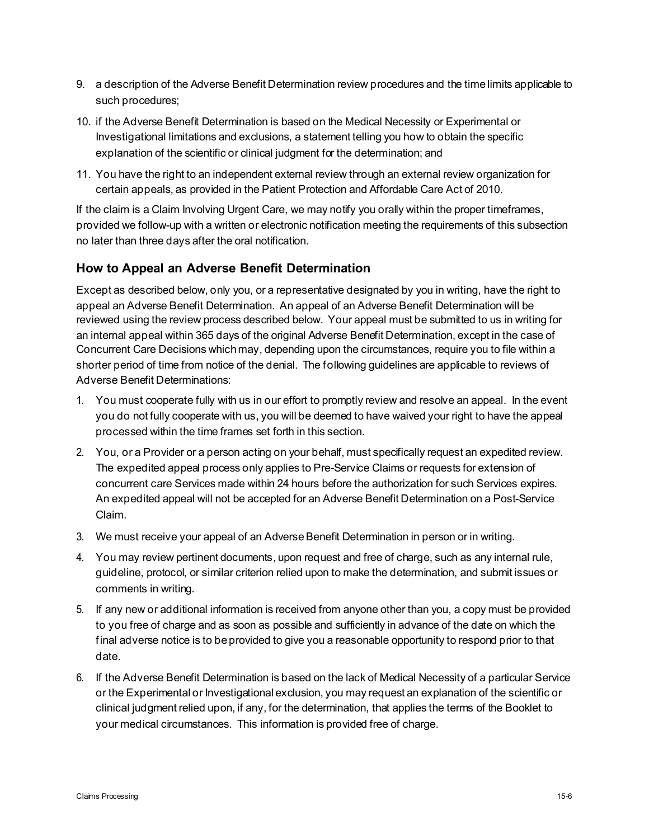- 9. a description of the Adverse Benefit Determination review procedures and the time limits applicable to such procedures;
- 10. if the Adverse Benefit Determination is based on the Medical Necessity or Experimental or Investigational limitations and exclusions, a statement telling you how to obtain the specific explanation of the scientific or clinical judgment for the determination; and
- 11. You have the right to an independent external review through an external review organization for certain appeals, as provided in the Patient Protection and Affordable Care Act of 2010.

If the claim is a Claim Involving Urgent Care, we may notify you orally within the proper timeframes, provided we follow-up with a written or electronic notification meeting the requirements of this subsection no later than three days after the oral notification.

## **How to Appeal an Adverse Benefit Determination**

Except as described below, only you, or a representative designated by you in writing, have the right to appeal an Adverse Benefit Determination. An appeal of an Adverse Benefit Determination will be reviewed using the review process described below. Your appeal must be submitted to us in writing for an internal appeal within 365 days of the original Adverse Benefit Determination, except in the case of Concurrent Care Decisions which may, depending upon the circumstances, require you to file within a shorter period of time from notice of the denial. The following guidelines are applicable to reviews of Adverse Benefit Determinations:

- 1. You must cooperate fully with us in our effort to promptly review and resolve an appeal. In the event you do not fully cooperate with us, you will be deemed to have waived your right to have the appeal processed within the time frames set forth in this section.
- 2. You, or a Provider or a person acting on your behalf, must specifically request an expedited review. The expedited appeal process only applies to Pre-Service Claims or requests for extension of concurrent care Services made within 24 hours before the authorization for such Services expires. An expedited appeal will not be accepted for an Adverse Benefit Determination on a Post-Service Claim.
- 3. We must receive your appeal of an Adverse Benefit Determination in person or in writing.
- 4. You may review pertinent documents, upon request and free of charge, such as any internal rule, guideline, protocol, or similar criterion relied upon to make the determination, and submit issues or comments in writing.
- 5. If any new or additional information is received from anyone other than you, a copy must be provided to you free of charge and as soon as possible and sufficiently in advance of the date on which the final adverse notice is to be provided to give you a reasonable opportunity to respond prior to that date.
- 6. If the Adverse Benefit Determination is based on the lack of Medical Necessity of a particular Service or the Experimental or Investigational exclusion, you may request an explanation of the scientific or clinical judgment relied upon, if any, for the determination, that applies the terms of the Booklet to your medical circumstances. This information is provided free of charge.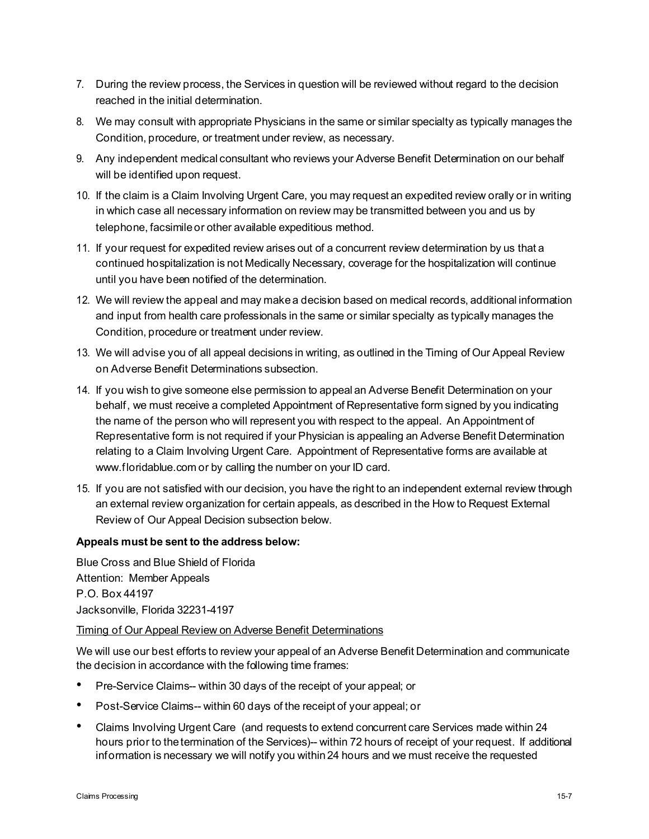- 7. During the review process, the Services in question will be reviewed without regard to the decision reached in the initial determination.
- 8. We may consult with appropriate Physicians in the same or similar specialty as typically manages the Condition, procedure, or treatment under review, as necessary.
- 9. Any independent medical consultant who reviews your Adverse Benefit Determination on our behalf will be identified upon request.
- 10. If the claim is a Claim Involving Urgent Care, you may request an expedited review orally or in writing in which case all necessary information on review may be transmitted between you and us by telephone, facsimile or other available expeditious method.
- 11. If your request for expedited review arises out of a concurrent review determination by us that a continued hospitalization is not Medically Necessary, coverage for the hospitalization will continue until you have been notified of the determination.
- 12. We will review the appeal and may make a decision based on medical records, additional information and input from health care professionals in the same or similar specialty as typically manages the Condition, procedure or treatment under review.
- 13. We will advise you of all appeal decisions in writing, as outlined in the Timing of Our Appeal Review on Adverse Benefit Determinations subsection.
- 14. If you wish to give someone else permission to appeal an Adverse Benefit Determination on your behalf, we must receive a completed Appointment of Representative form signed by you indicating the name of the person who will represent you with respect to the appeal. An Appointment of Representative form is not required if your Physician is appealing an Adverse Benefit Determination relating to a Claim Involving Urgent Care. Appointment of Representative forms are available at [www.floridablue.com](http://www.floridablue.com/) or by calling the number on your ID card.
- 15. If you are not satisfied with our decision, you have the right to an independent external review through an external review organization for certain appeals, as described in the How to Request External Review of Our Appeal Decision subsection below.

## **Appeals must be sent to the address below:**

Blue Cross and Blue Shield of Florida Attention: Member Appeals P.O. Box 44197 Jacksonville, Florida 32231-4197

#### Timing of Our Appeal Review on Adverse Benefit Determinations

We will use our best efforts to review your appeal of an Adverse Benefit Determination and communicate the decision in accordance with the following time frames:

- Pre-Service Claims-- within 30 days of the receipt of your appeal; or
- Post-Service Claims-- within 60 days of the receipt of your appeal; or
- Claims Involving Urgent Care (and requests to extend concurrent care Services made within 24 hours prior to the termination of the Services)-- within 72 hours of receipt of your request. If additional information is necessary we will notify you within 24 hours and we must receive the requested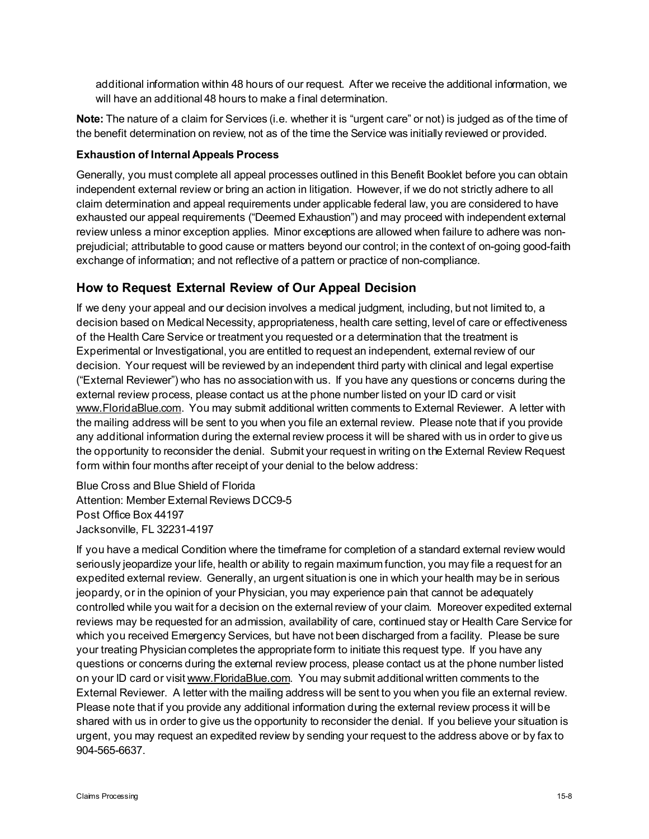additional information within 48 hours of our request. After we receive the additional information, we will have an additional 48 hours to make a final determination.

**Note:** The nature of a claim for Services (i.e. whether it is "urgent care" or not) is judged as of the time of the benefit determination on review, not as of the time the Service was initially reviewed or provided.

#### **Exhaustion of Internal Appeals Process**

Generally, you must complete all appeal processes outlined in this Benefit Booklet before you can obtain independent external review or bring an action in litigation. However, if we do not strictly adhere to all claim determination and appeal requirements under applicable federal law, you are considered to have exhausted our appeal requirements ("Deemed Exhaustion") and may proceed with independent external review unless a minor exception applies. Minor exceptions are allowed when failure to adhere was nonprejudicial; attributable to good cause or matters beyond our control; in the context of on-going good-faith exchange of information; and not reflective of a pattern or practice of non-compliance.

## **How to Request External Review of Our Appeal Decision**

If we deny your appeal and our decision involves a medical judgment, including, but not limited to, a decision based on Medical Necessity, appropriateness, health care setting, level of care or effectiveness of the Health Care Service or treatment you requested or a determination that the treatment is Experimental or Investigational, you are entitled to request an independent, external review of our decision. Your request will be reviewed by an independent third party with clinical and legal expertise ("External Reviewer") who has no association with us. If you have any questions or concerns during the external review process, please contact us at the phone number listed on your ID card or visit www.FloridaBlue.com. You may submit additional written comments to External Reviewer. A letter with the mailing address will be sent to you when you file an external review. Please note that if you provide any additional information during the external review process it will be shared with us in order to give us the opportunity to reconsider the denial. Submit your request in writing on the External Review Request form within four months after receipt of your denial to the below address:

Blue Cross and Blue Shield of Florida Attention: Member External Reviews DCC9-5 Post Office Box 44197 Jacksonville, FL 32231-4197

If you have a medical Condition where the timeframe for completion of a standard external review would seriously jeopardize your life, health or ability to regain maximum function, you may file a request for an expedited external review. Generally, an urgent situation is one in which your health may be in serious jeopardy, or in the opinion of your Physician, you may experience pain that cannot be adequately controlled while you wait for a decision on the external review of your claim. Moreover expedited external reviews may be requested for an admission, availability of care, continued stay or Health Care Service for which you received Emergency Services, but have not been discharged from a facility. Please be sure your treating Physician completes the appropriate form to initiate this request type. If you have any questions or concerns during the external review process, please contact us at the phone number listed on your ID card or visit www.FloridaBlue.com. You may submit additional written comments to the External Reviewer. A letter with the mailing address will be sent to you when you file an external review. Please note that if you provide any additional information during the external review process it will be shared with us in order to give us the opportunity to reconsider the denial. If you believe your situation is urgent, you may request an expedited review by sending your request to the address above or by fax to 904-565-6637.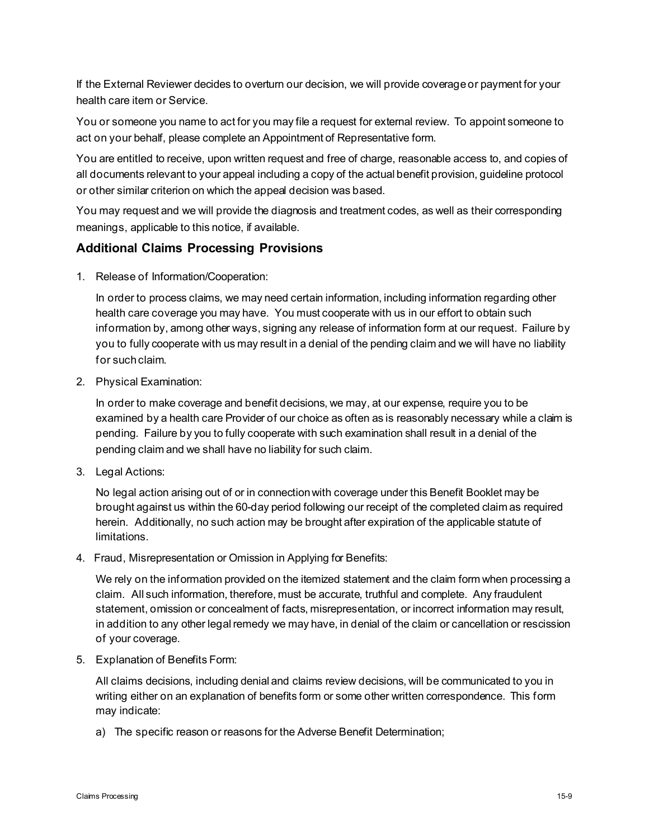If the External Reviewer decides to overturn our decision, we will provide coverage or payment for your health care item or Service.

You or someone you name to act for you may file a request for external review. To appoint someone to act on your behalf, please complete an Appointment of Representative form.

You are entitled to receive, upon written request and free of charge, reasonable access to, and copies of all documents relevant to your appeal including a copy of the actual benefit provision, guideline protocol or other similar criterion on which the appeal decision was based.

You may request and we will provide the diagnosis and treatment codes, as well as their corresponding meanings, applicable to this notice, if available.

## **Additional Claims Processing Provisions**

1. Release of Information/Cooperation:

In order to process claims, we may need certain information, including information regarding other health care coverage you may have. You must cooperate with us in our effort to obtain such information by, among other ways, signing any release of information form at our request. Failure by you to fully cooperate with us may result in a denial of the pending claim and we will have no liability for such claim.

2. Physical Examination:

In order to make coverage and benefit decisions, we may, at our expense, require you to be examined by a health care Provider of our choice as often as is reasonably necessary while a claim is pending. Failure by you to fully cooperate with such examination shall result in a denial of the pending claim and we shall have no liability for such claim.

3. Legal Actions:

No legal action arising out of or in connection with coverage under this Benefit Booklet may be brought against us within the 60-day period following our receipt of the completed claim as required herein. Additionally, no such action may be brought after expiration of the applicable statute of limitations.

4. Fraud, Misrepresentation or Omission in Applying for Benefits:

We rely on the information provided on the itemized statement and the claim form when processing a claim. All such information, therefore, must be accurate, truthful and complete. Any fraudulent statement, omission or concealment of facts, misrepresentation, or incorrect information may result, in addition to any other legal remedy we may have, in denial of the claim or cancellation or rescission of your coverage.

5. Explanation of Benefits Form:

All claims decisions, including denial and claims review decisions, will be communicated to you in writing either on an explanation of benefits form or some other written correspondence. This form may indicate:

a) The specific reason or reasons for the Adverse Benefit Determination;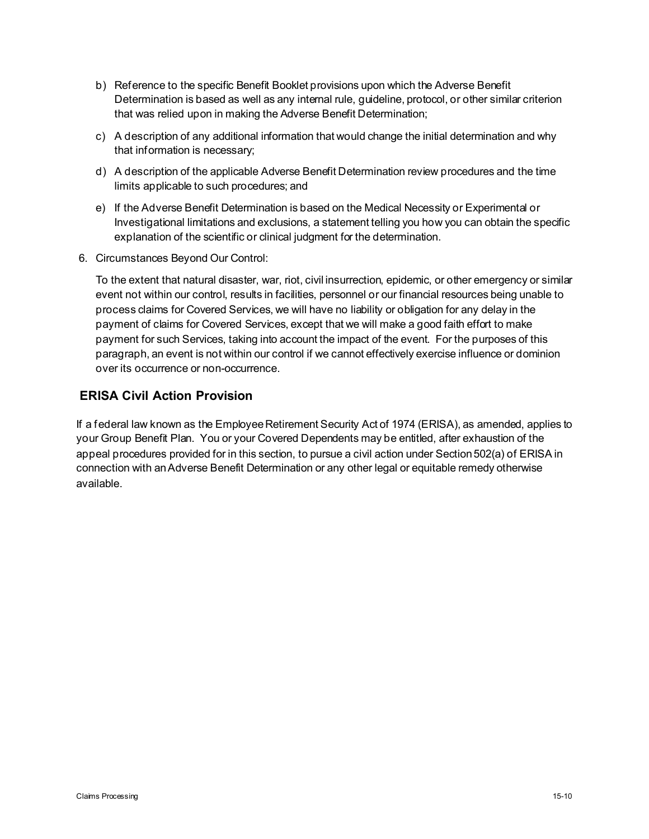- b) Reference to the specific Benefit Booklet provisions upon which the Adverse Benefit Determination is based as well as any internal rule, guideline, protocol, or other similar criterion that was relied upon in making the Adverse Benefit Determination;
- c) A description of any additional information that would change the initial determination and why that information is necessary;
- d) A description of the applicable Adverse Benefit Determination review procedures and the time limits applicable to such procedures; and
- e) If the Adverse Benefit Determination is based on the Medical Necessity or Experimental or Investigational limitations and exclusions, a statement telling you how you can obtain the specific explanation of the scientific or clinical judgment for the determination.
- 6. Circumstances Beyond Our Control:

To the extent that natural disaster, war, riot, civil insurrection, epidemic, or other emergency or similar event not within our control, results in facilities, personnel or our financial resources being unable to process claims for Covered Services, we will have no liability or obligation for any delay in the payment of claims for Covered Services, except that we will make a good faith effort to make payment for such Services, taking into account the impact of the event. For the purposes of this paragraph, an event is not within our control if we cannot effectively exercise influence or dominion over its occurrence or non-occurrence.

## **ERISA Civil Action Provision**

If a federal law known as the Employee Retirement Security Act of 1974 (ERISA), as amended, applies to your Group Benefit Plan. You or your Covered Dependents may be entitled, after exhaustion of the appeal procedures provided for in this section, to pursue a civil action under Section 502(a) of ERISA in connection with an Adverse Benefit Determination or any other legal or equitable remedy otherwise available.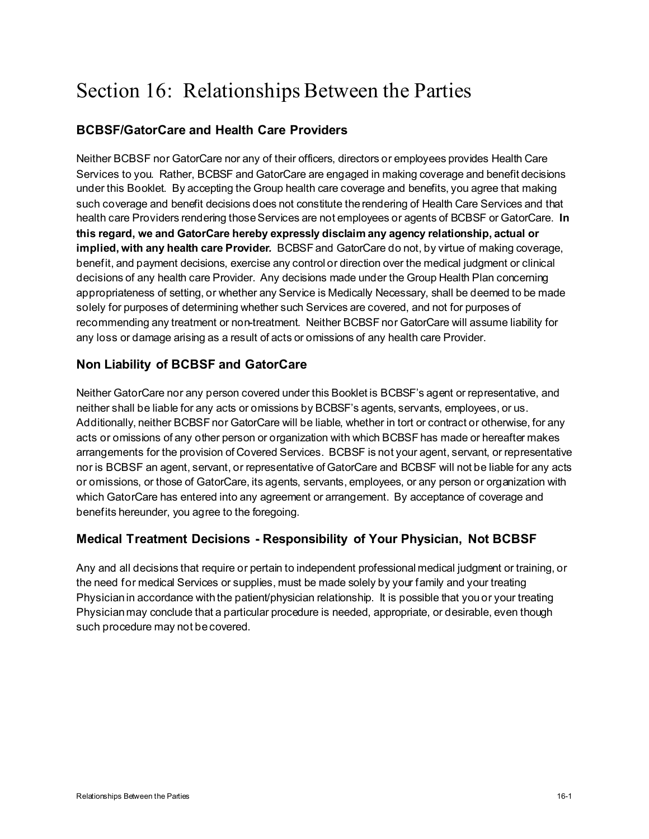# Section 16: Relationships Between the Parties

# **BCBSF/GatorCare and Health Care Providers**

Neither BCBSF nor GatorCare nor any of their officers, directors or employees provides Health Care Services to you. Rather, BCBSF and GatorCare are engaged in making coverage and benefit decisions under this Booklet. By accepting the Group health care coverage and benefits, you agree that making such coverage and benefit decisions does not constitute the rendering of Health Care Services and that health care Providers rendering those Services are not employees or agents of BCBSF or GatorCare. **In this regard, we and GatorCare hereby expressly disclaim any agency relationship, actual or implied, with any health care Provider***.* BCBSF and GatorCare do not, by virtue of making coverage, benefit, and payment decisions, exercise any control or direction over the medical judgment or clinical decisions of any health care Provider. Any decisions made under the Group Health Plan concerning appropriateness of setting, or whether any Service is Medically Necessary, shall be deemed to be made solely for purposes of determining whether such Services are covered, and not for purposes of recommending any treatment or non-treatment. Neither BCBSF nor GatorCare will assume liability for any loss or damage arising as a result of acts or omissions of any health care Provider.

## **Non Liability of BCBSF and GatorCare**

Neither GatorCare nor any person covered under this Booklet is BCBSF's agent or representative, and neither shall be liable for any acts or omissions by BCBSF's agents, servants, employees, or us. Additionally, neither BCBSF nor GatorCare will be liable, whether in tort or contract or otherwise, for any acts or omissions of any other person or organization with which BCBSF has made or hereafter makes arrangements for the provision of Covered Services. BCBSF is not your agent, servant, or representative nor is BCBSF an agent, servant, or representative of GatorCare and BCBSF will not be liable for any acts or omissions, or those of GatorCare, its agents, servants, employees, or any person or organization with which GatorCare has entered into any agreement or arrangement. By acceptance of coverage and benefits hereunder, you agree to the foregoing.

## **Medical Treatment Decisions - Responsibility of Your Physician, Not BCBSF**

Any and all decisions that require or pertain to independent professional medical judgment or training, or the need for medical Services or supplies, must be made solely by your family and your treating Physician in accordance with the patient/physician relationship. It is possible that you or your treating Physician may conclude that a particular procedure is needed, appropriate, or desirable, even though such procedure may not be covered.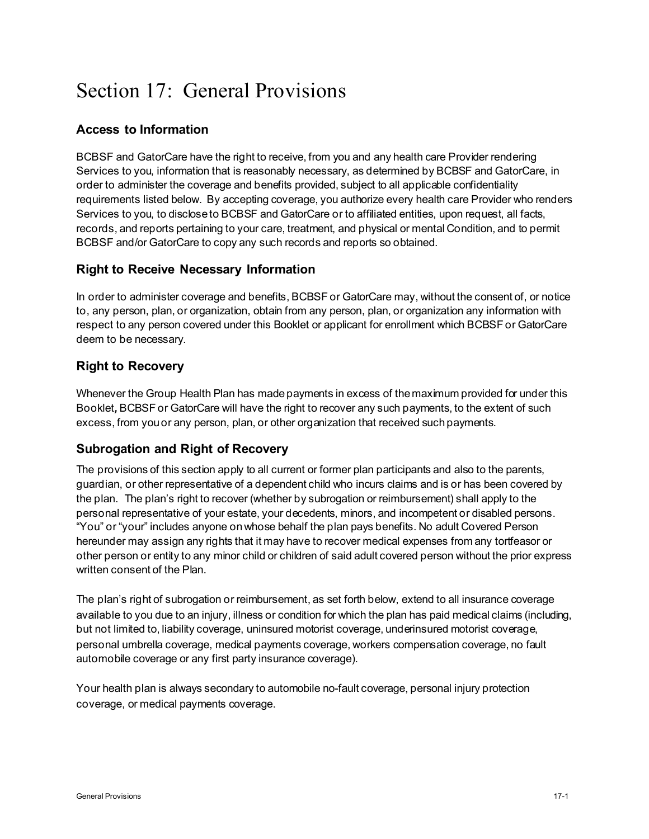# Section 17: General Provisions

## **Access to Information**

BCBSF and GatorCare have the right to receive, from you and any health care Provider rendering Services to you, information that is reasonably necessary, as determined by BCBSF and GatorCare, in order to administer the coverage and benefits provided, subject to all applicable confidentiality requirements listed below. By accepting coverage, you authorize every health care Provider who renders Services to you, to disclose to BCBSF and GatorCare or to affiliated entities, upon request, all facts, records, and reports pertaining to your care, treatment, and physical or mental Condition, and to permit BCBSF and/or GatorCare to copy any such records and reports so obtained.

## **Right to Receive Necessary Information**

In order to administer coverage and benefits, BCBSF or GatorCare may, without the consent of, or notice to, any person, plan, or organization, obtain from any person, plan, or organization any information with respect to any person covered under this Booklet or applicant for enrollment which BCBSF or GatorCare deem to be necessary.

## **Right to Recovery**

Whenever the Group Health Plan has made payments in excess of the maximum provided for under this Booklet*,* BCBSF or GatorCare will have the right to recover any such payments, to the extent of such excess, from you or any person, plan, or other organization that received such payments.

## **Subrogation and Right of Recovery**

The provisions of this section apply to all current or former plan participants and also to the parents, guardian, or other representative of a dependent child who incurs claims and is or has been covered by the plan. The plan's right to recover (whether by subrogation or reimbursement) shall apply to the personal representative of your estate, your decedents, minors, and incompetent or disabled persons. "You" or "your" includes anyone on whose behalf the plan pays benefits. No adult Covered Person hereunder may assign any rights that it may have to recover medical expenses from any tortfeasor or other person or entity to any minor child or children of said adult covered person without the prior express written consent of the Plan.

The plan's right of subrogation or reimbursement, as set forth below, extend to all insurance coverage available to you due to an injury, illness or condition for which the plan has paid medical claims (including, but not limited to, liability coverage, uninsured motorist coverage, underinsured motorist coverage, personal umbrella coverage, medical payments coverage, workers compensation coverage, no fault automobile coverage or any first party insurance coverage).

Your health plan is always secondary to automobile no-fault coverage, personal injury protection coverage, or medical payments coverage.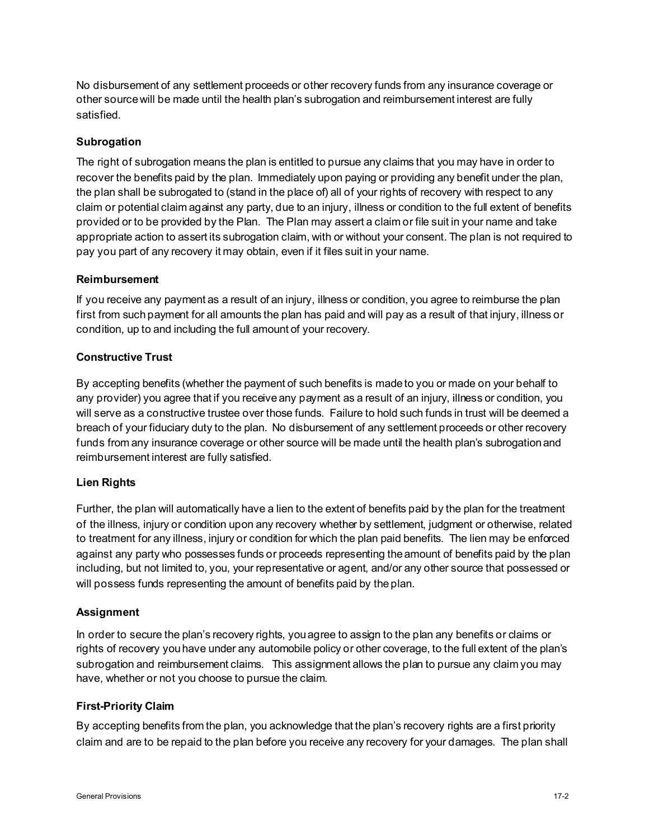No disbursement of any settlement proceeds or other recovery funds from any insurance coverage or other source will be made until the health plan's subrogation and reimbursement interest are fully satisfied.

#### **Subrogation**

The right of subrogation means the plan is entitled to pursue any claims that you may have in order to recover the benefits paid by the plan. Immediately upon paying or providing any benefit under the plan, the plan shall be subrogated to (stand in the place of) all of your rights of recovery with respect to any claim or potential claim against any party, due to an injury, illness or condition to the full extent of benefits provided or to be provided by the Plan. The Plan may assert a claim or file suit in your name and take appropriate action to assert its subrogation claim, with or without your consent. The plan is not required to pay you part of any recovery it may obtain, even if it files suit in your name.

#### **Reimbursement**

If you receive any payment as a result of an injury, illness or condition, you agree to reimburse the plan first from such payment for all amounts the plan has paid and will pay as a result of that injury, illness or condition, up to and including the full amount of your recovery.

#### **Constructive Trust**

By accepting benefits (whether the payment of such benefits is made to you or made on your behalf to any provider) you agree that if you receive any payment as a result of an injury, illness or condition, you will serve as a constructive trustee over those funds. Failure to hold such funds in trust will be deemed a breach of your fiduciary duty to the plan. No disbursement of any settlement proceeds or other recovery funds from any insurance coverage or other source will be made until the health plan's subrogation and reimbursement interest are fully satisfied.

#### **Lien Rights**

Further, the plan will automatically have a lien to the extent of benefits paid by the plan for the treatment of the illness, injury or condition upon any recovery whether by settlement, judgment or otherwise, related to treatment for any illness, injury or condition for which the plan paid benefits. The lien may be enforced against any party who possesses funds or proceeds representing the amount of benefits paid by the plan including, but not limited to, you, your representative or agent, and/or any other source that possessed or will possess funds representing the amount of benefits paid by the plan.

#### **Assignment**

In order to secure the plan's recovery rights, you agree to assign to the plan any benefits or claims or rights of recovery you have under any automobile policy or other coverage, to the full extent of the plan's subrogation and reimbursement claims. This assignment allows the plan to pursue any claim you may have, whether or not you choose to pursue the claim.

#### **First-Priority Claim**

By accepting benefits from the plan, you acknowledge that the plan's recovery rights are a first priority claim and are to be repaid to the plan before you receive any recovery for your damages. The plan shall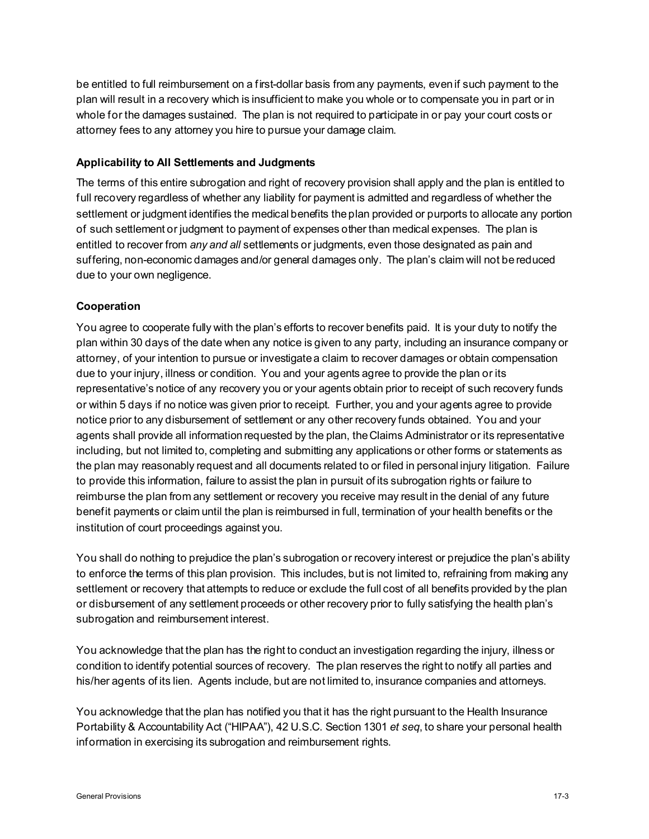be entitled to full reimbursement on a first-dollar basis from any payments, even if such payment to the plan will result in a recovery which is insufficient to make you whole or to compensate you in part or in whole for the damages sustained. The plan is not required to participate in or pay your court costs or attorney fees to any attorney you hire to pursue your damage claim.

#### **Applicability to All Settlements and Judgments**

The terms of this entire subrogation and right of recovery provision shall apply and the plan is entitled to full recovery regardless of whether any liability for payment is admitted and regardless of whether the settlement or judgment identifies the medical benefits the plan provided or purports to allocate any portion of such settlement or judgment to payment of expenses other than medical expenses. The plan is entitled to recover from *any and all* settlements or judgments, even those designated as pain and suffering, non-economic damages and/or general damages only. The plan's claim will not be reduced due to your own negligence.

### **Cooperation**

You agree to cooperate fully with the plan's efforts to recover benefits paid. It is your duty to notify the plan within 30 days of the date when any notice is given to any party, including an insurance company or attorney, of your intention to pursue or investigate a claim to recover damages or obtain compensation due to your injury, illness or condition. You and your agents agree to provide the plan or its representative's notice of any recovery you or your agents obtain prior to receipt of such recovery funds or within 5 days if no notice was given prior to receipt. Further, you and your agents agree to provide notice prior to any disbursement of settlement or any other recovery funds obtained. You and your agents shall provide all information requested by the plan, the Claims Administrator or its representative including, but not limited to, completing and submitting any applications or other forms or statements as the plan may reasonably request and all documents related to or filed in personal injury litigation. Failure to provide this information, failure to assist the plan in pursuit of its subrogation rights or failure to reimburse the plan from any settlement or recovery you receive may result in the denial of any future benefit payments or claim until the plan is reimbursed in full, termination of your health benefits or the institution of court proceedings against you.

You shall do nothing to prejudice the plan's subrogation or recovery interest or prejudice the plan's ability to enforce the terms of this plan provision. This includes, but is not limited to, refraining from making any settlement or recovery that attempts to reduce or exclude the full cost of all benefits provided by the plan or disbursement of any settlement proceeds or other recovery prior to fully satisfying the health plan's subrogation and reimbursement interest.

You acknowledge that the plan has the right to conduct an investigation regarding the injury, illness or condition to identify potential sources of recovery. The plan reserves the right to notify all parties and his/her agents of its lien. Agents include, but are not limited to, insurance companies and attorneys.

You acknowledge that the plan has notified you that it has the right pursuant to the Health Insurance Portability & Accountability Act ("HIPAA"), 42 U.S.C. Section 1301 *et seq*, to share your personal health information in exercising its subrogation and reimbursement rights.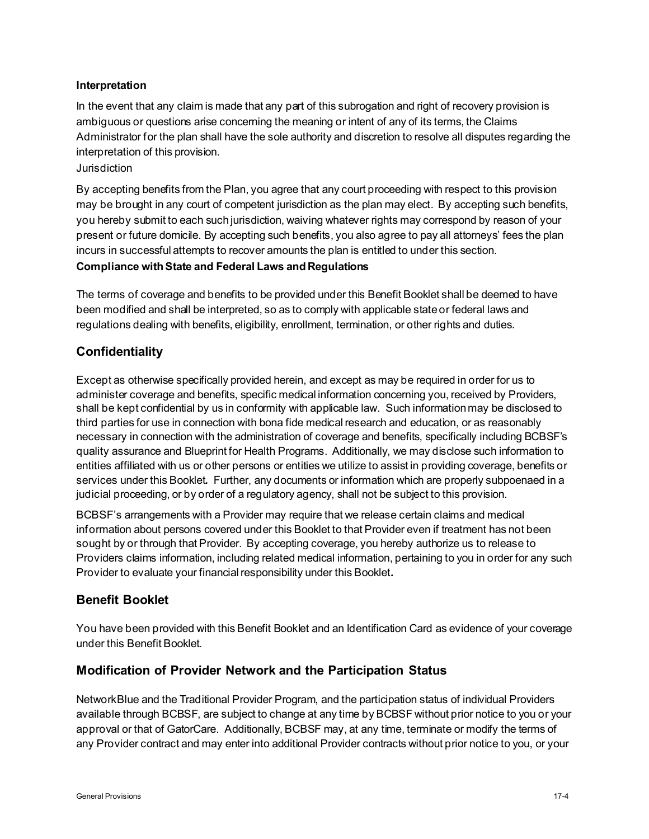### **Interpretation**

In the event that any claim is made that any part of this subrogation and right of recovery provision is ambiguous or questions arise concerning the meaning or intent of any of its terms, the Claims Administrator for the plan shall have the sole authority and discretion to resolve all disputes regarding the interpretation of this provision.

### Jurisdiction

By accepting benefits from the Plan, you agree that any court proceeding with respect to this provision may be brought in any court of competent jurisdiction as the plan may elect. By accepting such benefits, you hereby submit to each such jurisdiction, waiving whatever rights may correspond by reason of your present or future domicile. By accepting such benefits, you also agree to pay all attorneys' fees the plan incurs in successful attempts to recover amounts the plan is entitled to under this section.

### **Compliance with State and Federal Laws and Regulations**

The terms of coverage and benefits to be provided under this Benefit Booklet shall be deemed to have been modified and shall be interpreted, so as to comply with applicable state or federal laws and regulations dealing with benefits, eligibility, enrollment, termination, or other rights and duties.

## **Confidentiality**

Except as otherwise specifically provided herein, and except as may be required in order for us to administer coverage and benefits, specific medical information concerning you, received by Providers, shall be kept confidential by us in conformity with applicable law. Such information may be disclosed to third parties for use in connection with bona fide medical research and education, or as reasonably necessary in connection with the administration of coverage and benefits, specifically including BCBSF's quality assurance and Blueprint for Health Programs. Additionally, we may disclose such information to entities affiliated with us or other persons or entities we utilize to assist in providing coverage, benefits or services under this Booklet*.* Further, any documents or information which are properly subpoenaed in a judicial proceeding, or by order of a regulatory agency, shall not be subject to this provision.

BCBSF's arrangements with a Provider may require that we release certain claims and medical information about persons covered under this Booklet to that Provider even if treatment has not been sought by or through that Provider. By accepting coverage, you hereby authorize us to release to Providers claims information, including related medical information, pertaining to you in order for any such Provider to evaluate your financial responsibility under this Booklet*.*

## **Benefit Booklet**

You have been provided with this Benefit Booklet and an Identification Card as evidence of your coverage under this Benefit Booklet.

## **Modification of Provider Network and the Participation Status**

NetworkBlue and the Traditional Provider Program, and the participation status of individual Providers available through BCBSF, are subject to change at any time by BCBSF without prior notice to you or your approval or that of GatorCare. Additionally, BCBSF may, at any time, terminate or modify the terms of any Provider contract and may enter into additional Provider contracts without prior notice to you, or your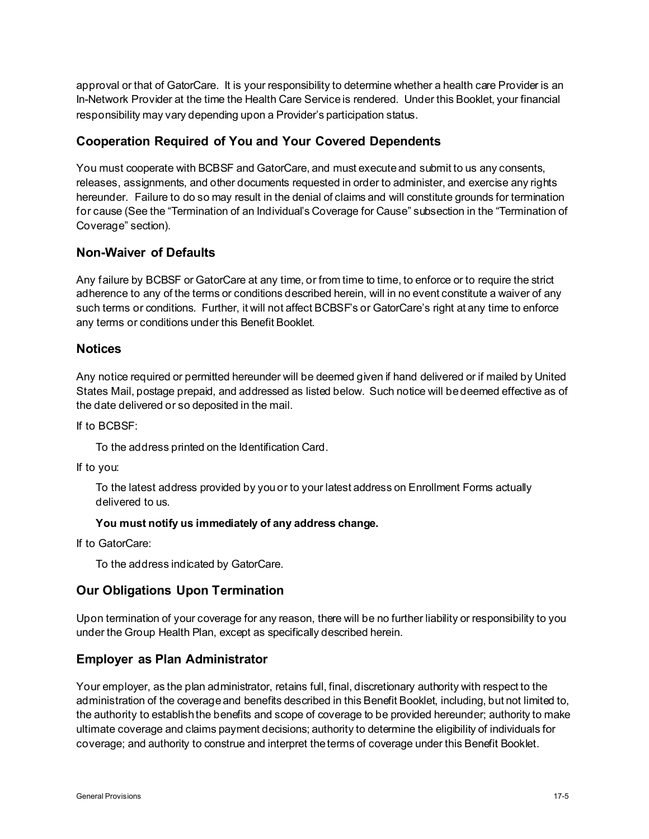approval or that of GatorCare. It is your responsibility to determine whether a health care Provider is an In-Network Provider at the time the Health Care Service is rendered. Under this Booklet, your financial responsibility may vary depending upon a Provider's participation status.

### **Cooperation Required of You and Your Covered Dependents**

You must cooperate with BCBSF and GatorCare, and must execute and submit to us any consents, releases, assignments, and other documents requested in order to administer, and exercise any rights hereunder. Failure to do so may result in the denial of claims and will constitute grounds for termination for cause (See the "Termination of an Individual's Coverage for Cause" subsection in the "Termination of Coverage" section).

## **Non-Waiver of Defaults**

Any failure by BCBSF or GatorCare at any time, or from time to time, to enforce or to require the strict adherence to any of the terms or conditions described herein, will in no event constitute a waiver of any such terms or conditions. Further, it will not affect BCBSF's or GatorCare's right at any time to enforce any terms or conditions under this Benefit Booklet.

#### **Notices**

Any notice required or permitted hereunder will be deemed given if hand delivered or if mailed by United States Mail, postage prepaid, and addressed as listed below. Such notice will be deemed effective as of the date delivered or so deposited in the mail.

If to BCBSF:

To the address printed on the Identification Card.

If to you:

To the latest address provided by you or to your latest address on Enrollment Forms actually delivered to us.

#### **You must notify us immediately of any address change.**

If to GatorCare:

To the address indicated by GatorCare.

#### **Our Obligations Upon Termination**

Upon termination of your coverage for any reason, there will be no further liability or responsibility to you under the Group Health Plan, except as specifically described herein.

#### **Employer as Plan Administrator**

Your employer, as the plan administrator, retains full, final, discretionary authority with respect to the administration of the coverage and benefits described in this Benefit Booklet, including, but not limited to, the authority to establish the benefits and scope of coverage to be provided hereunder; authority to make ultimate coverage and claims payment decisions; authority to determine the eligibility of individuals for coverage; and authority to construe and interpret the terms of coverage under this Benefit Booklet.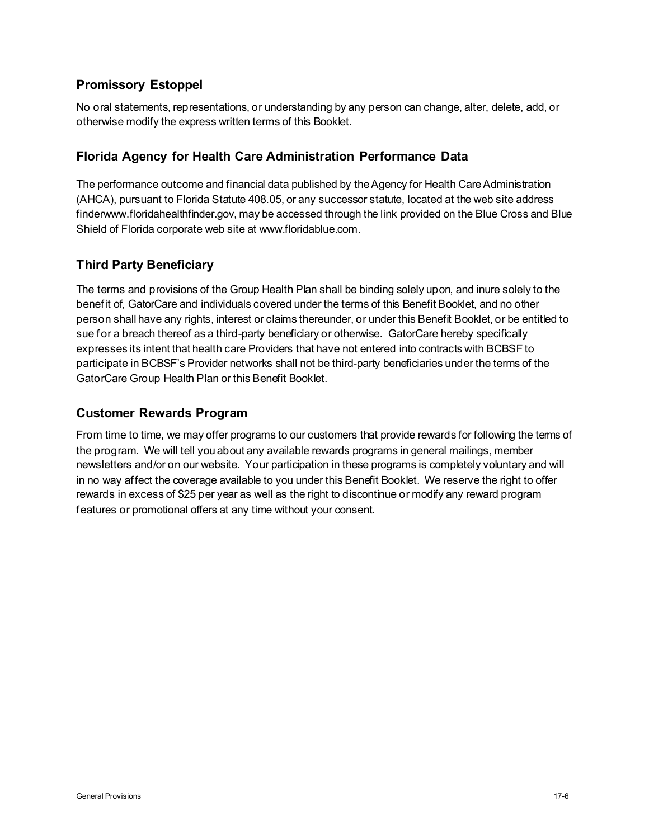# **Promissory Estoppel**

No oral statements, representations, or understanding by any person can change, alter, delete, add, or otherwise modify the express written terms of this Booklet.

## **Florida Agency for Health Care Administration Performance Data**

The performance outcome and financial data published by the Agency for Health Care Administration (AHCA), pursuant to Florida Statute 408.05, or any successor statute, located at the web site address finde[rwww.floridahealthfinder.gov](http://www.floridahealthfinder.gov/), may be accessed through the link provided on the Blue Cross and Blue Shield of Florida corporate web site at www.floridablue.com.

# **Third Party Beneficiary**

The terms and provisions of the Group Health Plan shall be binding solely upon, and inure solely to the benefit of, GatorCare and individuals covered under the terms of this Benefit Booklet, and no other person shall have any rights, interest or claims thereunder, or under this Benefit Booklet, or be entitled to sue for a breach thereof as a third-party beneficiary or otherwise. GatorCare hereby specifically expresses its intent that health care Providers that have not entered into contracts with BCBSF to participate in BCBSF's Provider networks shall not be third-party beneficiaries under the terms of the GatorCare Group Health Plan or this Benefit Booklet.

## **Customer Rewards Program**

From time to time, we may offer programs to our customers that provide rewards for following the terms of the program. We will tell you about any available rewards programs in general mailings, member newsletters and/or on our website. Your participation in these programs is completely voluntary and will in no way affect the coverage available to you under this Benefit Booklet. We reserve the right to offer rewards in excess of \$25 per year as well as the right to discontinue or modify any reward program features or promotional offers at any time without your consent.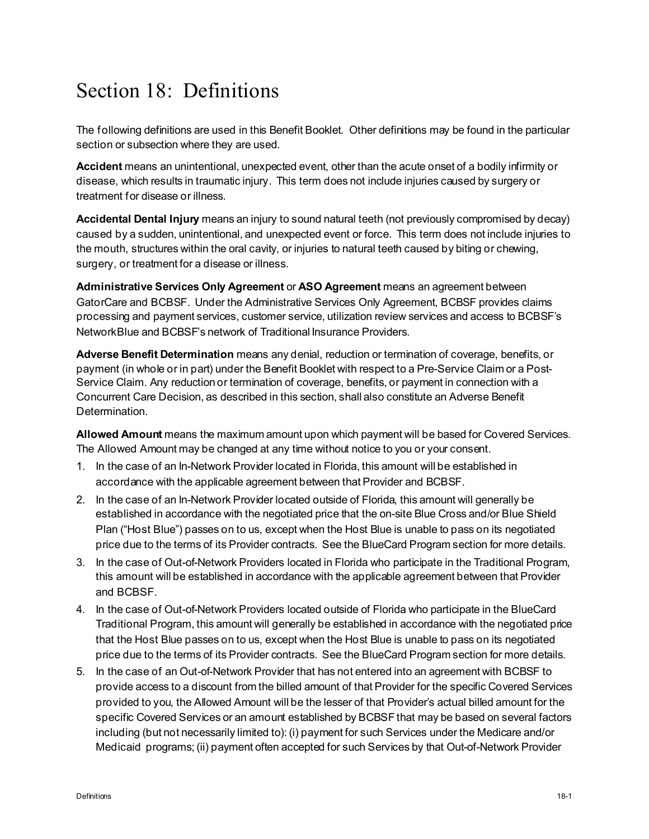# Section 18: Definitions

The following definitions are used in this Benefit Booklet. Other definitions may be found in the particular section or subsection where they are used.

**Accident** means an unintentional, unexpected event, other than the acute onset of a bodily infirmity or disease, which results in traumatic injury. This term does not include injuries caused by surgery or treatment for disease or illness.

**Accidental Dental Injury** means an injury to sound natural teeth (not previously compromised by decay) caused by a sudden, unintentional, and unexpected event or force. This term does not include injuries to the mouth, structures within the oral cavity, or injuries to natural teeth caused by biting or chewing, surgery, or treatment for a disease or illness.

**Administrative Services Only Agreement** or **ASO Agreement** means an agreement between GatorCare and BCBSF. Under the Administrative Services Only Agreement, BCBSF provides claims processing and payment services, customer service, utilization review services and access to BCBSF's NetworkBlue and BCBSF's network of Traditional Insurance Providers.

**Adverse Benefit Determination** means any denial, reduction or termination of coverage, benefits, or payment (in whole or in part) under the Benefit Booklet with respect to a Pre-Service Claim or a Post-Service Claim. Any reduction or termination of coverage, benefits, or payment in connection with a Concurrent Care Decision, as described in this section, shall also constitute an Adverse Benefit Determination.

**Allowed Amount** means the maximum amount upon which payment will be based for Covered Services. The Allowed Amount may be changed at any time without notice to you or your consent.

- 1. In the case of an In-Network Provider located in Florida, this amount will be established in accordance with the applicable agreement between that Provider and BCBSF.
- 2. In the case of an In-Network Provider located outside of Florida, this amount will generally be established in accordance with the negotiated price that the on-site Blue Cross and/or Blue Shield Plan ("Host Blue") passes on to us, except when the Host Blue is unable to pass on its negotiated price due to the terms of its Provider contracts. See the BlueCard Program section for more details.
- 3. In the case of Out-of-Network Providers located in Florida who participate in the Traditional Program, this amount will be established in accordance with the applicable agreement between that Provider and BCBSF.
- 4. In the case of Out-of-Network Providers located outside of Florida who participate in the BlueCard Traditional Program, this amount will generally be established in accordance with the negotiated price that the Host Blue passes on to us, except when the Host Blue is unable to pass on its negotiated price due to the terms of its Provider contracts. See the BlueCard Program section for more details.
- 5. In the case of an Out-of-Network Provider that has not entered into an agreement with BCBSF to provide access to a discount from the billed amount of that Provider for the specific Covered Services provided to you, the Allowed Amount will be the lesser of that Provider's actual billed amount for the specific Covered Services or an amount established by BCBSF that may be based on several factors including (but not necessarily limited to): (i) payment for such Services under the Medicare and/or Medicaid programs; (ii) payment often accepted for such Services by that Out-of-Network Provider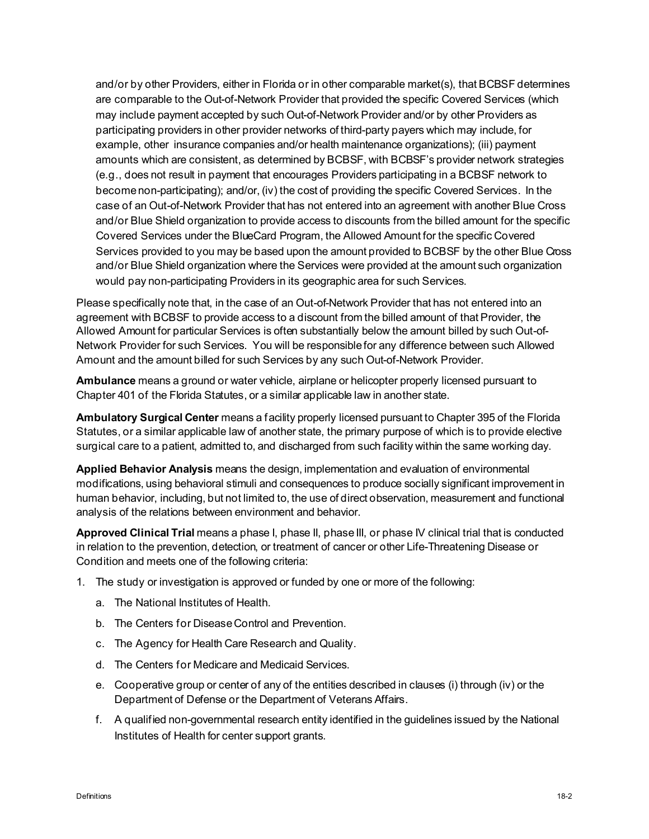and/or by other Providers, either in Florida or in other comparable market(s), that BCBSF determines are comparable to the Out-of-Network Provider that provided the specific Covered Services (which may include payment accepted by such Out-of-Network Provider and/or by other Providers as participating providers in other provider networks of third-party payers which may include, for example, other insurance companies and/or health maintenance organizations); (iii) payment amounts which are consistent, as determined by BCBSF, with BCBSF's provider network strategies (e.g., does not result in payment that encourages Providers participating in a BCBSF network to become non-participating); and/or, (iv) the cost of providing the specific Covered Services. In the case of an Out-of-Network Provider that has not entered into an agreement with another Blue Cross and/or Blue Shield organization to provide access to discounts from the billed amount for the specific Covered Services under the BlueCard Program, the Allowed Amount for the specific Covered Services provided to you may be based upon the amount provided to BCBSF by the other Blue Cross and/or Blue Shield organization where the Services were provided at the amount such organization would pay non-participating Providers in its geographic area for such Services.

Please specifically note that, in the case of an Out-of-Network Provider that has not entered into an agreement with BCBSF to provide access to a discount from the billed amount of that Provider, the Allowed Amount for particular Services is often substantially below the amount billed by such Out-of-Network Provider for such Services. You will be responsible for any difference between such Allowed Amount and the amount billed for such Services by any such Out-of-Network Provider.

**Ambulance** means a ground or water vehicle, airplane or helicopter properly licensed pursuant to Chapter 401 of the Florida Statutes, or a similar applicable law in another state.

**Ambulatory Surgical Center** means a facility properly licensed pursuant to Chapter 395 of the Florida Statutes, or a similar applicable law of another state, the primary purpose of which is to provide elective surgical care to a patient, admitted to, and discharged from such facility within the same working day.

**Applied Behavior Analysis** means the design, implementation and evaluation of environmental modifications, using behavioral stimuli and consequences to produce socially significant improvement in human behavior, including, but not limited to, the use of direct observation, measurement and functional analysis of the relations between environment and behavior.

**Approved Clinical Trial** means a phase I, phase II, phase III, or phase IV clinical trial that is conducted in relation to the prevention, detection, or treatment of cancer or other Life-Threatening Disease or Condition and meets one of the following criteria:

- 1. The study or investigation is approved or funded by one or more of the following:
	- a. The National Institutes of Health.
	- b. The Centers for Disease Control and Prevention.
	- c. The Agency for Health Care Research and Quality.
	- d. The Centers for Medicare and Medicaid Services.
	- e. Cooperative group or center of any of the entities described in clauses (i) through (iv) or the Department of Defense or the Department of Veterans Affairs.
	- f. A qualified non-governmental research entity identified in the guidelines issued by the National Institutes of Health for center support grants.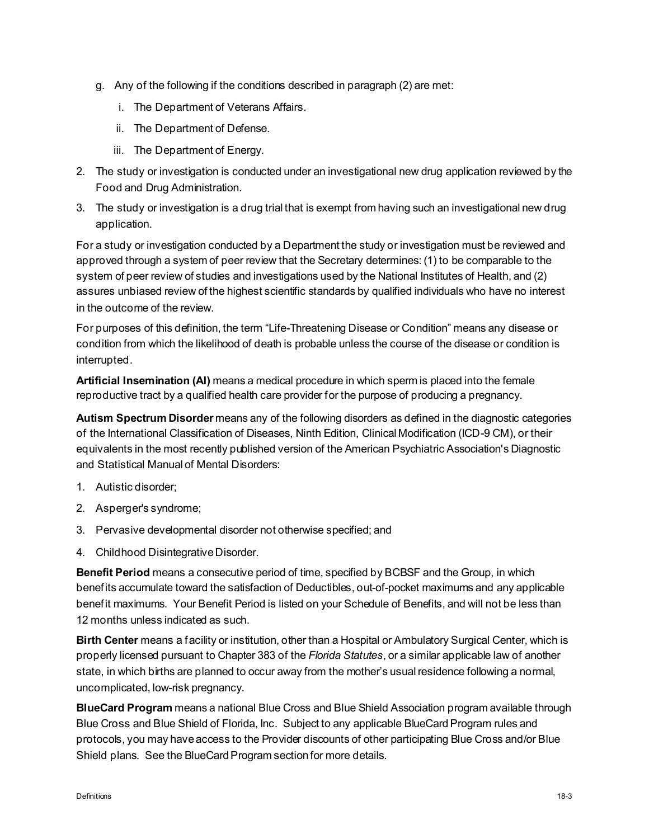- g. Any of the following if the conditions described in paragraph (2) are met:
	- i. The Department of Veterans Affairs.
	- ii. The Department of Defense.
	- iii. The Department of Energy.
- 2. The study or investigation is conducted under an investigational new drug application reviewed by the Food and Drug Administration.
- 3. The study or investigation is a drug trial that is exempt from having such an investigational new drug application.

For a study or investigation conducted by a Department the study or investigation must be reviewed and approved through a system of peer review that the Secretary determines: (1) to be comparable to the system of peer review of studies and investigations used by the National Institutes of Health, and (2) assures unbiased review of the highest scientific standards by qualified individuals who have no interest in the outcome of the review.

For purposes of this definition, the term "Life-Threatening Disease or Condition" means any disease or condition from which the likelihood of death is probable unless the course of the disease or condition is interrupted.

**Artificial Insemination (AI)** means a medical procedure in which sperm is placed into the female reproductive tract by a qualified health care provider for the purpose of producing a pregnancy.

**Autism Spectrum Disorder** means any of the following disorders as defined in the diagnostic categories of the International Classification of Diseases, Ninth Edition, Clinical Modification (ICD-9 CM), or their equivalents in the most recently published version of the American Psychiatric Association's Diagnostic and Statistical Manual of Mental Disorders:

- 1. Autistic disorder;
- 2. Asperger's syndrome;
- 3. Pervasive developmental disorder not otherwise specified; and
- 4. Childhood Disintegrative Disorder.

**Benefit Period** means a consecutive period of time, specified by BCBSF and the Group, in which benefits accumulate toward the satisfaction of Deductibles, out-of-pocket maximums and any applicable benefit maximums. Your Benefit Period is listed on your Schedule of Benefits, and will not be less than 12 months unless indicated as such.

**Birth Center** means a facility or institution, other than a Hospital or Ambulatory Surgical Center, which is properly licensed pursuant to Chapter 383 of the *Florida Statutes*, or a similar applicable law of another state, in which births are planned to occur away from the mother's usual residence following a normal, uncomplicated, low-risk pregnancy.

**BlueCard Program** means a national Blue Cross and Blue Shield Association program available through Blue Cross and Blue Shield of Florida, Inc. Subject to any applicable BlueCard Program rules and protocols, you may have access to the Provider discounts of other participating Blue Cross and/or Blue Shield plans. See the BlueCard Program section for more details.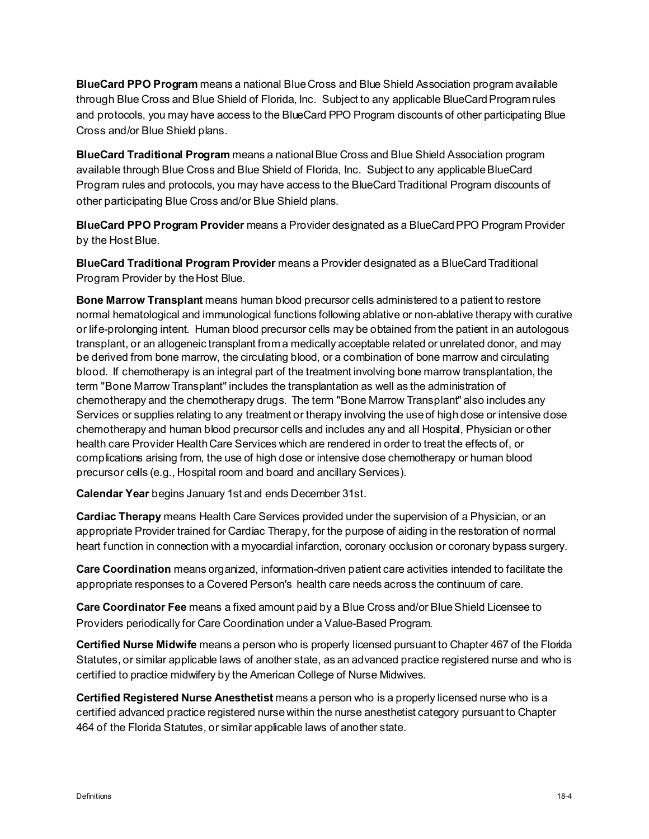**BlueCard PPO Program** means a national Blue Cross and Blue Shield Association program available through Blue Cross and Blue Shield of Florida, Inc. Subject to any applicable BlueCard Program rules and protocols, you may have access to the BlueCard PPO Program discounts of other participating Blue Cross and/or Blue Shield plans.

**BlueCard Traditional Program** means a national Blue Cross and Blue Shield Association program available through Blue Cross and Blue Shield of Florida, Inc. Subject to any applicable BlueCard Program rules and protocols, you may have access to the BlueCardTraditional Program discounts of other participating Blue Cross and/or Blue Shield plans.

**BlueCard PPO Program Provider** means a Provider designated as a BlueCardPPO Program Provider by the Host Blue.

**BlueCard Traditional Program Provider** means a Provider designated as a BlueCard Traditional Program Provider by the Host Blue.

**Bone Marrow Transplant** means human blood precursor cells administered to a patient to restore normal hematological and immunological functions following ablative or non-ablative therapy with curative or life-prolonging intent. Human blood precursor cells may be obtained from the patient in an autologous transplant, or an allogeneic transplant from a medically acceptable related or unrelated donor, and may be derived from bone marrow, the circulating blood, or a combination of bone marrow and circulating blood. If chemotherapy is an integral part of the treatment involving bone marrow transplantation, the term "Bone Marrow Transplant" includes the transplantation as well as the administration of chemotherapy and the chemotherapy drugs. The term "Bone Marrow Transplant" also includes any Services or supplies relating to any treatment or therapy involving the use of high dose or intensive dose chemotherapy and human blood precursor cells and includes any and all Hospital, Physician or other health care Provider Health Care Services which are rendered in order to treat the effects of, or complications arising from, the use of high dose or intensive dose chemotherapy or human blood precursor cells (e.g., Hospital room and board and ancillary Services).

**Calendar Year** begins January 1st and ends December 31st.

**Cardiac Therapy** means Health Care Services provided under the supervision of a Physician, or an appropriate Provider trained for Cardiac Therapy, for the purpose of aiding in the restoration of normal heart function in connection with a myocardial infarction, coronary occlusion or coronary bypass surgery.

**Care Coordination** means organized, information-driven patient care activities intended to facilitate the appropriate responses to a Covered Person's health care needs across the continuum of care.

**Care Coordinator Fee** means a fixed amount paid by a Blue Cross and/or Blue Shield Licensee to Providers periodically for Care Coordination under a Value-Based Program.

**Certified Nurse Midwife** means a person who is properly licensed pursuant to Chapter 467 of the Florida Statutes, or similar applicable laws of another state, as an advanced practice registered nurse and who is certified to practice midwifery by the American College of Nurse Midwives.

**Certified Registered Nurse Anesthetist** means a person who is a properly licensed nurse who is a certified advanced practice registered nurse within the nurse anesthetist category pursuant to Chapter 464 of the Florida Statutes, or similar applicable laws of another state.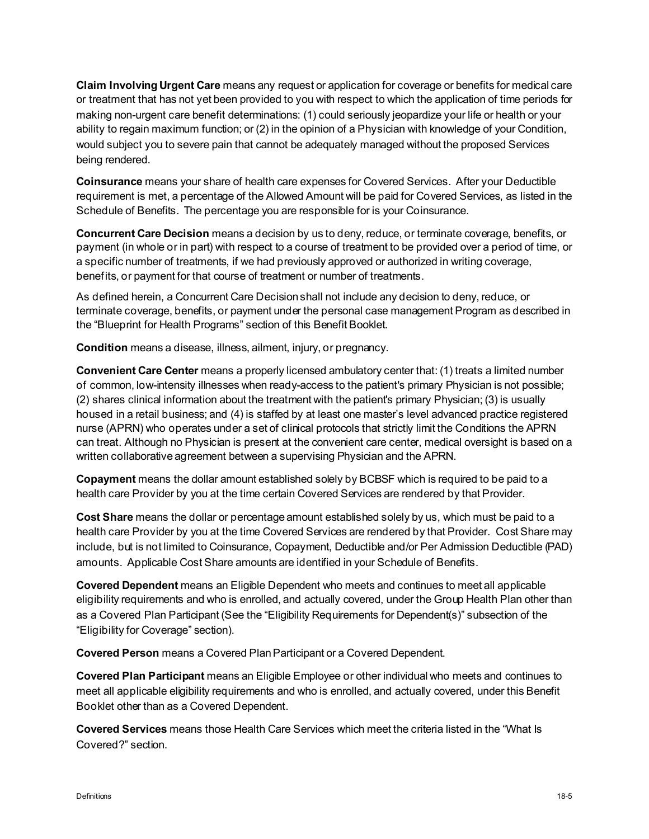**Claim Involving Urgent Care** means any request or application for coverage or benefits for medical care or treatment that has not yet been provided to you with respect to which the application of time periods for making non-urgent care benefit determinations: (1) could seriously jeopardize your life or health or your ability to regain maximum function; or (2) in the opinion of a Physician with knowledge of your Condition, would subject you to severe pain that cannot be adequately managed without the proposed Services being rendered.

**Coinsurance** means your share of health care expenses for Covered Services. After your Deductible requirement is met, a percentage of the Allowed Amount will be paid for Covered Services, as listed in the Schedule of Benefits. The percentage you are responsible for is your Coinsurance.

**Concurrent Care Decision** means a decision by us to deny, reduce, or terminate coverage, benefits, or payment (in whole or in part) with respect to a course of treatment to be provided over a period of time, or a specific number of treatments, if we had previously approved or authorized in writing coverage, benefits, or payment for that course of treatment or number of treatments.

As defined herein, a Concurrent Care Decision shall not include any decision to deny, reduce, or terminate coverage, benefits, or payment under the personal case management Program as described in the "Blueprint for Health Programs" section of this Benefit Booklet.

**Condition** means a disease, illness, ailment, injury, or pregnancy.

**Convenient Care Center** means a properly licensed ambulatory center that: (1) treats a limited number of common, low-intensity illnesses when ready-access to the patient's primary Physician is not possible; (2) shares clinical information about the treatment with the patient's primary Physician; (3) is usually housed in a retail business; and (4) is staffed by at least one master's level advanced practice registered nurse (APRN) who operates under a set of clinical protocols that strictly limit the Conditions the APRN can treat. Although no Physician is present at the convenient care center, medical oversight is based on a written collaborative agreement between a supervising Physician and the APRN.

**Copayment** means the dollar amount established solely by BCBSF which is required to be paid to a health care Provider by you at the time certain Covered Services are rendered by that Provider.

**Cost Share** means the dollar or percentage amount established solely by us, which must be paid to a health care Provider by you at the time Covered Services are rendered by that Provider. Cost Share may include, but is not limited to Coinsurance, Copayment, Deductible and/or Per Admission Deductible (PAD) amounts. Applicable Cost Share amounts are identified in your Schedule of Benefits.

**Covered Dependent** means an Eligible Dependent who meets and continues to meet all applicable eligibility requirements and who is enrolled, and actually covered, under the Group Health Plan other than as a Covered Plan Participant (See the "Eligibility Requirements for Dependent(s)" subsection of the "Eligibility for Coverage" section).

**Covered Person** means a Covered Plan Participant or a Covered Dependent.

**Covered Plan Participant** means an Eligible Employee or other individual who meets and continues to meet all applicable eligibility requirements and who is enrolled, and actually covered, under this Benefit Booklet other than as a Covered Dependent.

**Covered Services** means those Health Care Services which meet the criteria listed in the "What Is Covered?" section.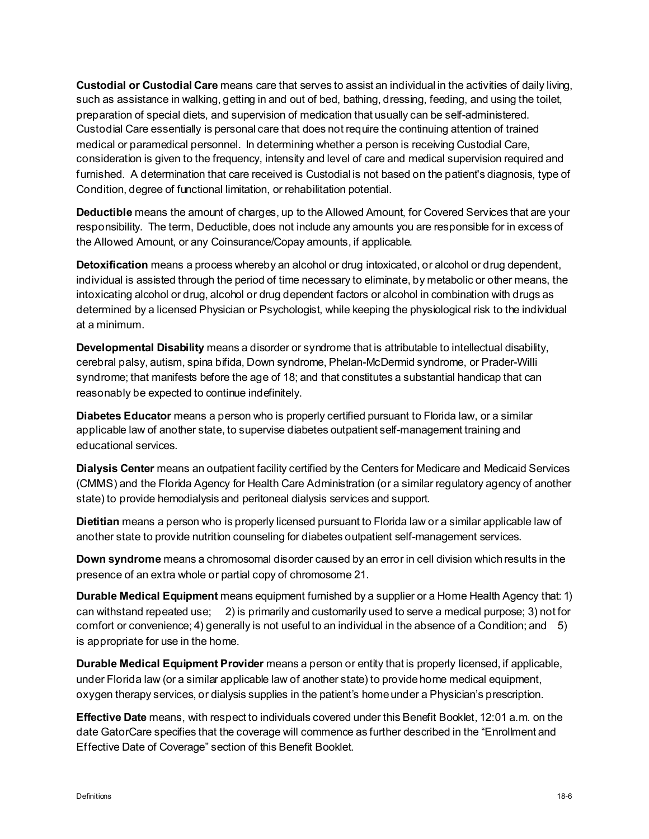**Custodial or Custodial Care** means care that serves to assist an individual in the activities of daily living, such as assistance in walking, getting in and out of bed, bathing, dressing, feeding, and using the toilet, preparation of special diets, and supervision of medication that usually can be self-administered. Custodial Care essentially is personal care that does not require the continuing attention of trained medical or paramedical personnel. In determining whether a person is receiving Custodial Care, consideration is given to the frequency, intensity and level of care and medical supervision required and furnished. A determination that care received is Custodial is not based on the patient's diagnosis, type of Condition, degree of functional limitation, or rehabilitation potential.

**Deductible** means the amount of charges, up to the Allowed Amount, for Covered Services that are your responsibility. The term, Deductible, does not include any amounts you are responsible for in excess of the Allowed Amount, or any Coinsurance/Copay amounts, if applicable.

**Detoxification** means a process whereby an alcohol or drug intoxicated, or alcohol or drug dependent, individual is assisted through the period of time necessary to eliminate, by metabolic or other means, the intoxicating alcohol or drug, alcohol or drug dependent factors or alcohol in combination with drugs as determined by a licensed Physician or Psychologist, while keeping the physiological risk to the individual at a minimum.

**Developmental Disability** means a disorder or syndrome that is attributable to intellectual disability, cerebral palsy, autism, spina bifida, Down syndrome, Phelan-McDermid syndrome, or Prader-Willi syndrome; that manifests before the age of 18; and that constitutes a substantial handicap that can reasonably be expected to continue indefinitely.

**Diabetes Educator** means a person who is properly certified pursuant to Florida law, or a similar applicable law of another state, to supervise diabetes outpatient self-management training and educational services.

**Dialysis Center** means an outpatient facility certified by the Centers for Medicare and Medicaid Services (CMMS) and the Florida Agency for Health Care Administration (or a similar regulatory agency of another state) to provide hemodialysis and peritoneal dialysis services and support.

**Dietitian** means a person who is properly licensed pursuant to Florida law or a similar applicable law of another state to provide nutrition counseling for diabetes outpatient self-management services.

**Down syndrome** means a chromosomal disorder caused by an error in cell division which results in the presence of an extra whole or partial copy of chromosome 21.

**Durable Medical Equipment** means equipment furnished by a supplier or a Home Health Agency that: 1) can withstand repeated use; 2) is primarily and customarily used to serve a medical purpose; 3) not for comfort or convenience; 4) generally is not useful to an individual in the absence of a Condition; and  $5$ is appropriate for use in the home.

**Durable Medical Equipment Provider** means a person or entity that is properly licensed, if applicable, under Florida law (or a similar applicable law of another state) to provide home medical equipment, oxygen therapy services, or dialysis supplies in the patient's home under a Physician's prescription.

**Effective Date** means, with respect to individuals covered under this Benefit Booklet, 12:01 a.m. on the date GatorCare specifies that the coverage will commence as further described in the "Enrollment and Effective Date of Coverage" section of this Benefit Booklet.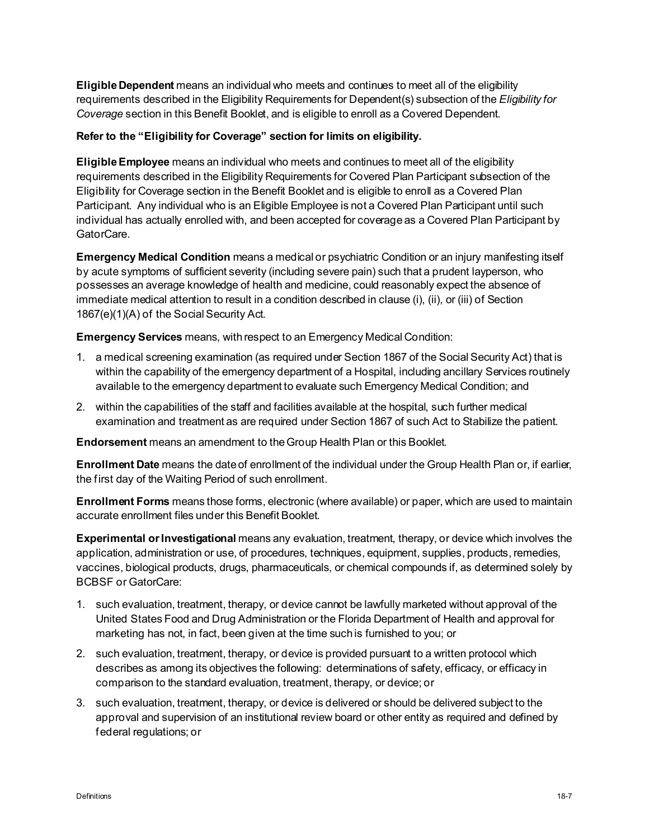**Eligible Dependent** means an individual who meets and continues to meet all of the eligibility requirements described in the Eligibility Requirements for Dependent(s) subsection of the *Eligibility for Coverage* section in this Benefit Booklet, and is eligible to enroll as a Covered Dependent.

#### **Refer to the "Eligibility for Coverage" section for limits on eligibility.**

**Eligible Employee** means an individual who meets and continues to meet all of the eligibility requirements described in the Eligibility Requirements for Covered Plan Participant subsection of the Eligibility for Coverage section in the Benefit Booklet and is eligible to enroll as a Covered Plan Participant. Any individual who is an Eligible Employee is not a Covered Plan Participant until such individual has actually enrolled with, and been accepted for coverage as a Covered Plan Participant by GatorCare.

**Emergency Medical Condition** means a medical or psychiatric Condition or an injury manifesting itself by acute symptoms of sufficient severity (including severe pain) such that a prudent layperson, who possesses an average knowledge of health and medicine, could reasonably expect the absence of immediate medical attention to result in a condition described in clause (i), (ii), or (iii) of Section 1867(e)(1)(A) of the Social Security Act.

**Emergency Services** means, with respect to an Emergency Medical Condition:

- 1. a medical screening examination (as required under Section 1867 of the Social Security Act) that is within the capability of the emergency department of a Hospital, including ancillary Services routinely available to the emergency department to evaluate such Emergency Medical Condition; and
- 2. within the capabilities of the staff and facilities available at the hospital, such further medical examination and treatment as are required under Section 1867 of such Act to Stabilize the patient.

**Endorsement** means an amendment to the Group Health Plan or this Booklet*.*

**Enrollment Date** means the date of enrollment of the individual under the Group Health Plan or, if earlier, the first day of the Waiting Period of such enrollment.

**Enrollment Forms** means those forms, electronic (where available) or paper, which are used to maintain accurate enrollment files under this Benefit Booklet.

**Experimental or Investigational** means any evaluation, treatment, therapy, or device which involves the application, administration or use, of procedures, techniques, equipment, supplies, products, remedies, vaccines, biological products, drugs, pharmaceuticals, or chemical compounds if, as determined solely by BCBSF or GatorCare:

- 1. such evaluation, treatment, therapy, or device cannot be lawfully marketed without approval of the United States Food and Drug Administration or the Florida Department of Health and approval for marketing has not, in fact, been given at the time such is furnished to you; or
- 2. such evaluation, treatment, therapy, or device is provided pursuant to a written protocol which describes as among its objectives the following: determinations of safety, efficacy, or efficacy in comparison to the standard evaluation, treatment, therapy, or device; or
- 3. such evaluation, treatment, therapy, or device is delivered or should be delivered subject to the approval and supervision of an institutional review board or other entity as required and defined by federal regulations; or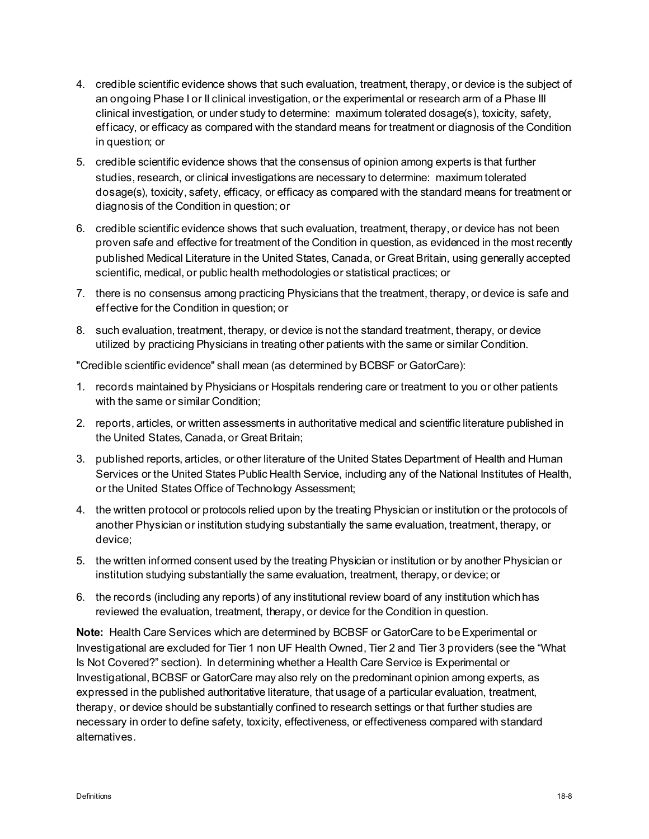- 4. credible scientific evidence shows that such evaluation, treatment, therapy, or device is the subject of an ongoing Phase I or II clinical investigation, or the experimental or research arm of a Phase III clinical investigation, or under study to determine: maximum tolerated dosage(s), toxicity, safety, efficacy, or efficacy as compared with the standard means for treatment or diagnosis of the Condition in question; or
- 5. credible scientific evidence shows that the consensus of opinion among experts is that further studies, research, or clinical investigations are necessary to determine: maximum tolerated dosage(s), toxicity, safety, efficacy, or efficacy as compared with the standard means for treatment or diagnosis of the Condition in question; or
- 6. credible scientific evidence shows that such evaluation, treatment, therapy, or device has not been proven safe and effective for treatment of the Condition in question, as evidenced in the most recently published Medical Literature in the United States, Canada, or Great Britain, using generally accepted scientific, medical, or public health methodologies or statistical practices; or
- 7. there is no consensus among practicing Physicians that the treatment, therapy, or device is safe and effective for the Condition in question; or
- 8. such evaluation, treatment, therapy, or device is not the standard treatment, therapy, or device utilized by practicing Physicians in treating other patients with the same or similar Condition.

"Credible scientific evidence" shall mean (as determined by BCBSF or GatorCare):

- 1. records maintained by Physicians or Hospitals rendering care or treatment to you or other patients with the same or similar Condition;
- 2. reports, articles, or written assessments in authoritative medical and scientific literature published in the United States, Canada, or Great Britain;
- 3. published reports, articles, or other literature of the United States Department of Health and Human Services or the United States Public Health Service, including any of the National Institutes of Health, or the United States Office of Technology Assessment;
- 4. the written protocol or protocols relied upon by the treating Physician or institution or the protocols of another Physician or institution studying substantially the same evaluation, treatment, therapy, or device;
- 5. the written informed consent used by the treating Physician or institution or by another Physician or institution studying substantially the same evaluation, treatment, therapy, or device; or
- 6. the records (including any reports) of any institutional review board of any institution which has reviewed the evaluation, treatment, therapy, or device for the Condition in question.

**Note:** Health Care Services which are determined by BCBSF or GatorCare to be Experimental or Investigational are excluded for Tier 1 non UF Health Owned, Tier 2 and Tier 3 providers (see the "What Is Not Covered?" section). In determining whether a Health Care Service is Experimental or Investigational, BCBSF or GatorCare may also rely on the predominant opinion among experts, as expressed in the published authoritative literature, that usage of a particular evaluation, treatment, therapy, or device should be substantially confined to research settings or that further studies are necessary in order to define safety, toxicity, effectiveness, or effectiveness compared with standard alternatives.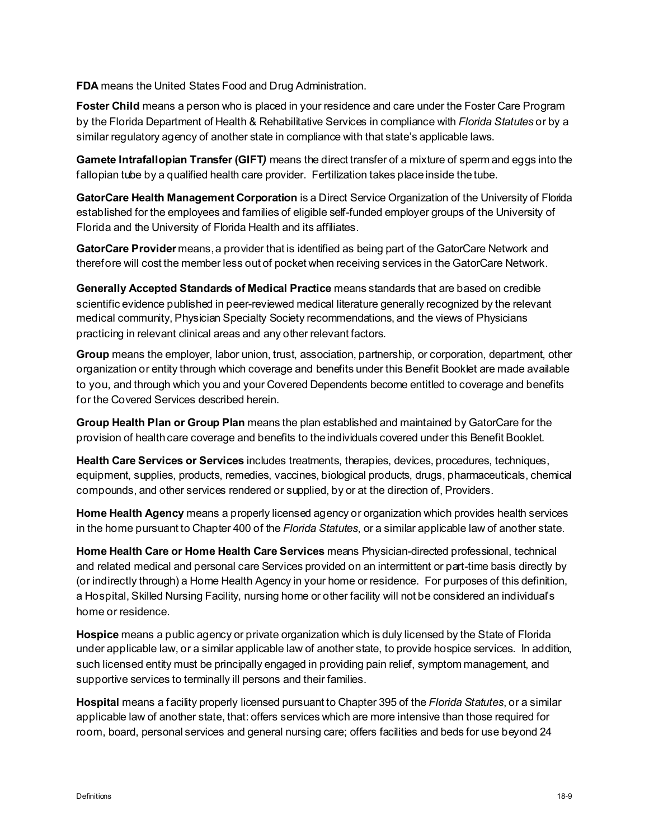**FDA** means the United States Food and Drug Administration.

**Foster Child** means a person who is placed in your residence and care under the Foster Care Program by the Florida Department of Health & Rehabilitative Services in compliance with *Florida Statutes* or by a similar regulatory agency of another state in compliance with that state's applicable laws.

**Gamete Intrafallopian Transfer (GIFT***)* means the direct transfer of a mixture of sperm and eggs into the fallopian tube by a qualified health care provider. Fertilization takes place inside the tube.

**GatorCare Health Management Corporation** is a Direct Service Organization of the University of Florida established for the employees and families of eligible self-funded employer groups of the University of Florida and the University of Florida Health and its affiliates.

**GatorCare Provider** means,a provider that is identified as being part of the GatorCare Network and therefore will cost the member less out of pocket when receiving services in the GatorCare Network.

**Generally Accepted Standards of Medical Practice** means standards that are based on credible scientific evidence published in peer-reviewed medical literature generally recognized by the relevant medical community, Physician Specialty Society recommendations, and the views of Physicians practicing in relevant clinical areas and any other relevant factors.

**Group** means the employer, labor union, trust, association, partnership, or corporation, department, other organization or entity through which coverage and benefits under this Benefit Booklet are made available to you, and through which you and your Covered Dependents become entitled to coverage and benefits for the Covered Services described herein.

**Group Health Plan or Group Plan** means the plan established and maintained by GatorCare for the provision of health care coverage and benefits to the individuals covered under this Benefit Booklet.

**Health Care Services or Services** includes treatments, therapies, devices, procedures, techniques, equipment, supplies, products, remedies, vaccines, biological products, drugs, pharmaceuticals, chemical compounds, and other services rendered or supplied, by or at the direction of, Providers.

**Home Health Agency** means a properly licensed agency or organization which provides health services in the home pursuant to Chapter 400 of the *Florida Statutes*, or a similar applicable law of another state.

**Home Health Care or Home Health Care Services** means Physician-directed professional, technical and related medical and personal care Services provided on an intermittent or part-time basis directly by (or indirectly through) a Home Health Agency in your home or residence. For purposes of this definition, a Hospital, Skilled Nursing Facility, nursing home or other facility will not be considered an individual's home or residence.

**Hospice** means a public agency or private organization which is duly licensed by the State of Florida under applicable law, or a similar applicable law of another state, to provide hospice services. In addition, such licensed entity must be principally engaged in providing pain relief, symptom management, and supportive services to terminally ill persons and their families.

**Hospital** means a facility properly licensed pursuant to Chapter 395 of the *Florida Statutes*, or a similar applicable law of another state, that: offers services which are more intensive than those required for room, board, personal services and general nursing care; offers facilities and beds for use beyond 24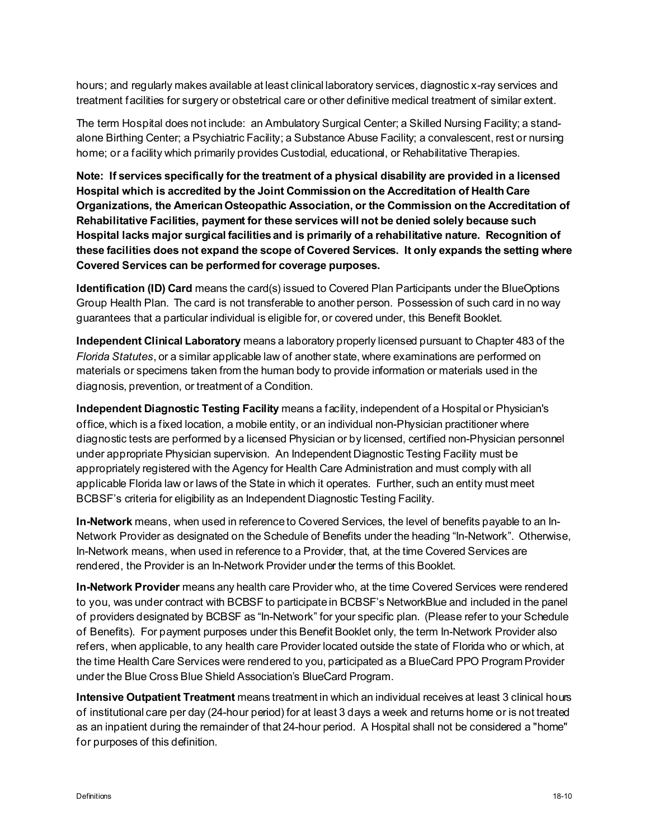hours; and regularly makes available at least clinical laboratory services, diagnostic x-ray services and treatment facilities for surgery or obstetrical care or other definitive medical treatment of similar extent.

The term Hospital does not include: an Ambulatory Surgical Center; a Skilled Nursing Facility; a standalone Birthing Center; a Psychiatric Facility; a Substance Abuse Facility; a convalescent, rest or nursing home; or a facility which primarily provides Custodial, educational, or Rehabilitative Therapies.

**Note: If services specifically for the treatment of a physical disability are provided in a licensed Hospital which is accredited by the Joint Commission on the Accreditation of Health Care Organizations, the American Osteopathic Association, or the Commission on the Accreditation of Rehabilitative Facilities, payment for these services will not be denied solely because such Hospital lacks major surgical facilities and is primarily of a rehabilitative nature. Recognition of these facilities does not expand the scope of Covered Services. It only expands the setting where Covered Services can be performed for coverage purposes.**

**Identification (ID) Card** means the card(s) issued to Covered Plan Participants under the BlueOptions Group Health Plan. The card is not transferable to another person. Possession of such card in no way guarantees that a particular individual is eligible for, or covered under, this Benefit Booklet.

**Independent Clinical Laboratory** means a laboratory properly licensed pursuant to Chapter 483 of the *Florida Statutes*, or a similar applicable law of another state, where examinations are performed on materials or specimens taken from the human body to provide information or materials used in the diagnosis, prevention, or treatment of a Condition.

**Independent Diagnostic Testing Facility** means a facility, independent of a Hospital or Physician's office, which is a fixed location, a mobile entity, or an individual non-Physician practitioner where diagnostic tests are performed by a licensed Physician or by licensed, certified non-Physician personnel under appropriate Physician supervision. An Independent Diagnostic Testing Facility must be appropriately registered with the Agency for Health Care Administration and must comply with all applicable Florida law or laws of the State in which it operates. Further, such an entity must meet BCBSF's criteria for eligibility as an Independent Diagnostic Testing Facility.

**In-Network** means, when used in reference to Covered Services, the level of benefits payable to an In-Network Provider as designated on the Schedule of Benefits under the heading "In-Network". Otherwise, In-Network means, when used in reference to a Provider, that, at the time Covered Services are rendered, the Provider is an In-Network Provider under the terms of this Booklet.

**In-Network Provider** means any health care Provider who, at the time Covered Services were rendered to you, was under contract with BCBSF to participate in BCBSF's NetworkBlue and included in the panel of providers designated by BCBSF as "In-Network" for your specific plan. (Please refer to your Schedule of Benefits). For payment purposes under this Benefit Booklet only, the term In-Network Provider also refers, when applicable, to any health care Provider located outside the state of Florida who or which, at the time Health Care Services were rendered to you, participated as a BlueCard PPO Program Provider under the Blue Cross Blue Shield Association's BlueCard Program.

**Intensive Outpatient Treatment** means treatment in which an individual receives at least 3 clinical hours of institutional care per day (24-hour period) for at least 3 days a week and returns home or is not treated as an inpatient during the remainder of that 24-hour period. A Hospital shall not be considered a "home" for purposes of this definition.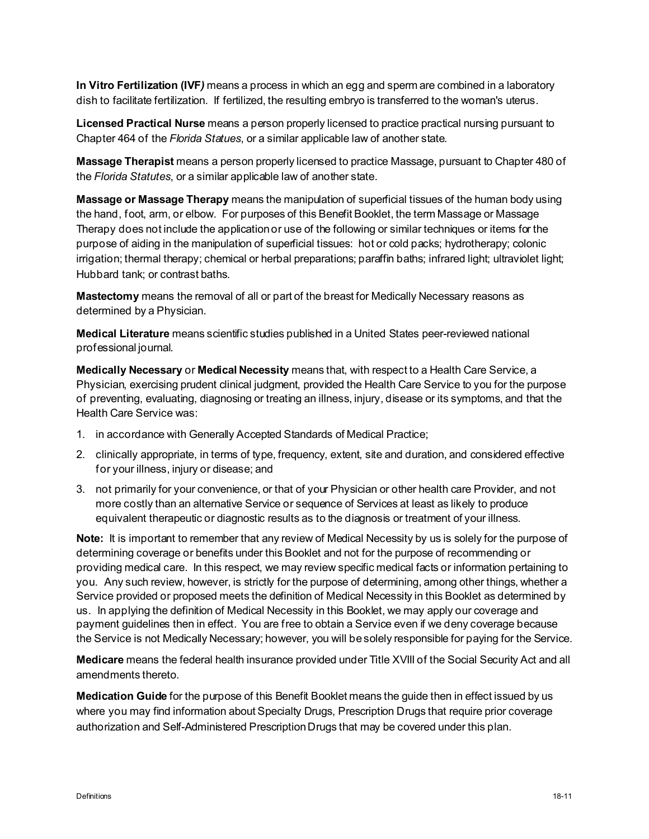**In Vitro Fertilization (IVF***)* means a process in which an egg and sperm are combined in a laboratory dish to facilitate fertilization. If fertilized, the resulting embryo is transferred to the woman's uterus.

**Licensed Practical Nurse** means a person properly licensed to practice practical nursing pursuant to Chapter 464 of the *Florida Statues*, or a similar applicable law of another state.

**Massage Therapist** means a person properly licensed to practice Massage, pursuant to Chapter 480 of the *Florida Statutes*, or a similar applicable law of another state.

**Massage or Massage Therapy** means the manipulation of superficial tissues of the human body using the hand, foot, arm, or elbow. For purposes of this Benefit Booklet, the term Massage or Massage Therapy does not include the application or use of the following or similar techniques or items for the purpose of aiding in the manipulation of superficial tissues: hot or cold packs; hydrotherapy; colonic irrigation; thermal therapy; chemical or herbal preparations; paraffin baths; infrared light; ultraviolet light; Hubbard tank; or contrast baths.

**Mastectomy** means the removal of all or part of the breast for Medically Necessary reasons as determined by a Physician.

**Medical Literature** means scientific studies published in a United States peer-reviewed national professional journal.

**Medically Necessary** or **Medical Necessity** means that, with respect to a Health Care Service, a Physician, exercising prudent clinical judgment, provided the Health Care Service to you for the purpose of preventing, evaluating, diagnosing or treating an illness, injury, disease or its symptoms, and that the Health Care Service was:

- 1. in accordance with Generally Accepted Standards of Medical Practice;
- 2. clinically appropriate, in terms of type, frequency, extent, site and duration, and considered effective for your illness, injury or disease; and
- 3. not primarily for your convenience, or that of your Physician or other health care Provider, and not more costly than an alternative Service or sequence of Services at least as likely to produce equivalent therapeutic or diagnostic results as to the diagnosis or treatment of your illness.

**Note:** It is important to remember that any review of Medical Necessity by us is solely for the purpose of determining coverage or benefits under this Booklet and not for the purpose of recommending or providing medical care. In this respect, we may review specific medical facts or information pertaining to you. Any such review, however, is strictly for the purpose of determining, among other things, whether a Service provided or proposed meets the definition of Medical Necessity in this Booklet as determined by us. In applying the definition of Medical Necessity in this Booklet, we may apply our coverage and payment guidelines then in effect. You are free to obtain a Service even if we deny coverage because the Service is not Medically Necessary; however, you will be solely responsible for paying for the Service.

**Medicare** means the federal health insurance provided under Title XVIII of the Social Security Act and all amendments thereto.

**Medication Guide** for the purpose of this Benefit Booklet means the guide then in effect issued by us where you may find information about Specialty Drugs, Prescription Drugs that require prior coverage authorization and Self-Administered Prescription Drugs that may be covered under this plan.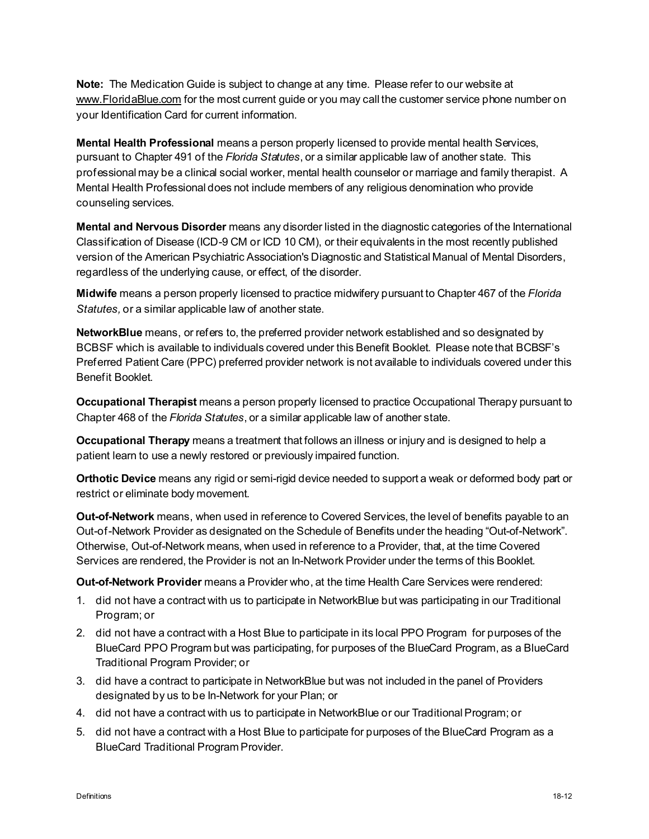**Note:** The Medication Guide is subject to change at any time. Please refer to our website at [www.FloridaBlue.com](http://www.bcbsfl.com/) for the most current guide or you may call the customer service phone number on your Identification Card for current information.

**Mental Health Professional** means a person properly licensed to provide mental health Services, pursuant to Chapter 491 of the *Florida Statutes*, or a similar applicable law of another state. This professional may be a clinical social worker, mental health counselor or marriage and family therapist. A Mental Health Professional does not include members of any religious denomination who provide counseling services.

**Mental and Nervous Disorder** means any disorder listed in the diagnostic categories of the International Classification of Disease (ICD-9 CM or ICD 10 CM), or their equivalents in the most recently published version of the American Psychiatric Association's Diagnostic and Statistical Manual of Mental Disorders, regardless of the underlying cause, or effect, of the disorder.

**Midwife** means a person properly licensed to practice midwifery pursuant to Chapter 467 of the *Florida Statutes,* or a similar applicable law of another state.

**NetworkBlue** means, or refers to, the preferred provider network established and so designated by BCBSF which is available to individuals covered under this Benefit Booklet. Please note that BCBSF's Preferred Patient Care (PPC) preferred provider network is not available to individuals covered under this Benefit Booklet.

**Occupational Therapist** means a person properly licensed to practice Occupational Therapy pursuant to Chapter 468 of the *Florida Statutes*, or a similar applicable law of another state.

**Occupational Therapy** means a treatment that follows an illness or injury and is designed to help a patient learn to use a newly restored or previously impaired function.

**Orthotic Device** means any rigid or semi-rigid device needed to support a weak or deformed body part or restrict or eliminate body movement.

**Out-of-Network** means, when used in reference to Covered Services, the level of benefits payable to an Out-of-Network Provider as designated on the Schedule of Benefits under the heading "Out-of-Network". Otherwise, Out-of-Network means, when used in reference to a Provider, that, at the time Covered Services are rendered, the Provider is not an In-Network Provider under the terms of this Booklet.

**Out-of-Network Provider** means a Provider who, at the time Health Care Services were rendered:

- 1. did not have a contract with us to participate in NetworkBlue but was participating in our Traditional Program; or
- 2. did not have a contract with a Host Blue to participate in its local PPO Program for purposes of the BlueCard PPO Program but was participating, for purposes of the BlueCard Program, as a BlueCard Traditional Program Provider; or
- 3. did have a contract to participate in NetworkBlue but was not included in the panel of Providers designated by us to be In-Network for your Plan; or
- 4. did not have a contract with us to participate in NetworkBlue or our Traditional Program; or
- 5. did not have a contract with a Host Blue to participate for purposes of the BlueCard Program as a BlueCard Traditional Program Provider.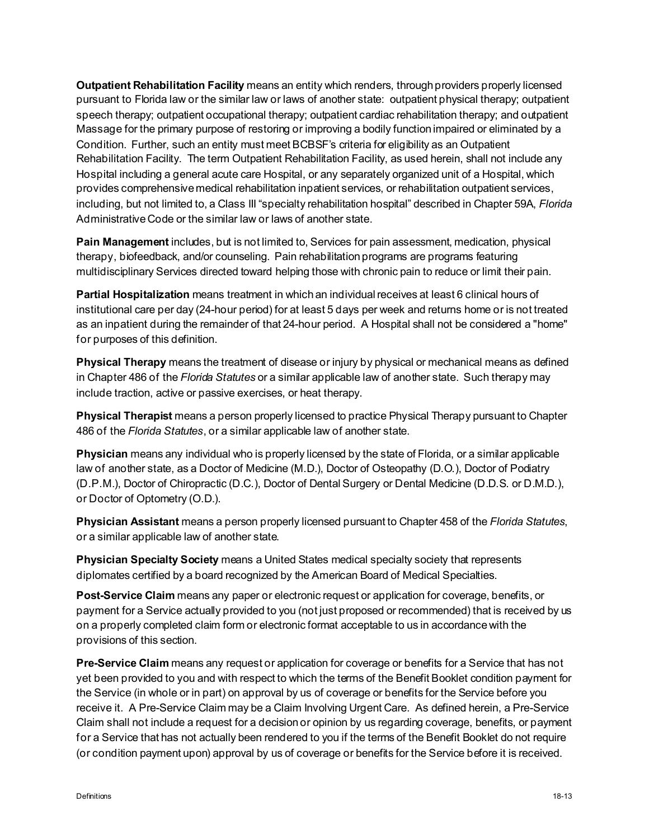**Outpatient Rehabilitation Facility** means an entity which renders, through providers properly licensed pursuant to Florida law or the similar law or laws of another state: outpatient physical therapy; outpatient speech therapy; outpatient occupational therapy; outpatient cardiac rehabilitation therapy; and outpatient Massage for the primary purpose of restoring or improving a bodily function impaired or eliminated by a Condition. Further, such an entity must meet BCBSF's criteria for eligibility as an Outpatient Rehabilitation Facility. The term Outpatient Rehabilitation Facility, as used herein, shall not include any Hospital including a general acute care Hospital, or any separately organized unit of a Hospital, which provides comprehensive medical rehabilitation inpatient services, or rehabilitation outpatient services, including, but not limited to, a Class III "specialty rehabilitation hospital" described in Chapter 59A, *Florida*  Administrative Code or the similar law or laws of another state.

**Pain Management** includes, but is not limited to, Services for pain assessment, medication, physical therapy, biofeedback, and/or counseling. Pain rehabilitation programs are programs featuring multidisciplinary Services directed toward helping those with chronic pain to reduce or limit their pain.

**Partial Hospitalization** means treatment in which an individual receives at least 6 clinical hours of institutional care per day (24-hour period) for at least 5 days per week and returns home or is not treated as an inpatient during the remainder of that 24-hour period. A Hospital shall not be considered a "home" for purposes of this definition.

**Physical Therapy** means the treatment of disease or injury by physical or mechanical means as defined in Chapter 486 of the *Florida Statutes* or a similar applicable law of another state. Such therapy may include traction, active or passive exercises, or heat therapy.

**Physical Therapist** means a person properly licensed to practice Physical Therapy pursuant to Chapter 486 of the *Florida Statutes*, or a similar applicable law of another state.

**Physician** means any individual who is properly licensed by the state of Florida, or a similar applicable law of another state, as a Doctor of Medicine (M.D.), Doctor of Osteopathy (D.O.), Doctor of Podiatry (D.P.M.), Doctor of Chiropractic (D.C.), Doctor of Dental Surgery or Dental Medicine (D.D.S. or D.M.D.), or Doctor of Optometry (O.D.).

**Physician Assistant** means a person properly licensed pursuant to Chapter 458 of the *Florida Statutes*, or a similar applicable law of another state.

**Physician Specialty Society** means a United States medical specialty society that represents diplomates certified by a board recognized by the American Board of Medical Specialties.

**Post-Service Claim** means any paper or electronic request or application for coverage, benefits, or payment for a Service actually provided to you (not just proposed or recommended) that is received by us on a properly completed claim form or electronic format acceptable to us in accordance with the provisions of this section.

**Pre-Service Claim** means any request or application for coverage or benefits for a Service that has not yet been provided to you and with respect to which the terms of the Benefit Booklet condition payment for the Service (in whole or in part) on approval by us of coverage or benefits for the Service before you receive it. A Pre-Service Claim may be a Claim Involving Urgent Care. As defined herein, a Pre-Service Claim shall not include a request for a decision or opinion by us regarding coverage, benefits, or payment for a Service that has not actually been rendered to you if the terms of the Benefit Booklet do not require (or condition payment upon) approval by us of coverage or benefits for the Service before it is received.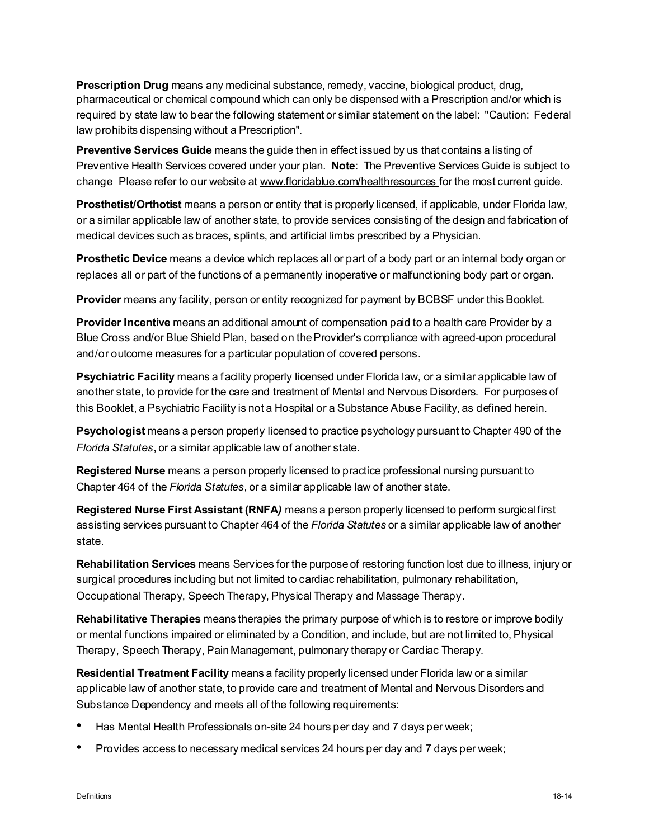**Prescription Drug** means any medicinal substance, remedy, vaccine, biological product, drug, pharmaceutical or chemical compound which can only be dispensed with a Prescription and/or which is required by state law to bear the following statement or similar statement on the label: "Caution: Federal law prohibits dispensing without a Prescription".

**Preventive Services Guide** means the guide then in effect issued by us that contains a listing of Preventive Health Services covered under your plan. **Note**: The Preventive Services Guide is subject to change Please refer to our website at www.floridablue.com/healthresources for the most current guide.

**Prosthetist/Orthotist** means a person or entity that is properly licensed, if applicable, under Florida law, or a similar applicable law of another state, to provide services consisting of the design and fabrication of medical devices such as braces, splints, and artificial limbs prescribed by a Physician.

**Prosthetic Device** means a device which replaces all or part of a body part or an internal body organ or replaces all or part of the functions of a permanently inoperative or malfunctioning body part or organ.

**Provider** means any facility, person or entity recognized for payment by BCBSF under this Booklet.

**Provider Incentive** means an additional amount of compensation paid to a health care Provider by a Blue Cross and/or Blue Shield Plan, based on the Provider's compliance with agreed-upon procedural and/or outcome measures for a particular population of covered persons.

**Psychiatric Facility** means a facility properly licensed under Florida law, or a similar applicable law of another state, to provide for the care and treatment of Mental and Nervous Disorders. For purposes of this Booklet, a Psychiatric Facility is not a Hospital or a Substance Abuse Facility, as defined herein.

**Psychologist** means a person properly licensed to practice psychology pursuant to Chapter 490 of the *Florida Statutes*, or a similar applicable law of another state.

**Registered Nurse** means a person properly licensed to practice professional nursing pursuant to Chapter 464 of the *Florida Statutes*, or a similar applicable law of another state.

**Registered Nurse First Assistant (RNFA***)* means a person properly licensed to perform surgical first assisting services pursuant to Chapter 464 of the *Florida Statutes* or a similar applicable law of another state.

**Rehabilitation Services** means Services for the purpose of restoring function lost due to illness, injury or surgical procedures including but not limited to cardiac rehabilitation, pulmonary rehabilitation, Occupational Therapy, Speech Therapy, Physical Therapy and Massage Therapy.

**Rehabilitative Therapies** means therapies the primary purpose of which is to restore or improve bodily or mental functions impaired or eliminated by a Condition, and include, but are not limited to, Physical Therapy, Speech Therapy, Pain Management, pulmonary therapy or Cardiac Therapy.

**Residential Treatment Facility** means a facility properly licensed under Florida law or a similar applicable law of another state, to provide care and treatment of Mental and Nervous Disorders and Substance Dependency and meets all of the following requirements:

- Has Mental Health Professionals on-site 24 hours per day and 7 days per week;
- Provides access to necessary medical services 24 hours per day and 7 days per week;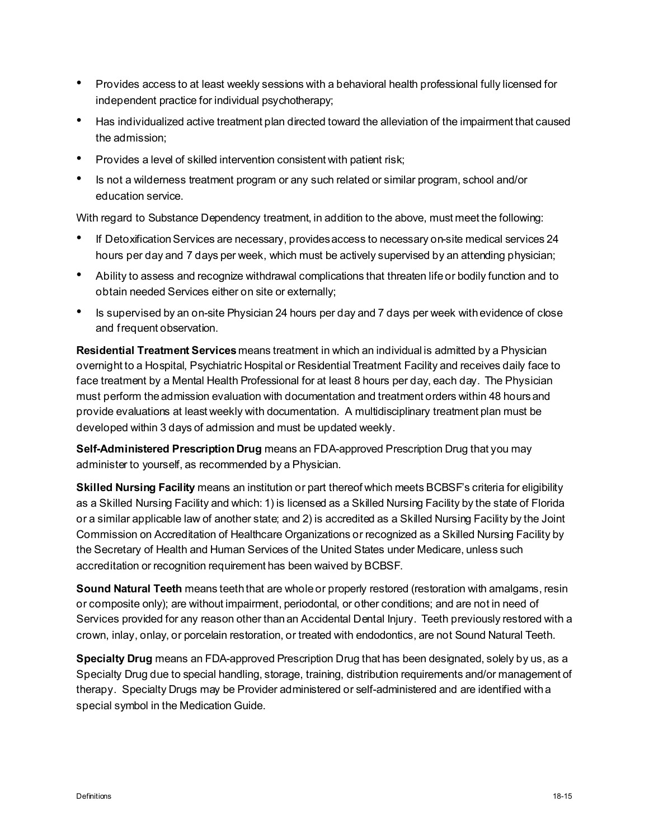- Provides access to at least weekly sessions with a behavioral health professional fully licensed for independent practice for individual psychotherapy;
- Has individualized active treatment plan directed toward the alleviation of the impairment that caused the admission;
- Provides a level of skilled intervention consistent with patient risk;
- Is not a wilderness treatment program or any such related or similar program, school and/or education service.

With regard to Substance Dependency treatment, in addition to the above, must meet the following:

- If Detoxification Services are necessary, providesaccess to necessary on-site medical services 24 hours per day and 7 days per week, which must be actively supervised by an attending physician;
- Ability to assess and recognize withdrawal complications that threaten life or bodily function and to obtain needed Services either on site or externally;
- Is supervised by an on-site Physician 24 hours per day and 7 days per week with evidence of close and frequent observation.

**Residential Treatment Services** means treatment in which an individual is admitted by a Physician overnight to a Hospital, Psychiatric Hospital or Residential Treatment Facility and receives daily face to face treatment by a Mental Health Professional for at least 8 hours per day, each day. The Physician must perform the admission evaluation with documentation and treatment orders within 48 hoursand provide evaluations at least weekly with documentation. A multidisciplinary treatment plan must be developed within 3 days of admission and must be updated weekly.

**Self-Administered Prescription Drug** means an FDA-approved Prescription Drug that you may administer to yourself, as recommended by a Physician.

**Skilled Nursing Facility** means an institution or part thereof which meets BCBSF's criteria for eligibility as a Skilled Nursing Facility and which: 1) is licensed as a Skilled Nursing Facility by the state of Florida or a similar applicable law of another state; and 2) is accredited as a Skilled Nursing Facility by the Joint Commission on Accreditation of Healthcare Organizations or recognized as a Skilled Nursing Facility by the Secretary of Health and Human Services of the United States under Medicare, unless such accreditation or recognition requirement has been waived by BCBSF.

**Sound Natural Teeth** means teeth that are whole or properly restored (restoration with amalgams, resin or composite only); are without impairment, periodontal, or other conditions; and are not in need of Services provided for any reason other than an Accidental Dental Injury. Teeth previously restored with a crown, inlay, onlay, or porcelain restoration, or treated with endodontics, are not Sound Natural Teeth.

**Specialty Drug** means an FDA-approved Prescription Drug that has been designated, solely by us, as a Specialty Drug due to special handling, storage, training, distribution requirements and/or management of therapy. Specialty Drugs may be Provider administered or self-administered and are identified with a special symbol in the Medication Guide.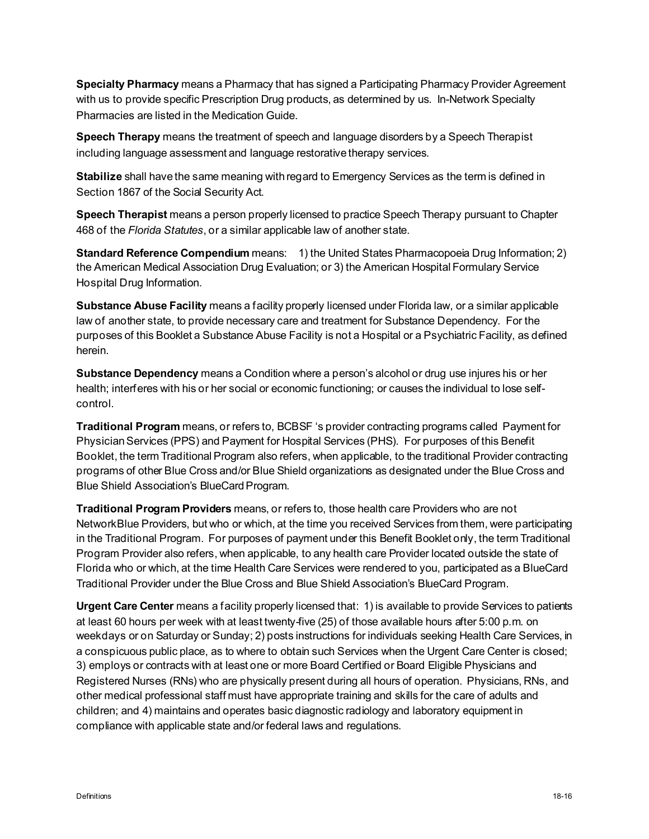**Specialty Pharmacy** means a Pharmacy that has signed a Participating Pharmacy Provider Agreement with us to provide specific Prescription Drug products, as determined by us. In-Network Specialty Pharmacies are listed in the Medication Guide.

**Speech Therapy** means the treatment of speech and language disorders by a Speech Therapist including language assessment and language restorative therapy services.

**Stabilize** shall have the same meaning with regard to Emergency Services as the term is defined in Section 1867 of the Social Security Act.

**Speech Therapist** means a person properly licensed to practice Speech Therapy pursuant to Chapter 468 of the *Florida Statutes*, or a similar applicable law of another state.

**Standard Reference Compendium** means: 1) the United States Pharmacopoeia Drug Information; 2) the American Medical Association Drug Evaluation; or 3) the American Hospital Formulary Service Hospital Drug Information.

**Substance Abuse Facility** means a facility properly licensed under Florida law, or a similar applicable law of another state, to provide necessary care and treatment for Substance Dependency. For the purposes of this Booklet a Substance Abuse Facility is not a Hospital or a Psychiatric Facility, as defined herein.

**Substance Dependency** means a Condition where a person's alcohol or drug use injures his or her health; interferes with his or her social or economic functioning; or causes the individual to lose selfcontrol.

**Traditional Program** means, or refers to, BCBSF 's provider contracting programs called Payment for Physician Services (PPS) and Payment for Hospital Services (PHS). For purposes of this Benefit Booklet, the term Traditional Program also refers, when applicable, to the traditional Provider contracting programs of other Blue Cross and/or Blue Shield organizations as designated under the Blue Cross and Blue Shield Association's BlueCardProgram.

**Traditional Program Providers** means, or refers to, those health care Providers who are not NetworkBlue Providers, but who or which, at the time you received Services from them, were participating in the Traditional Program. For purposes of payment under this Benefit Booklet only, the term Traditional Program Provider also refers, when applicable, to any health care Provider located outside the state of Florida who or which, at the time Health Care Services were rendered to you, participated as a BlueCard Traditional Provider under the Blue Cross and Blue Shield Association's BlueCard Program.

**Urgent Care Center** means a facility properly licensed that: 1) is available to provide Services to patients at least 60 hours per week with at least twenty-five (25) of those available hours after 5:00 p.m. on weekdays or on Saturday or Sunday; 2) posts instructions for individuals seeking Health Care Services, in a conspicuous public place, as to where to obtain such Services when the Urgent Care Center is closed; 3) employs or contracts with at least one or more Board Certified or Board Eligible Physicians and Registered Nurses (RNs) who are physically present during all hours of operation. Physicians, RNs, and other medical professional staff must have appropriate training and skills for the care of adults and children; and 4) maintains and operates basic diagnostic radiology and laboratory equipment in compliance with applicable state and/or federal laws and regulations.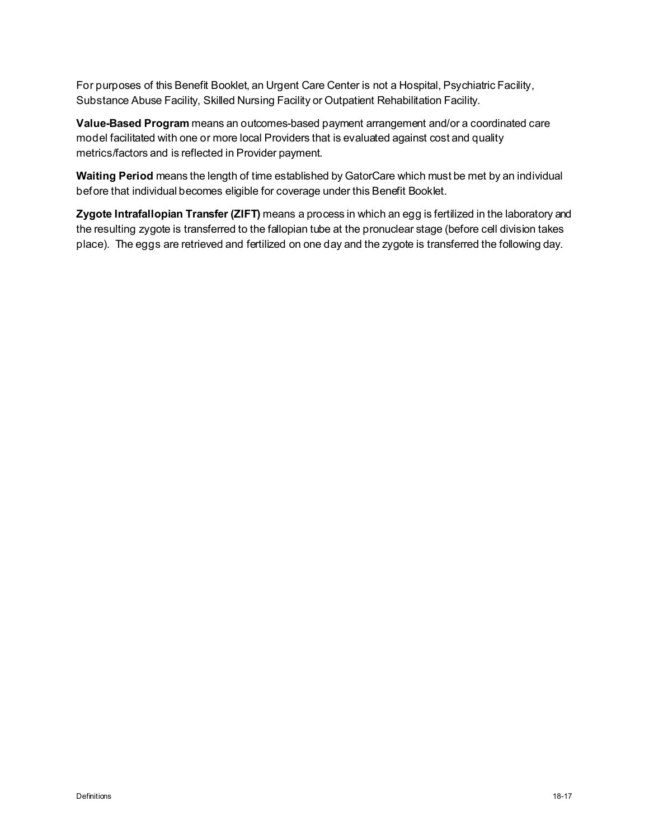For purposes of this Benefit Booklet, an Urgent Care Center is not a Hospital, Psychiatric Facility, Substance Abuse Facility, Skilled Nursing Facility or Outpatient Rehabilitation Facility.

**Value-Based Program** means an outcomes-based payment arrangement and/or a coordinated care model facilitated with one or more local Providers that is evaluated against cost and quality metrics/factors and is reflected in Provider payment.

**Waiting Period** means the length of time established by GatorCare which must be met by an individual before that individual becomes eligible for coverage under this Benefit Booklet.

**Zygote Intrafallopian Transfer (ZIFT)** means a process in which an egg is fertilized in the laboratory and the resulting zygote is transferred to the fallopian tube at the pronuclear stage (before cell division takes place). The eggs are retrieved and fertilized on one day and the zygote is transferred the following day.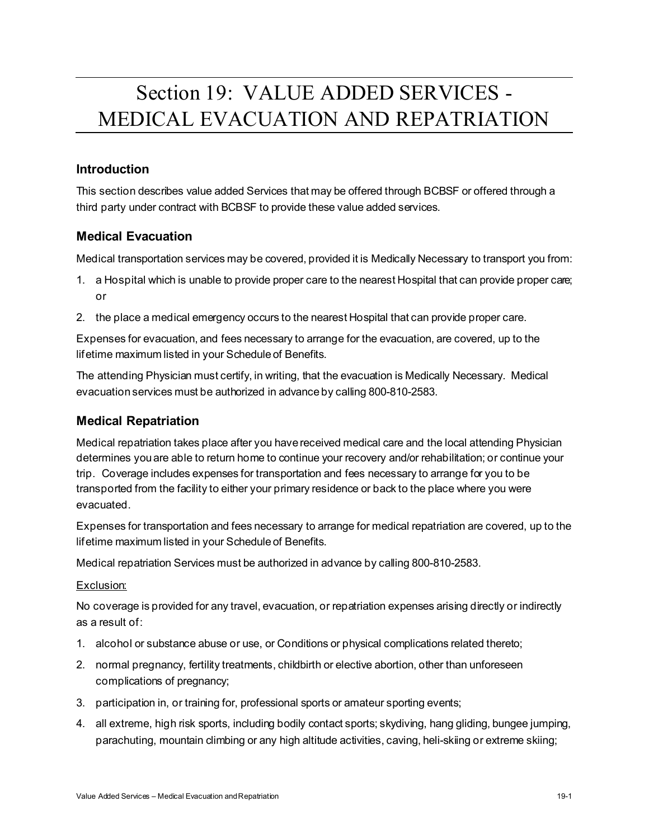# Section 19: VALUE ADDED SERVICES - MEDICAL EVACUATION AND REPATRIATION

## **Introduction**

This section describes value added Services that may be offered through BCBSF or offered through a third party under contract with BCBSF to provide these value added services.

## **Medical Evacuation**

Medical transportation services may be covered, provided it is Medically Necessary to transport you from:

- 1. a Hospital which is unable to provide proper care to the nearest Hospital that can provide proper care; or
- 2. the place a medical emergency occurs to the nearest Hospital that can provide proper care.

Expenses for evacuation, and fees necessary to arrange for the evacuation, are covered, up to the lifetime maximum listed in your Schedule of Benefits.

The attending Physician must certify, in writing, that the evacuation is Medically Necessary. Medical evacuation services must be authorized in advance by calling 800-810-2583.

## **Medical Repatriation**

Medical repatriation takes place after you have received medical care and the local attending Physician determines you are able to return home to continue your recovery and/or rehabilitation; or continue your trip. Coverage includes expenses for transportation and fees necessary to arrange for you to be transported from the facility to either your primary residence or back to the place where you were evacuated.

Expenses for transportation and fees necessary to arrange for medical repatriation are covered, up to the lifetime maximum listed in your Schedule of Benefits.

Medical repatriation Services must be authorized in advance by calling 800-810-2583.

## Exclusion:

No coverage is provided for any travel, evacuation, or repatriation expenses arising directly or indirectly as a result of:

- 1. alcohol or substance abuse or use, or Conditions or physical complications related thereto;
- 2. normal pregnancy, fertility treatments, childbirth or elective abortion, other than unforeseen complications of pregnancy;
- 3. participation in, or training for, professional sports or amateur sporting events;
- 4. all extreme, high risk sports, including bodily contact sports; skydiving, hang gliding, bungee jumping, parachuting, mountain climbing or any high altitude activities, caving, heli-skiing or extreme skiing;